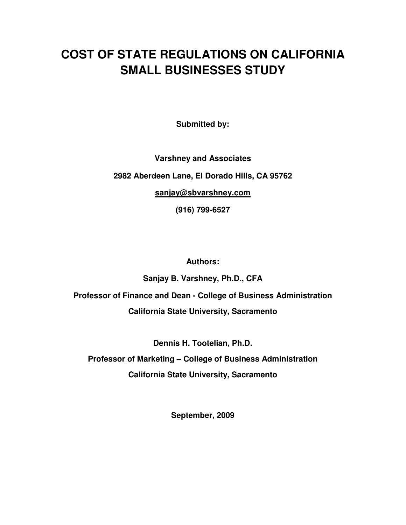# **COST OF STATE REGULATIONS ON CALIFORNIA SMALL BUSINESSES STUDY**

**Submitted by:** 

**Varshney and Associates** 

**2982 Aberdeen Lane, El Dorado Hills, CA 95762** 

**sanjay@sbvarshney.com** 

**(916) 799-6527** 

**Authors:** 

**Sanjay B. Varshney, Ph.D., CFA** 

**Professor of Finance and Dean - College of Business Administration California State University, Sacramento** 

**Dennis H. Tootelian, Ph.D.** 

**Professor of Marketing – College of Business Administration California State University, Sacramento** 

**September, 2009**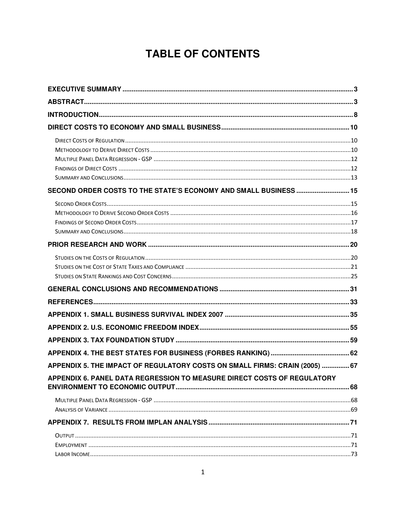# **TABLE OF CONTENTS**

| SECOND ORDER COSTS TO THE STATE'S ECONOMY AND SMALL BUSINESS  15            |  |
|-----------------------------------------------------------------------------|--|
|                                                                             |  |
|                                                                             |  |
|                                                                             |  |
|                                                                             |  |
|                                                                             |  |
|                                                                             |  |
|                                                                             |  |
|                                                                             |  |
|                                                                             |  |
|                                                                             |  |
|                                                                             |  |
|                                                                             |  |
|                                                                             |  |
|                                                                             |  |
| APPENDIX 5. THE IMPACT OF REGULATORY COSTS ON SMALL FIRMS: CRAIN (2005)  67 |  |
| APPENDIX 6. PANEL DATA REGRESSION TO MEASURE DIRECT COSTS OF REGULATORY     |  |
|                                                                             |  |
|                                                                             |  |
|                                                                             |  |
|                                                                             |  |
|                                                                             |  |
|                                                                             |  |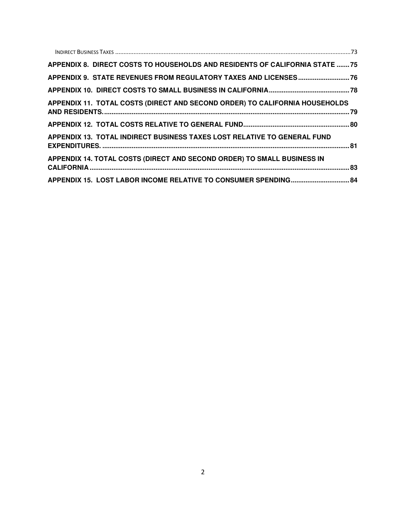| APPENDIX 8. DIRECT COSTS TO HOUSEHOLDS AND RESIDENTS OF CALIFORNIA STATE 75 |  |
|-----------------------------------------------------------------------------|--|
| APPENDIX 9. STATE REVENUES FROM REGULATORY TAXES AND LICENSES 76            |  |
|                                                                             |  |
| APPENDIX 11. TOTAL COSTS (DIRECT AND SECOND ORDER) TO CALIFORNIA HOUSEHOLDS |  |
|                                                                             |  |
| APPENDIX 13. TOTAL INDIRECT BUSINESS TAXES LOST RELATIVE TO GENERAL FUND    |  |
| APPENDIX 14. TOTAL COSTS (DIRECT AND SECOND ORDER) TO SMALL BUSINESS IN     |  |
| APPENDIX 15. LOST LABOR INCOME RELATIVE TO CONSUMER SPENDING 84             |  |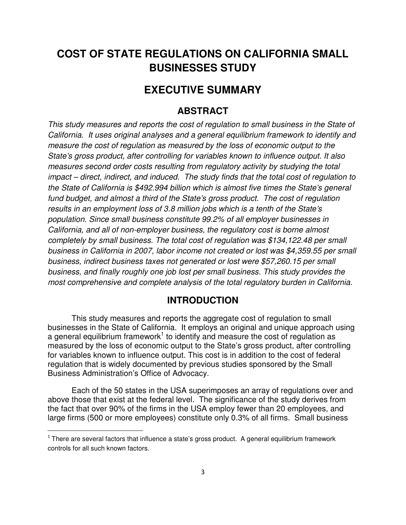# **COST OF STATE REGULATIONS ON CALIFORNIA SMALL BUSINESSES STUDY**

### **EXECUTIVE SUMMARY**

### **ABSTRACT**

This study measures and reports the cost of regulation to small business in the State of California. It uses original analyses and a general equilibrium framework to identify and measure the cost of regulation as measured by the loss of economic output to the State's gross product, after controlling for variables known to influence output. It also measures second order costs resulting from regulatory activity by studying the total impact – direct, indirect, and induced. The study finds that the total cost of regulation to the State of California is \$492.994 billion which is almost five times the State's general fund budget, and almost a third of the State's gross product. The cost of regulation results in an employment loss of 3.8 million jobs which is a tenth of the State's population. Since small business constitute 99.2% of all employer businesses in California, and all of non-employer business, the regulatory cost is borne almost completely by small business. The total cost of regulation was \$134,122.48 per small business in California in 2007, labor income not created or lost was \$4,359.55 per small business, indirect business taxes not generated or lost were \$57,260.15 per small business, and finally roughly one job lost per small business. This study provides the most comprehensive and complete analysis of the total regulatory burden in California.

### **INTRODUCTION**

This study measures and reports the aggregate cost of regulation to small businesses in the State of California. It employs an original and unique approach using a general equilibrium framework<sup>1</sup> to identify and measure the cost of regulation as measured by the loss of economic output to the State's gross product, after controlling for variables known to influence output. This cost is in addition to the cost of federal regulation that is widely documented by previous studies sponsored by the Small Business Administration's Office of Advocacy.

Each of the 50 states in the USA superimposes an array of regulations over and above those that exist at the federal level. The significance of the study derives from the fact that over 90% of the firms in the USA employ fewer than 20 employees, and large firms (500 or more employees) constitute only 0.3% of all firms. Small business

l

 $1$  There are several factors that influence a state's gross product. A general equilibrium framework controls for all such known factors.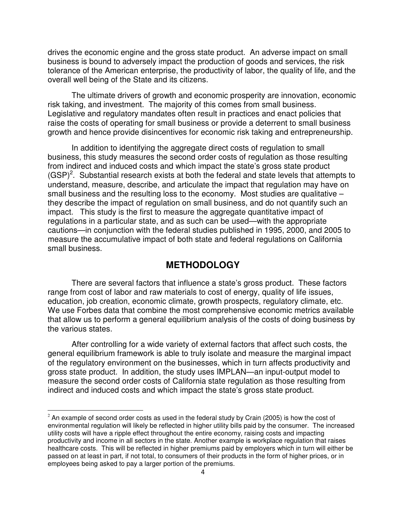drives the economic engine and the gross state product. An adverse impact on small business is bound to adversely impact the production of goods and services, the risk tolerance of the American enterprise, the productivity of labor, the quality of life, and the overall well being of the State and its citizens.

The ultimate drivers of growth and economic prosperity are innovation, economic risk taking, and investment. The majority of this comes from small business. Legislative and regulatory mandates often result in practices and enact policies that raise the costs of operating for small business or provide a deterrent to small business growth and hence provide disincentives for economic risk taking and entrepreneurship.

In addition to identifying the aggregate direct costs of regulation to small business, this study measures the second order costs of regulation as those resulting from indirect and induced costs and which impact the state's gross state product  $(GSP)<sup>2</sup>$ . Substantial research exists at both the federal and state levels that attempts to understand, measure, describe, and articulate the impact that regulation may have on small business and the resulting loss to the economy. Most studies are qualitative – they describe the impact of regulation on small business, and do not quantify such an impact. This study is the first to measure the aggregate quantitative impact of regulations in a particular state, and as such can be used—with the appropriate cautions—in conjunction with the federal studies published in 1995, 2000, and 2005 to measure the accumulative impact of both state and federal regulations on California small business.

### **METHODOLOGY**

 There are several factors that influence a state's gross product. These factors range from cost of labor and raw materials to cost of energy, quality of life issues, education, job creation, economic climate, growth prospects, regulatory climate, etc. We use Forbes data that combine the most comprehensive economic metrics available that allow us to perform a general equilibrium analysis of the costs of doing business by the various states.

 After controlling for a wide variety of external factors that affect such costs, the general equilibrium framework is able to truly isolate and measure the marginal impact of the regulatory environment on the businesses, which in turn affects productivity and gross state product. In addition, the study uses IMPLAN—an input-output model to measure the second order costs of California state regulation as those resulting from indirect and induced costs and which impact the state's gross state product.

l

 $<sup>2</sup>$  An example of second order costs as used in the federal study by Crain (2005) is how the cost of</sup> environmental regulation will likely be reflected in higher utility bills paid by the consumer. The increased utility costs will have a ripple effect throughout the entire economy, raising costs and impacting productivity and income in all sectors in the state. Another example is workplace regulation that raises healthcare costs. This will be reflected in higher premiums paid by employers which in turn will either be passed on at least in part, if not total, to consumers of their products in the form of higher prices, or in employees being asked to pay a larger portion of the premiums.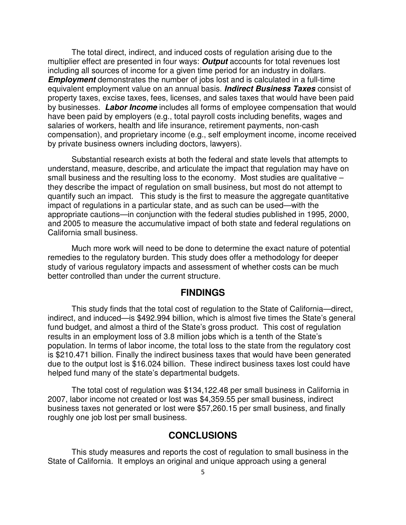The total direct, indirect, and induced costs of regulation arising due to the multiplier effect are presented in four ways: **Output** accounts for total revenues lost including all sources of income for a given time period for an industry in dollars. **Employment** demonstrates the number of jobs lost and is calculated in a full-time equivalent employment value on an annual basis. **Indirect Business Taxes** consist of property taxes, excise taxes, fees, licenses, and sales taxes that would have been paid by businesses. **Labor Income** includes all forms of employee compensation that would have been paid by employers (e.g., total payroll costs including benefits, wages and salaries of workers, health and life insurance, retirement payments, non-cash compensation), and proprietary income (e.g., self employment income, income received by private business owners including doctors, lawyers).

Substantial research exists at both the federal and state levels that attempts to understand, measure, describe, and articulate the impact that regulation may have on small business and the resulting loss to the economy. Most studies are qualitative they describe the impact of regulation on small business, but most do not attempt to quantify such an impact. This study is the first to measure the aggregate quantitative impact of regulations in a particular state, and as such can be used—with the appropriate cautions—in conjunction with the federal studies published in 1995, 2000, and 2005 to measure the accumulative impact of both state and federal regulations on California small business.

Much more work will need to be done to determine the exact nature of potential remedies to the regulatory burden. This study does offer a methodology for deeper study of various regulatory impacts and assessment of whether costs can be much better controlled than under the current structure.

### **FINDINGS**

This study finds that the total cost of regulation to the State of California—direct, indirect, and induced—is \$492.994 billion, which is almost five times the State's general fund budget, and almost a third of the State's gross product. This cost of regulation results in an employment loss of 3.8 million jobs which is a tenth of the State's population. In terms of labor income, the total loss to the state from the regulatory cost is \$210.471 billion. Finally the indirect business taxes that would have been generated due to the output lost is \$16.024 billion. These indirect business taxes lost could have helped fund many of the state's departmental budgets.

The total cost of regulation was \$134,122.48 per small business in California in 2007, labor income not created or lost was \$4,359.55 per small business, indirect business taxes not generated or lost were \$57,260.15 per small business, and finally roughly one job lost per small business.

### **CONCLUSIONS**

This study measures and reports the cost of regulation to small business in the State of California. It employs an original and unique approach using a general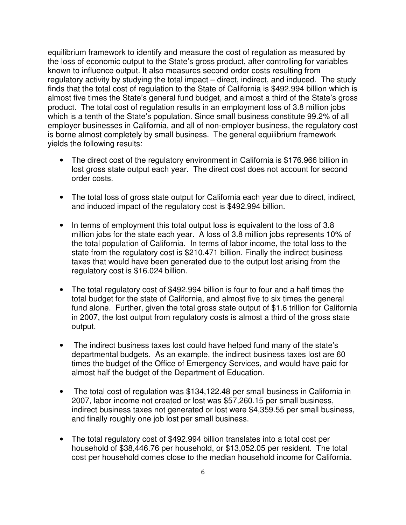equilibrium framework to identify and measure the cost of regulation as measured by the loss of economic output to the State's gross product, after controlling for variables known to influence output. It also measures second order costs resulting from regulatory activity by studying the total impact – direct, indirect, and induced. The study finds that the total cost of regulation to the State of California is \$492.994 billion which is almost five times the State's general fund budget, and almost a third of the State's gross product. The total cost of regulation results in an employment loss of 3.8 million jobs which is a tenth of the State's population. Since small business constitute 99.2% of all employer businesses in California, and all of non-employer business, the regulatory cost is borne almost completely by small business. The general equilibrium framework yields the following results:

- The direct cost of the regulatory environment in California is \$176.966 billion in lost gross state output each year. The direct cost does not account for second order costs.
- The total loss of gross state output for California each year due to direct, indirect, and induced impact of the regulatory cost is \$492.994 billion.
- In terms of employment this total output loss is equivalent to the loss of 3.8 million jobs for the state each year. A loss of 3.8 million jobs represents 10% of the total population of California. In terms of labor income, the total loss to the state from the regulatory cost is \$210.471 billion. Finally the indirect business taxes that would have been generated due to the output lost arising from the regulatory cost is \$16.024 billion.
- The total regulatory cost of \$492.994 billion is four to four and a half times the total budget for the state of California, and almost five to six times the general fund alone. Further, given the total gross state output of \$1.6 trillion for California in 2007, the lost output from regulatory costs is almost a third of the gross state output.
- The indirect business taxes lost could have helped fund many of the state's departmental budgets. As an example, the indirect business taxes lost are 60 times the budget of the Office of Emergency Services, and would have paid for almost half the budget of the Department of Education.
- The total cost of regulation was \$134,122.48 per small business in California in 2007, labor income not created or lost was \$57,260.15 per small business, indirect business taxes not generated or lost were \$4,359.55 per small business, and finally roughly one job lost per small business.
- The total regulatory cost of \$492.994 billion translates into a total cost per household of \$38,446.76 per household, or \$13,052.05 per resident. The total cost per household comes close to the median household income for California.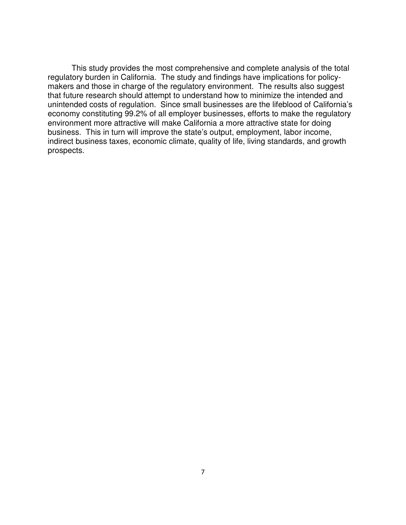This study provides the most comprehensive and complete analysis of the total regulatory burden in California. The study and findings have implications for policymakers and those in charge of the regulatory environment. The results also suggest that future research should attempt to understand how to minimize the intended and unintended costs of regulation. Since small businesses are the lifeblood of California's economy constituting 99.2% of all employer businesses, efforts to make the regulatory environment more attractive will make California a more attractive state for doing business. This in turn will improve the state's output, employment, labor income, indirect business taxes, economic climate, quality of life, living standards, and growth prospects.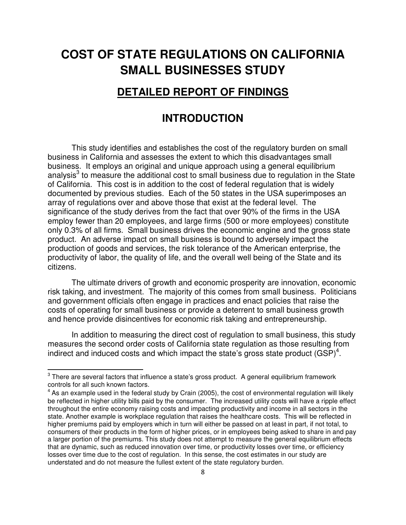# **COST OF STATE REGULATIONS ON CALIFORNIA SMALL BUSINESSES STUDY**

### **DETAILED REPORT OF FINDINGS**

# **INTRODUCTION**

This study identifies and establishes the cost of the regulatory burden on small business in California and assesses the extent to which this disadvantages small business. It employs an original and unique approach using a general equilibrium analysis<sup>3</sup> to measure the additional cost to small business due to regulation in the State of California. This cost is in addition to the cost of federal regulation that is widely documented by previous studies. Each of the 50 states in the USA superimposes an array of regulations over and above those that exist at the federal level. The significance of the study derives from the fact that over 90% of the firms in the USA employ fewer than 20 employees, and large firms (500 or more employees) constitute only 0.3% of all firms. Small business drives the economic engine and the gross state product. An adverse impact on small business is bound to adversely impact the production of goods and services, the risk tolerance of the American enterprise, the productivity of labor, the quality of life, and the overall well being of the State and its citizens.

The ultimate drivers of growth and economic prosperity are innovation, economic risk taking, and investment. The majority of this comes from small business. Politicians and government officials often engage in practices and enact policies that raise the costs of operating for small business or provide a deterrent to small business growth and hence provide disincentives for economic risk taking and entrepreneurship.

In addition to measuring the direct cost of regulation to small business, this study measures the second order costs of California state regulation as those resulting from indirect and induced costs and which impact the state's gross state product  $(SSP)^4$ .

 3 There are several factors that influence a state's gross product. A general equilibrium framework controls for all such known factors.

 $4$  As an example used in the federal study by Crain (2005), the cost of environmental regulation will likely be reflected in higher utility bills paid by the consumer. The increased utility costs will have a ripple effect throughout the entire economy raising costs and impacting productivity and income in all sectors in the state. Another example is workplace regulation that raises the healthcare costs. This will be reflected in higher premiums paid by employers which in turn will either be passed on at least in part, if not total, to consumers of their products in the form of higher prices, or in employees being asked to share in and pay a larger portion of the premiums. This study does not attempt to measure the general equilibrium effects that are dynamic, such as reduced innovation over time, or productivity losses over time, or efficiency losses over time due to the cost of regulation. In this sense, the cost estimates in our study are understated and do not measure the fullest extent of the state regulatory burden.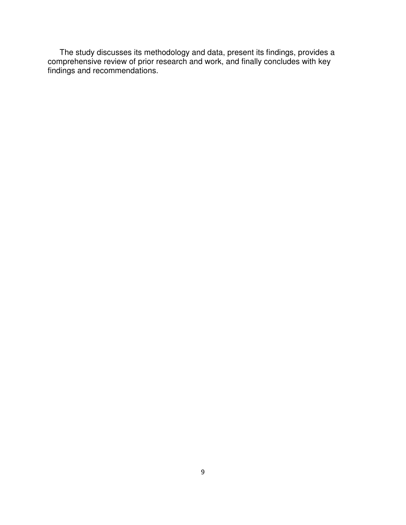The study discusses its methodology and data, present its findings, provides a comprehensive review of prior research and work, and finally concludes with key findings and recommendations.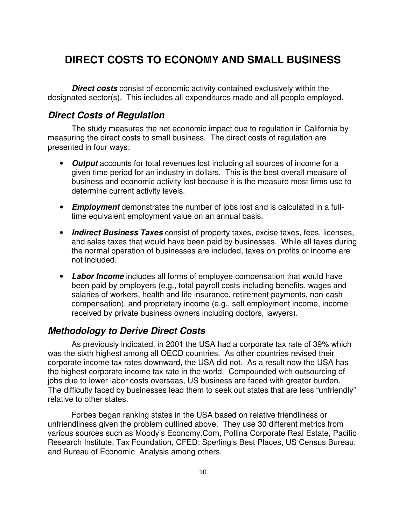# **DIRECT COSTS TO ECONOMY AND SMALL BUSINESS**

**Direct costs** consist of economic activity contained exclusively within the designated sector(s). This includes all expenditures made and all people employed.

### **Direct Costs of Regulation**

The study measures the net economic impact due to regulation in California by measuring the direct costs to small business. The direct costs of regulation are presented in four ways:

- **Output** accounts for total revenues lost including all sources of income for a given time period for an industry in dollars. This is the best overall measure of business and economic activity lost because it is the measure most firms use to determine current activity levels.
- **Employment** demonstrates the number of jobs lost and is calculated in a fulltime equivalent employment value on an annual basis.
- **Indirect Business Taxes** consist of property taxes, excise taxes, fees, licenses, and sales taxes that would have been paid by businesses. While all taxes during the normal operation of businesses are included, taxes on profits or income are not included.
- **Labor Income** includes all forms of employee compensation that would have been paid by employers (e.g., total payroll costs including benefits, wages and salaries of workers, health and life insurance, retirement payments, non-cash compensation), and proprietary income (e.g., self employment income, income received by private business owners including doctors, lawyers).

### **Methodology to Derive Direct Costs**

As previously indicated, in 2001 the USA had a corporate tax rate of 39% which was the sixth highest among all OECD countries. As other countries revised their corporate income tax rates downward, the USA did not. As a result now the USA has the highest corporate income tax rate in the world. Compounded with outsourcing of jobs due to lower labor costs overseas, US business are faced with greater burden. The difficulty faced by businesses lead them to seek out states that are less "unfriendly" relative to other states.

Forbes began ranking states in the USA based on relative friendliness or unfriendliness given the problem outlined above. They use 30 different metrics from various sources such as Moody's Economy.Com, Pollina Corporate Real Estate, Pacific Research Institute, Tax Foundation, CFED: Sperling's Best Places, US Census Bureau, and Bureau of Economic Analysis among others.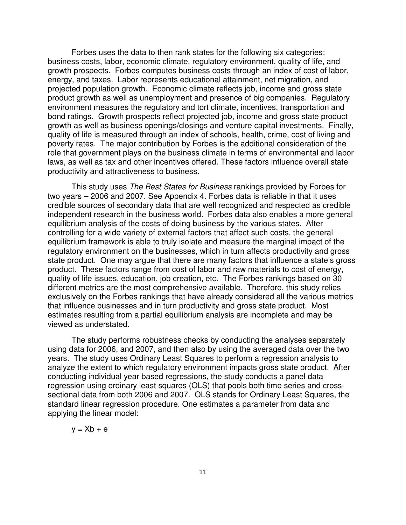Forbes uses the data to then rank states for the following six categories: business costs, labor, economic climate, regulatory environment, quality of life, and growth prospects. Forbes computes business costs through an index of cost of labor, energy, and taxes. Labor represents educational attainment, net migration, and projected population growth. Economic climate reflects job, income and gross state product growth as well as unemployment and presence of big companies. Regulatory environment measures the regulatory and tort climate, incentives, transportation and bond ratings. Growth prospects reflect projected job, income and gross state product growth as well as business openings/closings and venture capital investments. Finally, quality of life is measured through an index of schools, health, crime, cost of living and poverty rates. The major contribution by Forbes is the additional consideration of the role that government plays on the business climate in terms of environmental and labor laws, as well as tax and other incentives offered. These factors influence overall state productivity and attractiveness to business.

This study uses The Best States for Business rankings provided by Forbes for two years – 2006 and 2007. See Appendix 4. Forbes data is reliable in that it uses credible sources of secondary data that are well recognized and respected as credible independent research in the business world. Forbes data also enables a more general equilibrium analysis of the costs of doing business by the various states. After controlling for a wide variety of external factors that affect such costs, the general equilibrium framework is able to truly isolate and measure the marginal impact of the regulatory environment on the businesses, which in turn affects productivity and gross state product. One may argue that there are many factors that influence a state's gross product. These factors range from cost of labor and raw materials to cost of energy, quality of life issues, education, job creation, etc. The Forbes rankings based on 30 different metrics are the most comprehensive available. Therefore, this study relies exclusively on the Forbes rankings that have already considered all the various metrics that influence businesses and in turn productivity and gross state product. Most estimates resulting from a partial equilibrium analysis are incomplete and may be viewed as understated.

The study performs robustness checks by conducting the analyses separately using data for 2006, and 2007, and then also by using the averaged data over the two years. The study uses Ordinary Least Squares to perform a regression analysis to analyze the extent to which regulatory environment impacts gross state product. After conducting individual year based regressions, the study conducts a panel data regression using ordinary least squares (OLS) that pools both time series and crosssectional data from both 2006 and 2007. OLS stands for Ordinary Least Squares, the standard linear regression procedure. One estimates a parameter from data and applying the linear model:

$$
y = Xb + e
$$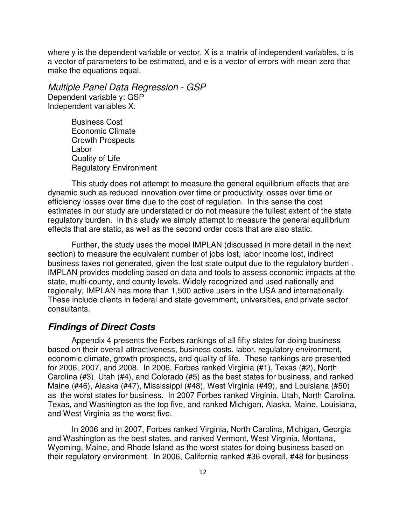where y is the dependent variable or vector, X is a matrix of independent variables, b is a vector of parameters to be estimated, and e is a vector of errors with mean zero that make the equations equal.

Multiple Panel Data Regression - GSP Dependent variable y: GSP Independent variables X:

> Business Cost Economic Climate Growth Prospects Labor Quality of Life Regulatory Environment

This study does not attempt to measure the general equilibrium effects that are dynamic such as reduced innovation over time or productivity losses over time or efficiency losses over time due to the cost of regulation. In this sense the cost estimates in our study are understated or do not measure the fullest extent of the state regulatory burden. In this study we simply attempt to measure the general equilibrium effects that are static, as well as the second order costs that are also static.

Further, the study uses the model IMPLAN (discussed in more detail in the next section) to measure the equivalent number of jobs lost, labor income lost, indirect business taxes not generated, given the lost state output due to the regulatory burden . IMPLAN provides modeling based on data and tools to assess economic impacts at the state, multi-county, and county levels. Widely recognized and used nationally and regionally, IMPLAN has more than 1,500 active users in the USA and internationally. These include clients in federal and state government, universities, and private sector consultants.

### **Findings of Direct Costs**

Appendix 4 presents the Forbes rankings of all fifty states for doing business based on their overall attractiveness, business costs, labor, regulatory environment, economic climate, growth prospects, and quality of life. These rankings are presented for 2006, 2007, and 2008. In 2006, Forbes ranked Virginia (#1), Texas (#2), North Carolina (#3), Utah (#4), and Colorado (#5) as the best states for business, and ranked Maine (#46), Alaska (#47), Mississippi (#48), West Virginia (#49), and Louisiana (#50) as the worst states for business. In 2007 Forbes ranked Virginia, Utah, North Carolina, Texas, and Washington as the top five, and ranked Michigan, Alaska, Maine, Louisiana, and West Virginia as the worst five.

In 2006 and in 2007, Forbes ranked Virginia, North Carolina, Michigan, Georgia and Washington as the best states, and ranked Vermont, West Virginia, Montana, Wyoming, Maine, and Rhode Island as the worst states for doing business based on their regulatory environment. In 2006, California ranked #36 overall, #48 for business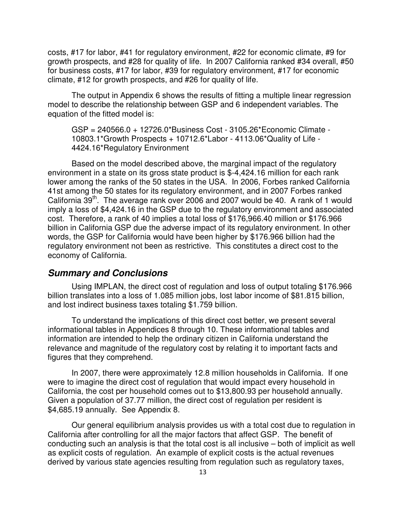costs, #17 for labor, #41 for regulatory environment, #22 for economic climate, #9 for growth prospects, and #28 for quality of life. In 2007 California ranked #34 overall, #50 for business costs, #17 for labor, #39 for regulatory environment, #17 for economic climate, #12 for growth prospects, and #26 for quality of life.

The output in Appendix 6 shows the results of fitting a multiple linear regression model to describe the relationship between GSP and 6 independent variables. The equation of the fitted model is:

GSP = 240566.0 + 12726.0\*Business Cost - 3105.26\*Economic Climate - 10803.1\*Growth Prospects + 10712.6\*Labor - 4113.06\*Quality of Life - 4424.16\*Regulatory Environment

Based on the model described above, the marginal impact of the regulatory environment in a state on its gross state product is \$-4,424.16 million for each rank lower among the ranks of the 50 states in the USA. In 2006, Forbes ranked California 41st among the 50 states for its regulatory environment, and in 2007 Forbes ranked California  $39<sup>th</sup>$ . The average rank over 2006 and 2007 would be 40. A rank of 1 would imply a loss of \$4,424.16 in the GSP due to the regulatory environment and associated cost. Therefore, a rank of 40 implies a total loss of \$176,966.40 million or \$176.966 billion in California GSP due the adverse impact of its regulatory environment. In other words, the GSP for California would have been higher by \$176.966 billion had the regulatory environment not been as restrictive. This constitutes a direct cost to the economy of California.

### **Summary and Conclusions**

Using IMPLAN, the direct cost of regulation and loss of output totaling \$176.966 billion translates into a loss of 1.085 million jobs, lost labor income of \$81.815 billion, and lost indirect business taxes totaling \$1.759 billion.

To understand the implications of this direct cost better, we present several informational tables in Appendices 8 through 10. These informational tables and information are intended to help the ordinary citizen in California understand the relevance and magnitude of the regulatory cost by relating it to important facts and figures that they comprehend.

In 2007, there were approximately 12.8 million households in California. If one were to imagine the direct cost of regulation that would impact every household in California, the cost per household comes out to \$13,800.93 per household annually. Given a population of 37.77 million, the direct cost of regulation per resident is \$4,685.19 annually. See Appendix 8.

Our general equilibrium analysis provides us with a total cost due to regulation in California after controlling for all the major factors that affect GSP. The benefit of conducting such an analysis is that the total cost is all inclusive – both of implicit as well as explicit costs of regulation. An example of explicit costs is the actual revenues derived by various state agencies resulting from regulation such as regulatory taxes,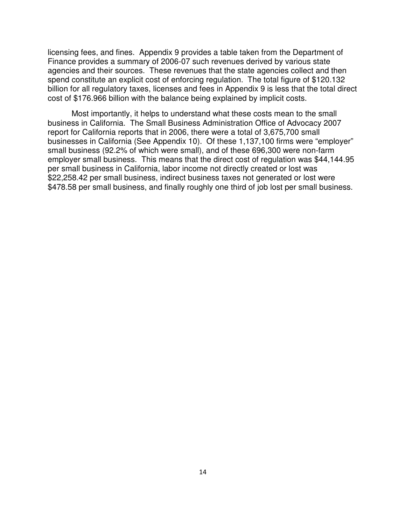licensing fees, and fines. Appendix 9 provides a table taken from the Department of Finance provides a summary of 2006-07 such revenues derived by various state agencies and their sources. These revenues that the state agencies collect and then spend constitute an explicit cost of enforcing regulation. The total figure of \$120.132 billion for all regulatory taxes, licenses and fees in Appendix 9 is less that the total direct cost of \$176.966 billion with the balance being explained by implicit costs.

Most importantly, it helps to understand what these costs mean to the small business in California. The Small Business Administration Office of Advocacy 2007 report for California reports that in 2006, there were a total of 3,675,700 small businesses in California (See Appendix 10). Of these 1,137,100 firms were "employer" small business (92.2% of which were small), and of these 696,300 were non-farm employer small business. This means that the direct cost of regulation was \$44,144.95 per small business in California, labor income not directly created or lost was \$22,258.42 per small business, indirect business taxes not generated or lost were \$478.58 per small business, and finally roughly one third of job lost per small business.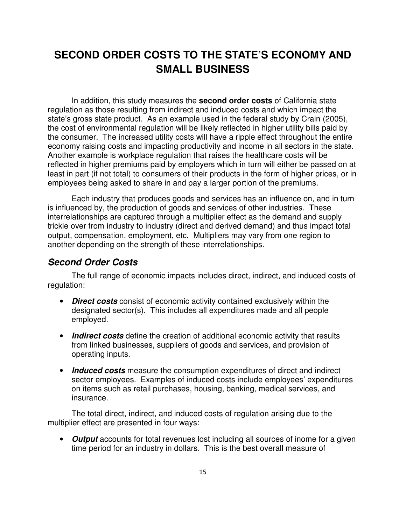# **SECOND ORDER COSTS TO THE STATE'S ECONOMY AND SMALL BUSINESS**

In addition, this study measures the **second order costs** of California state regulation as those resulting from indirect and induced costs and which impact the state's gross state product. As an example used in the federal study by Crain (2005), the cost of environmental regulation will be likely reflected in higher utility bills paid by the consumer. The increased utility costs will have a ripple effect throughout the entire economy raising costs and impacting productivity and income in all sectors in the state. Another example is workplace regulation that raises the healthcare costs will be reflected in higher premiums paid by employers which in turn will either be passed on at least in part (if not total) to consumers of their products in the form of higher prices, or in employees being asked to share in and pay a larger portion of the premiums.

Each industry that produces goods and services has an influence on, and in turn is influenced by, the production of goods and services of other industries. These interrelationships are captured through a multiplier effect as the demand and supply trickle over from industry to industry (direct and derived demand) and thus impact total output, compensation, employment, etc. Multipliers may vary from one region to another depending on the strength of these interrelationships.

### **Second Order Costs**

The full range of economic impacts includes direct, indirect, and induced costs of regulation:

- **Direct costs** consist of economic activity contained exclusively within the designated sector(s). This includes all expenditures made and all people employed.
- **Indirect costs** define the creation of additional economic activity that results from linked businesses, suppliers of goods and services, and provision of operating inputs.
- **Induced costs** measure the consumption expenditures of direct and indirect sector employees. Examples of induced costs include employees' expenditures on items such as retail purchases, housing, banking, medical services, and insurance.

The total direct, indirect, and induced costs of regulation arising due to the multiplier effect are presented in four ways:

• **Output** accounts for total revenues lost including all sources of inome for a given time period for an industry in dollars. This is the best overall measure of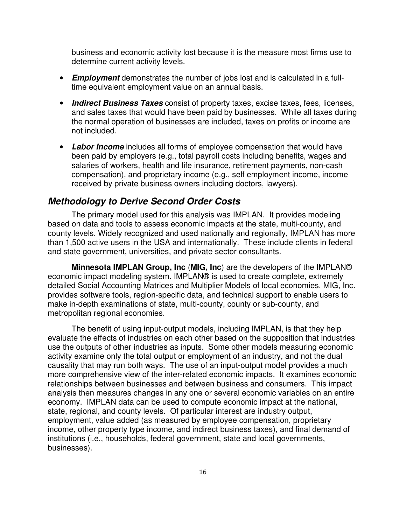business and economic activity lost because it is the measure most firms use to determine current activity levels.

- **Employment** demonstrates the number of jobs lost and is calculated in a fulltime equivalent employment value on an annual basis.
- **Indirect Business Taxes** consist of property taxes, excise taxes, fees, licenses, and sales taxes that would have been paid by businesses. While all taxes during the normal operation of businesses are included, taxes on profits or income are not included.
- **Labor Income** includes all forms of employee compensation that would have been paid by employers (e.g., total payroll costs including benefits, wages and salaries of workers, health and life insurance, retirement payments, non-cash compensation), and proprietary income (e.g., self employment income, income received by private business owners including doctors, lawyers).

### **Methodology to Derive Second Order Costs**

The primary model used for this analysis was IMPLAN. It provides modeling based on data and tools to assess economic impacts at the state, multi-county, and county levels. Widely recognized and used nationally and regionally, IMPLAN has more than 1,500 active users in the USA and internationally. These include clients in federal and state government, universities, and private sector consultants.

**Minnesota IMPLAN Group, Inc** (**MIG, Inc**) are the developers of the IMPLAN® economic impact modeling system. IMPLAN® is used to create complete, extremely detailed Social Accounting Matrices and Multiplier Models of local economies. MIG, Inc. provides software tools, region-specific data, and technical support to enable users to make in-depth examinations of state, multi-county, county or sub-county, and metropolitan regional economies.

The benefit of using input-output models, including IMPLAN, is that they help evaluate the effects of industries on each other based on the supposition that industries use the outputs of other industries as inputs. Some other models measuring economic activity examine only the total output or employment of an industry, and not the dual causality that may run both ways. The use of an input-output model provides a much more comprehensive view of the inter-related economic impacts. It examines economic relationships between businesses and between business and consumers. This impact analysis then measures changes in any one or several economic variables on an entire economy. IMPLAN data can be used to compute economic impact at the national, state, regional, and county levels. Of particular interest are industry output, employment, value added (as measured by employee compensation, proprietary income, other property type income, and indirect business taxes), and final demand of institutions (i.e., households, federal government, state and local governments, businesses).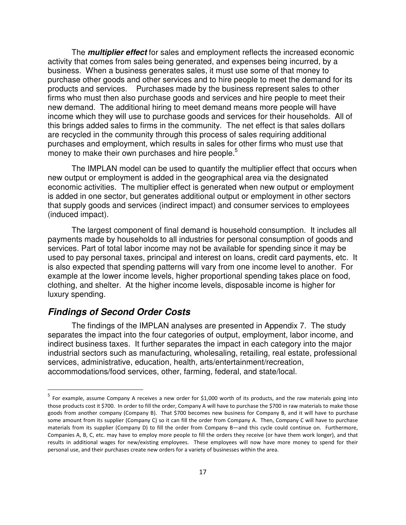The **multiplier effect** for sales and employment reflects the increased economic activity that comes from sales being generated, and expenses being incurred, by a business. When a business generates sales, it must use some of that money to purchase other goods and other services and to hire people to meet the demand for its products and services. Purchases made by the business represent sales to other firms who must then also purchase goods and services and hire people to meet their new demand. The additional hiring to meet demand means more people will have income which they will use to purchase goods and services for their households. All of this brings added sales to firms in the community. The net effect is that sales dollars are recycled in the community through this process of sales requiring additional purchases and employment, which results in sales for other firms who must use that money to make their own purchases and hire people.<sup>5</sup>

The IMPLAN model can be used to quantify the multiplier effect that occurs when new output or employment is added in the geographical area via the designated economic activities. The multiplier effect is generated when new output or employment is added in one sector, but generates additional output or employment in other sectors that supply goods and services (indirect impact) and consumer services to employees (induced impact).

The largest component of final demand is household consumption. It includes all payments made by households to all industries for personal consumption of goods and services. Part of total labor income may not be available for spending since it may be used to pay personal taxes, principal and interest on loans, credit card payments, etc. It is also expected that spending patterns will vary from one income level to another. For example at the lower income levels, higher proportional spending takes place on food, clothing, and shelter. At the higher income levels, disposable income is higher for luxury spending.

### **Findings of Second Order Costs**

l

The findings of the IMPLAN analyses are presented in Appendix 7. The study separates the impact into the four categories of output, employment, labor income, and indirect business taxes. It further separates the impact in each category into the major industrial sectors such as manufacturing, wholesaling, retailing, real estate, professional services, administrative, education, health, arts/entertainment/recreation, accommodations/food services, other, farming, federal, and state/local.

<sup>&</sup>lt;sup>5</sup> For example, assume Company A receives a new order for \$1,000 worth of its products, and the raw materials going into those products cost it \$700. In order to fill the order, Company A will have to purchase the \$700 in raw materials to make those goods from another company (Company B). That \$700 becomes new business for Company B, and it will have to purchase some amount from its supplier (Company C) so it can fill the order from Company A. Then, Company C will have to purchase materials from its supplier (Company D) to fill the order from Company B—and this cycle could continue on. Furthermore, Companies A, B, C, etc. may have to employ more people to fill the orders they receive (or have them work longer), and that results in additional wages for new/existing employees. These employees will now have more money to spend for their personal use, and their purchases create new orders for a variety of businesses within the area.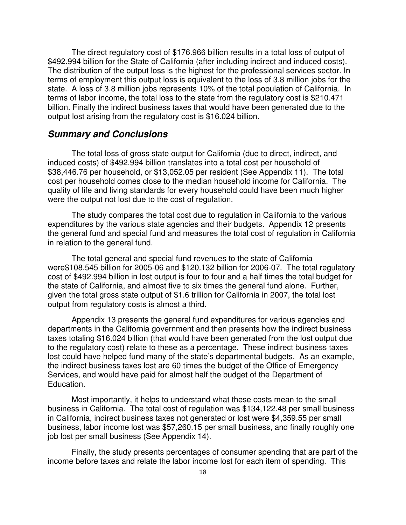The direct regulatory cost of \$176.966 billion results in a total loss of output of \$492.994 billion for the State of California (after including indirect and induced costs). The distribution of the output loss is the highest for the professional services sector. In terms of employment this output loss is equivalent to the loss of 3.8 million jobs for the state. A loss of 3.8 million jobs represents 10% of the total population of California. In terms of labor income, the total loss to the state from the regulatory cost is \$210.471 billion. Finally the indirect business taxes that would have been generated due to the output lost arising from the regulatory cost is \$16.024 billion.

### **Summary and Conclusions**

The total loss of gross state output for California (due to direct, indirect, and induced costs) of \$492.994 billion translates into a total cost per household of \$38,446.76 per household, or \$13,052.05 per resident (See Appendix 11). The total cost per household comes close to the median household income for California. The quality of life and living standards for every household could have been much higher were the output not lost due to the cost of regulation.

The study compares the total cost due to regulation in California to the various expenditures by the various state agencies and their budgets. Appendix 12 presents the general fund and special fund and measures the total cost of regulation in California in relation to the general fund.

The total general and special fund revenues to the state of California were\$108.545 billion for 2005-06 and \$120.132 billion for 2006-07. The total regulatory cost of \$492.994 billion in lost output is four to four and a half times the total budget for the state of California, and almost five to six times the general fund alone. Further, given the total gross state output of \$1.6 trillion for California in 2007, the total lost output from regulatory costs is almost a third.

Appendix 13 presents the general fund expenditures for various agencies and departments in the California government and then presents how the indirect business taxes totaling \$16.024 billion (that would have been generated from the lost output due to the regulatory cost) relate to these as a percentage. These indirect business taxes lost could have helped fund many of the state's departmental budgets. As an example, the indirect business taxes lost are 60 times the budget of the Office of Emergency Services, and would have paid for almost half the budget of the Department of Education.

Most importantly, it helps to understand what these costs mean to the small business in California. The total cost of regulation was \$134,122.48 per small business in California, indirect business taxes not generated or lost were \$4,359.55 per small business, labor income lost was \$57,260.15 per small business, and finally roughly one job lost per small business (See Appendix 14).

Finally, the study presents percentages of consumer spending that are part of the income before taxes and relate the labor income lost for each item of spending. This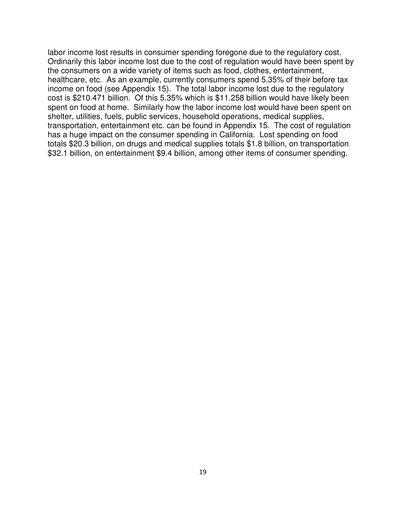labor income lost results in consumer spending foregone due to the regulatory cost. Ordinarily this labor income lost due to the cost of regulation would have been spent by the consumers on a wide variety of items such as food, clothes, entertainment, healthcare, etc. As an example, currently consumers spend 5.35% of their before tax income on food (see Appendix 15). The total labor income lost due to the regulatory cost is \$210.471 billion. Of this 5.35% which is \$11.258 billion would have likely been spent on food at home. Similarly how the labor income lost would have been spent on shelter, utilities, fuels, public services, household operations, medical supplies, transportation, entertainment etc. can be found in Appendix 15. The cost of regulation has a huge impact on the consumer spending in California. Lost spending on food totals \$20.3 billion, on drugs and medical supplies totals \$1.8 billion, on transportation \$32.1 billion, on entertainment \$9.4 billion, among other items of consumer spending.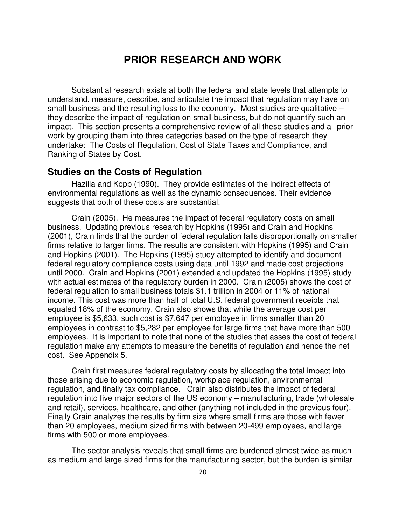## **PRIOR RESEARCH AND WORK**

Substantial research exists at both the federal and state levels that attempts to understand, measure, describe, and articulate the impact that regulation may have on small business and the resulting loss to the economy. Most studies are qualitative they describe the impact of regulation on small business, but do not quantify such an impact. This section presents a comprehensive review of all these studies and all prior work by grouping them into three categories based on the type of research they undertake: The Costs of Regulation, Cost of State Taxes and Compliance, and Ranking of States by Cost.

### **Studies on the Costs of Regulation**

Hazilla and Kopp (1990). They provide estimates of the indirect effects of environmental regulations as well as the dynamic consequences. Their evidence suggests that both of these costs are substantial.

Crain (2005). He measures the impact of federal regulatory costs on small business. Updating previous research by Hopkins (1995) and Crain and Hopkins (2001), Crain finds that the burden of federal regulation falls disproportionally on smaller firms relative to larger firms. The results are consistent with Hopkins (1995) and Crain and Hopkins (2001). The Hopkins (1995) study attempted to identify and document federal regulatory compliance costs using data until 1992 and made cost projections until 2000. Crain and Hopkins (2001) extended and updated the Hopkins (1995) study with actual estimates of the regulatory burden in 2000. Crain (2005) shows the cost of federal regulation to small business totals \$1.1 trillion in 2004 or 11% of national income. This cost was more than half of total U.S. federal government receipts that equaled 18% of the economy. Crain also shows that while the average cost per employee is \$5,633, such cost is \$7,647 per employee in firms smaller than 20 employees in contrast to \$5,282 per employee for large firms that have more than 500 employees. It is important to note that none of the studies that asses the cost of federal regulation make any attempts to measure the benefits of regulation and hence the net cost. See Appendix 5.

Crain first measures federal regulatory costs by allocating the total impact into those arising due to economic regulation, workplace regulation, environmental regulation, and finally tax compliance. Crain also distributes the impact of federal regulation into five major sectors of the US economy – manufacturing, trade (wholesale and retail), services, healthcare, and other (anything not included in the previous four). Finally Crain analyzes the results by firm size where small firms are those with fewer than 20 employees, medium sized firms with between 20-499 employees, and large firms with 500 or more employees.

The sector analysis reveals that small firms are burdened almost twice as much as medium and large sized firms for the manufacturing sector, but the burden is similar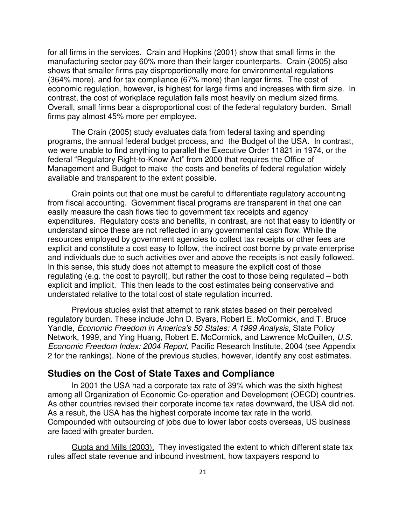for all firms in the services. Crain and Hopkins (2001) show that small firms in the manufacturing sector pay 60% more than their larger counterparts. Crain (2005) also shows that smaller firms pay disproportionally more for environmental regulations (364% more), and for tax compliance (67% more) than larger firms. The cost of economic regulation, however, is highest for large firms and increases with firm size. In contrast, the cost of workplace regulation falls most heavily on medium sized firms. Overall, small firms bear a disproportional cost of the federal regulatory burden. Small firms pay almost 45% more per employee.

The Crain (2005) study evaluates data from federal taxing and spending programs, the annual federal budget process, and the Budget of the USA. In contrast, we were unable to find anything to parallel the Executive Order 11821 in 1974, or the federal "Regulatory Right-to-Know Act" from 2000 that requires the Office of Management and Budget to make the costs and benefits of federal regulation widely available and transparent to the extent possible.

Crain points out that one must be careful to differentiate regulatory accounting from fiscal accounting. Government fiscal programs are transparent in that one can easily measure the cash flows tied to government tax receipts and agency expenditures. Regulatory costs and benefits, in contrast, are not that easy to identify or understand since these are not reflected in any governmental cash flow. While the resources employed by government agencies to collect tax receipts or other fees are explicit and constitute a cost easy to follow, the indirect cost borne by private enterprise and individuals due to such activities over and above the receipts is not easily followed. In this sense, this study does not attempt to measure the explicit cost of those regulating (e.g. the cost to payroll), but rather the cost to those being regulated – both explicit and implicit. This then leads to the cost estimates being conservative and understated relative to the total cost of state regulation incurred.

Previous studies exist that attempt to rank states based on their perceived regulatory burden. These include John D. Byars, Robert E. McCormick, and T. Bruce Yandle, Economic Freedom in America's 50 States: A 1999 Analysis, State Policy Network, 1999, and Ying Huang, Robert E. McCormick, and Lawrence McQuillen, U.S. Economic Freedom Index: 2004 Report, Pacific Research Institute, 2004 (see Appendix 2 for the rankings). None of the previous studies, however, identify any cost estimates.

### **Studies on the Cost of State Taxes and Compliance**

In 2001 the USA had a corporate tax rate of 39% which was the sixth highest among all Organization of Economic Co-operation and Development (OECD) countries. As other countries revised their corporate income tax rates downward, the USA did not. As a result, the USA has the highest corporate income tax rate in the world. Compounded with outsourcing of jobs due to lower labor costs overseas, US business are faced with greater burden.

Gupta and Mills (2003). They investigated the extent to which different state tax rules affect state revenue and inbound investment, how taxpayers respond to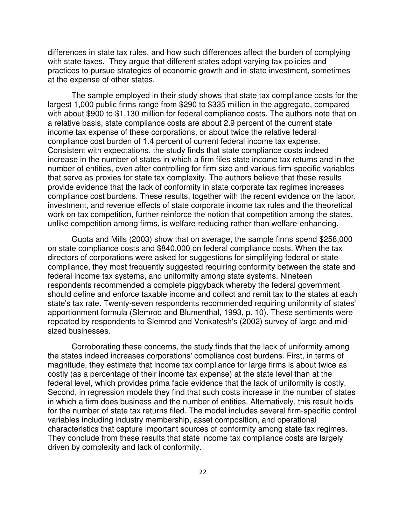differences in state tax rules, and how such differences affect the burden of complying with state taxes. They argue that different states adopt varying tax policies and practices to pursue strategies of economic growth and in-state investment, sometimes at the expense of other states.

The sample employed in their study shows that state tax compliance costs for the largest 1,000 public firms range from \$290 to \$335 million in the aggregate, compared with about \$900 to \$1,130 million for federal compliance costs. The authors note that on a relative basis, state compliance costs are about 2.9 percent of the current state income tax expense of these corporations, or about twice the relative federal compliance cost burden of 1.4 percent of current federal income tax expense. Consistent with expectations, the study finds that state compliance costs indeed increase in the number of states in which a firm files state income tax returns and in the number of entities, even after controlling for firm size and various firm-specific variables that serve as proxies for state tax complexity. The authors believe that these results provide evidence that the lack of conformity in state corporate tax regimes increases compliance cost burdens. These results, together with the recent evidence on the labor, investment, and revenue effects of state corporate income tax rules and the theoretical work on tax competition, further reinforce the notion that competition among the states, unlike competition among firms, is welfare-reducing rather than welfare-enhancing.

Gupta and Mills (2003) show that on average, the sample firms spend \$258,000 on state compliance costs and \$840,000 on federal compliance costs. When the tax directors of corporations were asked for suggestions for simplifying federal or state compliance, they most frequently suggested requiring conformity between the state and federal income tax systems, and uniformity among state systems. Nineteen respondents recommended a complete piggyback whereby the federal government should define and enforce taxable income and collect and remit tax to the states at each state's tax rate. Twenty-seven respondents recommended requiring uniformity of states' apportionment formula (Slemrod and Blumenthal, 1993, p. 10). These sentiments were repeated by respondents to Slemrod and Venkatesh's (2002) survey of large and midsized businesses.

Corroborating these concerns, the study finds that the lack of uniformity among the states indeed increases corporations' compliance cost burdens. First, in terms of magnitude, they estimate that income tax compliance for large firms is about twice as costly (as a percentage of their income tax expense) at the state level than at the federal level, which provides prima facie evidence that the lack of uniformity is costly. Second, in regression models they find that such costs increase in the number of states in which a firm does business and the number of entities. Alternatively, this result holds for the number of state tax returns filed. The model includes several firm-specific control variables including industry membership, asset composition, and operational characteristics that capture important sources of conformity among state tax regimes. They conclude from these results that state income tax compliance costs are largely driven by complexity and lack of conformity.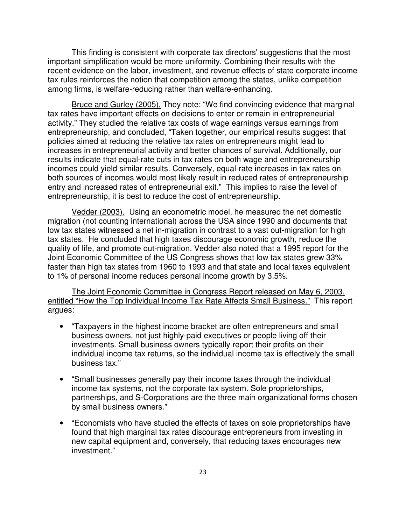This finding is consistent with corporate tax directors' suggestions that the most important simplification would be more uniformity. Combining their results with the recent evidence on the labor, investment, and revenue effects of state corporate income tax rules reinforces the notion that competition among the states, unlike competition among firms, is welfare-reducing rather than welfare-enhancing.

Bruce and Gurley (2005), They note: "We find convincing evidence that marginal tax rates have important effects on decisions to enter or remain in entrepreneurial activity." They studied the relative tax costs of wage earnings versus earnings from entrepreneurship, and concluded, "Taken together, our empirical results suggest that policies aimed at reducing the relative tax rates on entrepreneurs might lead to increases in entrepreneurial activity and better chances of survival. Additionally, our results indicate that equal-rate cuts in tax rates on both wage and entrepreneurship incomes could yield similar results. Conversely, equal-rate increases in tax rates on both sources of incomes would most likely result in reduced rates of entrepreneurship entry and increased rates of entrepreneurial exit." This implies to raise the level of entrepreneurship, it is best to reduce the cost of entrepreneurship.

Vedder (2003). Using an econometric model, he measured the net domestic migration (not counting international) across the USA since 1990 and documents that low tax states witnessed a net in-migration in contrast to a vast out-migration for high tax states. He concluded that high taxes discourage economic growth, reduce the quality of life, and promote out-migration. Vedder also noted that a 1995 report for the Joint Economic Committee of the US Congress shows that low tax states grew 33% faster than high tax states from 1960 to 1993 and that state and local taxes equivalent to 1% of personal income reduces personal income growth by 3.5%.

The Joint Economic Committee in Congress Report released on May 6, 2003, entitled "How the Top Individual Income Tax Rate Affects Small Business." This report argues:

- "Taxpayers in the highest income bracket are often entrepreneurs and small business owners, not just highly-paid executives or people living off their investments. Small business owners typically report their profits on their individual income tax returns, so the individual income tax is effectively the small business tax."
- "Small businesses generally pay their income taxes through the individual income tax systems, not the corporate tax system. Sole proprietorships, partnerships, and S-Corporations are the three main organizational forms chosen by small business owners."
- "Economists who have studied the effects of taxes on sole proprietorships have found that high marginal tax rates discourage entrepreneurs from investing in new capital equipment and, conversely, that reducing taxes encourages new investment."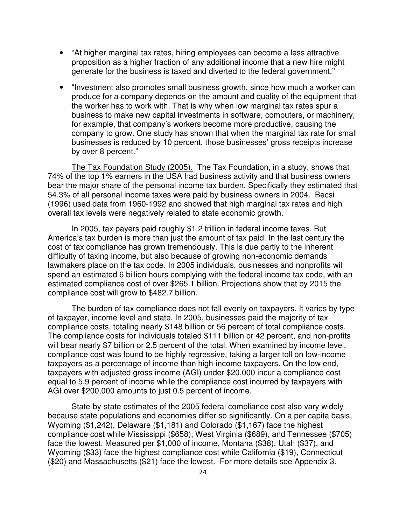- "At higher marginal tax rates, hiring employees can become a less attractive proposition as a higher fraction of any additional income that a new hire might generate for the business is taxed and diverted to the federal government."
- "Investment also promotes small business growth, since how much a worker can produce for a company depends on the amount and quality of the equipment that the worker has to work with. That is why when low marginal tax rates spur a business to make new capital investments in software, computers, or machinery, for example, that company's workers become more productive, causing the company to grow. One study has shown that when the marginal tax rate for small businesses is reduced by 10 percent, those businesses' gross receipts increase by over 8 percent."

The Tax Foundation Study (2005). The Tax Foundation, in a study, shows that 74% of the top 1% earners in the USA had business activity and that business owners bear the major share of the personal income tax burden. Specifically they estimated that 54.3% of all personal income taxes were paid by business owners in 2004. Becsi (1996) used data from 1960-1992 and showed that high marginal tax rates and high overall tax levels were negatively related to state economic growth.

In 2005, tax payers paid roughly \$1.2 trillion in federal income taxes. But America's tax burden is more than just the amount of tax paid. In the last century the cost of tax compliance has grown tremendously. This is due partly to the inherent difficulty of taxing income, but also because of growing non-economic demands lawmakers place on the tax code. In 2005 individuals, businesses and nonprofits will spend an estimated 6 billion hours complying with the federal income tax code, with an estimated compliance cost of over \$265.1 billion. Projections show that by 2015 the compliance cost will grow to \$482.7 billion.

The burden of tax compliance does not fall evenly on taxpayers. It varies by type of taxpayer, income level and state. In 2005, businesses paid the majority of tax compliance costs, totaling nearly \$148 billion or 56 percent of total compliance costs. The compliance costs for individuals totaled \$111 billion or 42 percent, and non-profits will bear nearly \$7 billion or 2.5 percent of the total. When examined by income level, compliance cost was found to be highly regressive, taking a larger toll on low-income taxpayers as a percentage of income than high-income taxpayers. On the low end, taxpayers with adjusted gross income (AGI) under \$20,000 incur a compliance cost equal to 5.9 percent of income while the compliance cost incurred by taxpayers with AGI over \$200,000 amounts to just 0.5 percent of income.

State-by-state estimates of the 2005 federal compliance cost also vary widely because state populations and economies differ so significantly. On a per capita basis, Wyoming (\$1,242), Delaware (\$1,181) and Colorado (\$1,167) face the highest compliance cost while Mississippi (\$658), West Virginia (\$689), and Tennessee (\$705) face the lowest. Measured per \$1,000 of income, Montana (\$38), Utah (\$37), and Wyoming (\$33) face the highest compliance cost while California (\$19), Connecticut (\$20) and Massachusetts (\$21) face the lowest. For more details see Appendix 3.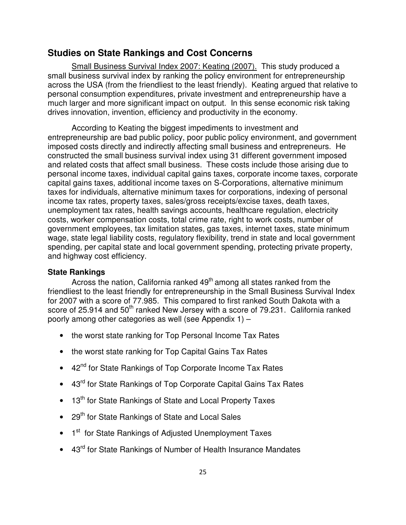### **Studies on State Rankings and Cost Concerns**

Small Business Survival Index 2007: Keating (2007). This study produced a small business survival index by ranking the policy environment for entrepreneurship across the USA (from the friendliest to the least friendly). Keating argued that relative to personal consumption expenditures, private investment and entrepreneurship have a much larger and more significant impact on output. In this sense economic risk taking drives innovation, invention, efficiency and productivity in the economy.

According to Keating the biggest impediments to investment and entrepreneurship are bad public policy, poor public policy environment, and government imposed costs directly and indirectly affecting small business and entrepreneurs. He constructed the small business survival index using 31 different government imposed and related costs that affect small business. These costs include those arising due to personal income taxes, individual capital gains taxes, corporate income taxes, corporate capital gains taxes, additional income taxes on S-Corporations, alternative minimum taxes for individuals, alternative minimum taxes for corporations, indexing of personal income tax rates, property taxes, sales/gross receipts/excise taxes, death taxes, unemployment tax rates, health savings accounts, healthcare regulation, electricity costs, worker compensation costs, total crime rate, right to work costs, number of government employees, tax limitation states, gas taxes, internet taxes, state minimum wage, state legal liability costs, regulatory flexibility, trend in state and local government spending, per capital state and local government spending, protecting private property, and highway cost efficiency.

### **State Rankings**

Across the nation, California ranked  $49<sup>th</sup>$  among all states ranked from the friendliest to the least friendly for entrepreneurship in the Small Business Survival Index for 2007 with a score of 77.985. This compared to first ranked South Dakota with a score of 25.914 and 50<sup>th</sup> ranked New Jersey with a score of 79.231. California ranked poorly among other categories as well (see Appendix 1) –

- the worst state ranking for Top Personal Income Tax Rates
- the worst state ranking for Top Capital Gains Tax Rates
- 42<sup>nd</sup> for State Rankings of Top Corporate Income Tax Rates
- 43<sup>rd</sup> for State Rankings of Top Corporate Capital Gains Tax Rates
- 13<sup>th</sup> for State Rankings of State and Local Property Taxes
- 29<sup>th</sup> for State Rankings of State and Local Sales
- 1<sup>st</sup> for State Rankings of Adjusted Unemployment Taxes
- 43<sup>rd</sup> for State Rankings of Number of Health Insurance Mandates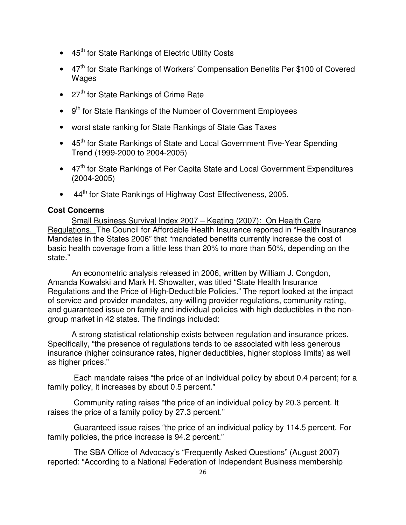- 45<sup>th</sup> for State Rankings of Electric Utility Costs
- 47<sup>th</sup> for State Rankings of Workers' Compensation Benefits Per \$100 of Covered Wages
- $\bullet$  27<sup>th</sup> for State Rankings of Crime Rate
- 9<sup>th</sup> for State Rankings of the Number of Government Employees
- worst state ranking for State Rankings of State Gas Taxes
- 45<sup>th</sup> for State Rankings of State and Local Government Five-Year Spending Trend (1999-2000 to 2004-2005)
- 47<sup>th</sup> for State Rankings of Per Capita State and Local Government Expenditures (2004-2005)
- 44<sup>th</sup> for State Rankings of Highway Cost Effectiveness, 2005.

### **Cost Concerns**

Small Business Survival Index 2007 – Keating (2007): On Health Care Regulations. The Council for Affordable Health Insurance reported in "Health Insurance Mandates in the States 2006" that "mandated benefits currently increase the cost of basic health coverage from a little less than 20% to more than 50%, depending on the state."

An econometric analysis released in 2006, written by William J. Congdon, Amanda Kowalski and Mark H. Showalter, was titled "State Health Insurance Regulations and the Price of High-Deductible Policies." The report looked at the impact of service and provider mandates, any-willing provider regulations, community rating, and guaranteed issue on family and individual policies with high deductibles in the nongroup market in 42 states. The findings included:

A strong statistical relationship exists between regulation and insurance prices. Specifically, "the presence of regulations tends to be associated with less generous insurance (higher coinsurance rates, higher deductibles, higher stoploss limits) as well as higher prices."

 Each mandate raises "the price of an individual policy by about 0.4 percent; for a family policy, it increases by about 0.5 percent."

 Community rating raises "the price of an individual policy by 20.3 percent. It raises the price of a family policy by 27.3 percent."

 Guaranteed issue raises "the price of an individual policy by 114.5 percent. For family policies, the price increase is 94.2 percent."

 The SBA Office of Advocacy's "Frequently Asked Questions" (August 2007) reported: "According to a National Federation of Independent Business membership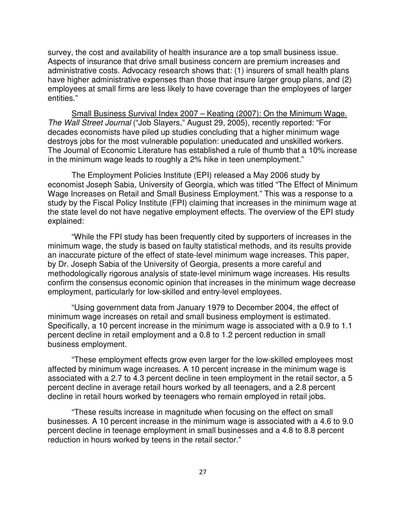survey, the cost and availability of health insurance are a top small business issue. Aspects of insurance that drive small business concern are premium increases and administrative costs. Advocacy research shows that: (1) insurers of small health plans have higher administrative expenses than those that insure larger group plans, and (2) employees at small firms are less likely to have coverage than the employees of larger entities."

Small Business Survival Index 2007 – Keating (2007): On the Minimum Wage. The Wall Street Journal ("Job Slayers," August 29, 2005), recently reported: "For decades economists have piled up studies concluding that a higher minimum wage destroys jobs for the most vulnerable population: uneducated and unskilled workers. The Journal of Economic Literature has established a rule of thumb that a 10% increase in the minimum wage leads to roughly a 2% hike in teen unemployment."

The Employment Policies Institute (EPI) released a May 2006 study by economist Joseph Sabia, University of Georgia, which was titled "The Effect of Minimum Wage Increases on Retail and Small Business Employment." This was a response to a study by the Fiscal Policy Institute (FPI) claiming that increases in the minimum wage at the state level do not have negative employment effects. The overview of the EPI study explained:

"While the FPI study has been frequently cited by supporters of increases in the minimum wage, the study is based on faulty statistical methods, and its results provide an inaccurate picture of the effect of state-level minimum wage increases. This paper, by Dr. Joseph Sabia of the University of Georgia, presents a more careful and methodologically rigorous analysis of state-level minimum wage increases. His results confirm the consensus economic opinion that increases in the minimum wage decrease employment, particularly for low-skilled and entry-level employees.

"Using government data from January 1979 to December 2004, the effect of minimum wage increases on retail and small business employment is estimated. Specifically, a 10 percent increase in the minimum wage is associated with a 0.9 to 1.1 percent decline in retail employment and a 0.8 to 1.2 percent reduction in small business employment.

"These employment effects grow even larger for the low-skilled employees most affected by minimum wage increases. A 10 percent increase in the minimum wage is associated with a 2.7 to 4.3 percent decline in teen employment in the retail sector, a 5 percent decline in average retail hours worked by all teenagers, and a 2.8 percent decline in retail hours worked by teenagers who remain employed in retail jobs.

"These results increase in magnitude when focusing on the effect on small businesses. A 10 percent increase in the minimum wage is associated with a 4.6 to 9.0 percent decline in teenage employment in small businesses and a 4.8 to 8.8 percent reduction in hours worked by teens in the retail sector."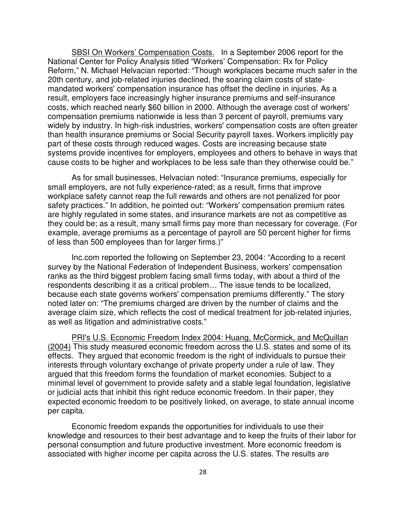SBSI On Workers' Compensation Costs. In a September 2006 report for the National Center for Policy Analysis titled "Workers' Compensation: Rx for Policy Reform," N. Michael Helvacian reported: "Though workplaces became much safer in the 20th century, and job-related injuries declined, the soaring claim costs of statemandated workers' compensation insurance has offset the decline in injuries. As a result, employers face increasingly higher insurance premiums and self-insurance costs, which reached nearly \$60 billion in 2000. Although the average cost of workers' compensation premiums nationwide is less than 3 percent of payroll, premiums vary widely by industry. In high-risk industries, workers' compensation costs are often greater than health insurance premiums or Social Security payroll taxes. Workers implicitly pay part of these costs through reduced wages. Costs are increasing because state systems provide incentives for employers, employees and others to behave in ways that cause costs to be higher and workplaces to be less safe than they otherwise could be."

As for small businesses, Helvacian noted: "Insurance premiums, especially for small employers, are not fully experience-rated; as a result, firms that improve workplace safety cannot reap the full rewards and others are not penalized for poor safety practices." In addition, he pointed out: "Workers' compensation premium rates are highly regulated in some states, and insurance markets are not as competitive as they could be; as a result, many small firms pay more than necessary for coverage. (For example, average premiums as a percentage of payroll are 50 percent higher for firms of less than 500 employees than for larger firms.)"

Inc.com reported the following on September 23, 2004: "According to a recent survey by the National Federation of Independent Business, workers' compensation ranks as the third biggest problem facing small firms today, with about a third of the respondents describing it as a critical problem… The issue tends to be localized, because each state governs workers' compensation premiums differently." The story noted later on: "The premiums charged are driven by the number of claims and the average claim size, which reflects the cost of medical treatment for job-related injuries, as well as litigation and administrative costs."

PRI's U.S. Economic Freedom Index 2004: Huang, McCormick, and McQuillan (2004) This study measured economic freedom across the U.S. states and some of its effects. They argued that economic freedom is the right of individuals to pursue their interests through voluntary exchange of private property under a rule of law. They argued that this freedom forms the foundation of market economies. Subject to a minimal level of government to provide safety and a stable legal foundation, legislative or judicial acts that inhibit this right reduce economic freedom. In their paper, they expected economic freedom to be positively linked, on average, to state annual income per capita.

Economic freedom expands the opportunities for individuals to use their knowledge and resources to their best advantage and to keep the fruits of their labor for personal consumption and future productive investment. More economic freedom is associated with higher income per capita across the U.S. states. The results are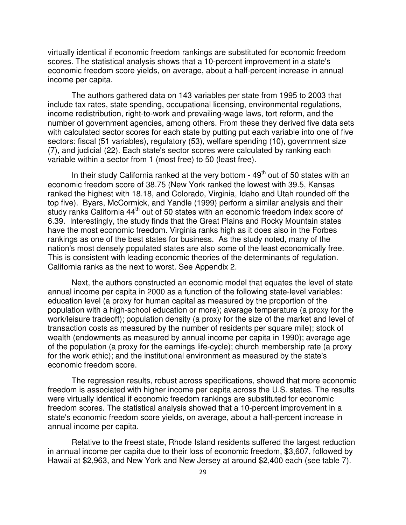virtually identical if economic freedom rankings are substituted for economic freedom scores. The statistical analysis shows that a 10-percent improvement in a state's economic freedom score yields, on average, about a half-percent increase in annual income per capita.

The authors gathered data on 143 variables per state from 1995 to 2003 that include tax rates, state spending, occupational licensing, environmental regulations, income redistribution, right-to-work and prevailing-wage laws, tort reform, and the number of government agencies, among others. From these they derived five data sets with calculated sector scores for each state by putting put each variable into one of five sectors: fiscal (51 variables), regulatory (53), welfare spending (10), government size (7), and judicial (22). Each state's sector scores were calculated by ranking each variable within a sector from 1 (most free) to 50 (least free).

In their study California ranked at the very bottom -  $49<sup>th</sup>$  out of 50 states with an economic freedom score of 38.75 (New York ranked the lowest with 39.5, Kansas ranked the highest with 18.18, and Colorado, Virginia, Idaho and Utah rounded off the top five). Byars, McCormick, and Yandle (1999) perform a similar analysis and their study ranks California 44<sup>th</sup> out of 50 states with an economic freedom index score of 6.39. Interestingly, the study finds that the Great Plains and Rocky Mountain states have the most economic freedom. Virginia ranks high as it does also in the Forbes rankings as one of the best states for business. As the study noted, many of the nation's most densely populated states are also some of the least economically free. This is consistent with leading economic theories of the determinants of regulation. California ranks as the next to worst. See Appendix 2.

Next, the authors constructed an economic model that equates the level of state annual income per capita in 2000 as a function of the following state-level variables: education level (a proxy for human capital as measured by the proportion of the population with a high-school education or more); average temperature (a proxy for the work/leisure tradeoff); population density (a proxy for the size of the market and level of transaction costs as measured by the number of residents per square mile); stock of wealth (endowments as measured by annual income per capita in 1990); average age of the population (a proxy for the earnings life-cycle); church membership rate (a proxy for the work ethic); and the institutional environment as measured by the state's economic freedom score.

The regression results, robust across specifications, showed that more economic freedom is associated with higher income per capita across the U.S. states. The results were virtually identical if economic freedom rankings are substituted for economic freedom scores. The statistical analysis showed that a 10-percent improvement in a state's economic freedom score yields, on average, about a half-percent increase in annual income per capita.

Relative to the freest state, Rhode Island residents suffered the largest reduction in annual income per capita due to their loss of economic freedom, \$3,607, followed by Hawaii at \$2,963, and New York and New Jersey at around \$2,400 each (see table 7).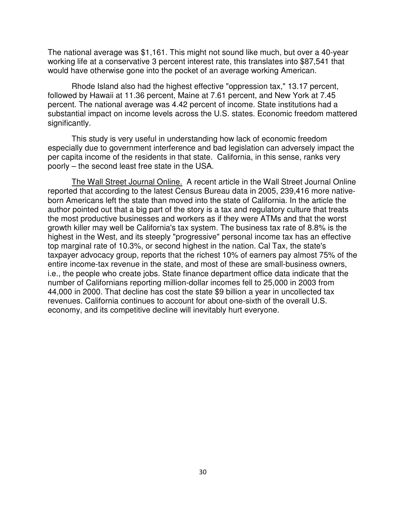The national average was \$1,161. This might not sound like much, but over a 40-year working life at a conservative 3 percent interest rate, this translates into \$87,541 that would have otherwise gone into the pocket of an average working American.

Rhode Island also had the highest effective "oppression tax," 13.17 percent, followed by Hawaii at 11.36 percent, Maine at 7.61 percent, and New York at 7.45 percent. The national average was 4.42 percent of income. State institutions had a substantial impact on income levels across the U.S. states. Economic freedom mattered significantly.

This study is very useful in understanding how lack of economic freedom especially due to government interference and bad legislation can adversely impact the per capita income of the residents in that state. California, in this sense, ranks very poorly – the second least free state in the USA.

The Wall Street Journal Online. A recent article in the Wall Street Journal Online reported that according to the latest Census Bureau data in 2005, 239,416 more nativeborn Americans left the state than moved into the state of California. In the article the author pointed out that a big part of the story is a tax and regulatory culture that treats the most productive businesses and workers as if they were ATMs and that the worst growth killer may well be California's tax system. The business tax rate of 8.8% is the highest in the West, and its steeply "progressive" personal income tax has an effective top marginal rate of 10.3%, or second highest in the nation. Cal Tax, the state's taxpayer advocacy group, reports that the richest 10% of earners pay almost 75% of the entire income-tax revenue in the state, and most of these are small-business owners, i.e., the people who create jobs. State finance department office data indicate that the number of Californians reporting million-dollar incomes fell to 25,000 in 2003 from 44,000 in 2000. That decline has cost the state \$9 billion a year in uncollected tax revenues. California continues to account for about one-sixth of the overall U.S. economy, and its competitive decline will inevitably hurt everyone.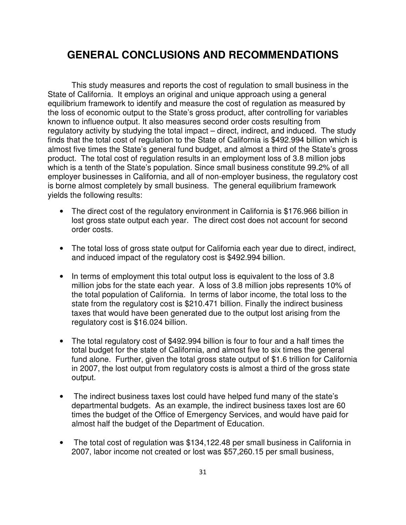## **GENERAL CONCLUSIONS AND RECOMMENDATIONS**

This study measures and reports the cost of regulation to small business in the State of California. It employs an original and unique approach using a general equilibrium framework to identify and measure the cost of regulation as measured by the loss of economic output to the State's gross product, after controlling for variables known to influence output. It also measures second order costs resulting from regulatory activity by studying the total impact – direct, indirect, and induced. The study finds that the total cost of regulation to the State of California is \$492.994 billion which is almost five times the State's general fund budget, and almost a third of the State's gross product. The total cost of regulation results in an employment loss of 3.8 million jobs which is a tenth of the State's population. Since small business constitute 99.2% of all employer businesses in California, and all of non-employer business, the regulatory cost is borne almost completely by small business. The general equilibrium framework yields the following results:

- The direct cost of the regulatory environment in California is \$176.966 billion in lost gross state output each year. The direct cost does not account for second order costs.
- The total loss of gross state output for California each year due to direct, indirect, and induced impact of the regulatory cost is \$492.994 billion.
- In terms of employment this total output loss is equivalent to the loss of 3.8 million jobs for the state each year. A loss of 3.8 million jobs represents 10% of the total population of California. In terms of labor income, the total loss to the state from the regulatory cost is \$210.471 billion. Finally the indirect business taxes that would have been generated due to the output lost arising from the regulatory cost is \$16.024 billion.
- The total regulatory cost of \$492.994 billion is four to four and a half times the total budget for the state of California, and almost five to six times the general fund alone. Further, given the total gross state output of \$1.6 trillion for California in 2007, the lost output from regulatory costs is almost a third of the gross state output.
- The indirect business taxes lost could have helped fund many of the state's departmental budgets. As an example, the indirect business taxes lost are 60 times the budget of the Office of Emergency Services, and would have paid for almost half the budget of the Department of Education.
- The total cost of regulation was \$134,122.48 per small business in California in 2007, labor income not created or lost was \$57,260.15 per small business,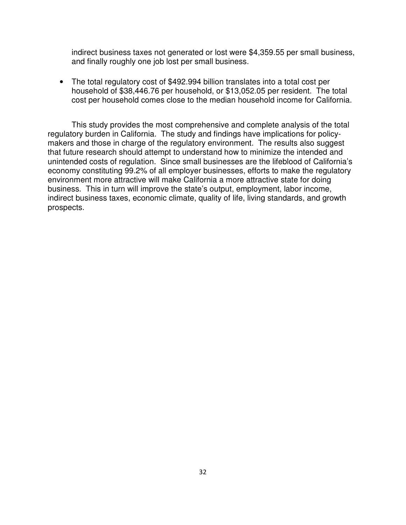indirect business taxes not generated or lost were \$4,359.55 per small business, and finally roughly one job lost per small business.

• The total regulatory cost of \$492.994 billion translates into a total cost per household of \$38,446.76 per household, or \$13,052.05 per resident. The total cost per household comes close to the median household income for California.

This study provides the most comprehensive and complete analysis of the total regulatory burden in California. The study and findings have implications for policymakers and those in charge of the regulatory environment. The results also suggest that future research should attempt to understand how to minimize the intended and unintended costs of regulation. Since small businesses are the lifeblood of California's economy constituting 99.2% of all employer businesses, efforts to make the regulatory environment more attractive will make California a more attractive state for doing business. This in turn will improve the state's output, employment, labor income, indirect business taxes, economic climate, quality of life, living standards, and growth prospects.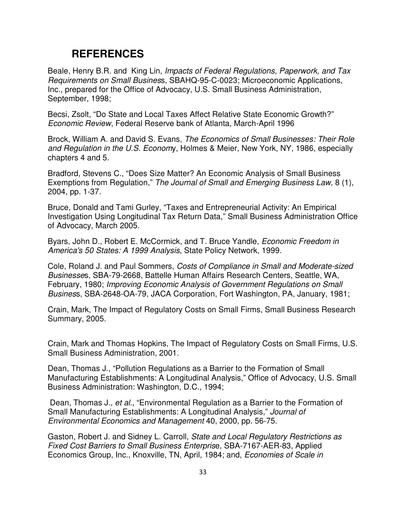## **REFERENCES**

Beale, Henry B.R. and King Lin, Impacts of Federal Regulations, Paperwork, and Tax Requirements on Small Business, SBAHQ-95-C-0023; Microeconomic Applications, Inc., prepared for the Office of Advocacy, U.S. Small Business Administration, September, 1998;

Becsi, Zsolt, "Do State and Local Taxes Affect Relative State Economic Growth?" Economic Review, Federal Reserve bank of Atlanta, March-April 1996

Brock, William A. and David S. Evans, The Economics of Small Businesses: Their Role and Regulation in the U.S. Economy, Holmes & Meier, New York, NY, 1986, especially chapters 4 and 5.

Bradford, Stevens C., "Does Size Matter? An Economic Analysis of Small Business Exemptions from Regulation," The Journal of Small and Emerging Business Law, 8 (1), 2004, pp. 1-37.

Bruce, Donald and Tami Gurley, "Taxes and Entrepreneurial Activity: An Empirical Investigation Using Longitudinal Tax Return Data," Small Business Administration Office of Advocacy, March 2005.

Byars, John D., Robert E. McCormick, and T. Bruce Yandle, Economic Freedom in America's 50 States: A 1999 Analysis, State Policy Network, 1999.

Cole, Roland J. and Paul Sommers, Costs of Compliance in Small and Moderate-sized Businesses, SBA-79-2668, Battelle Human Affairs Research Centers, Seattle, WA, February, 1980; Improving Economic Analysis of Government Regulations on Small Business, SBA-2648-OA-79, JACA Corporation, Fort Washington, PA, January, 1981;

Crain, Mark, The Impact of Regulatory Costs on Small Firms, Small Business Research Summary, 2005.

Crain, Mark and Thomas Hopkins, The Impact of Regulatory Costs on Small Firms, U.S. Small Business Administration, 2001.

Dean, Thomas J., "Pollution Regulations as a Barrier to the Formation of Small Manufacturing Establishments: A Longitudinal Analysis," Office of Advocacy, U.S. Small Business Administration: Washington, D.C., 1994;

 Dean, Thomas J., et al., "Environmental Regulation as a Barrier to the Formation of Small Manufacturing Establishments: A Longitudinal Analysis," Journal of Environmental Economics and Management 40, 2000, pp. 56-75.

Gaston, Robert J. and Sidney L. Carroll, State and Local Regulatory Restrictions as Fixed Cost Barriers to Small Business Enterprise, SBA-7167-AER-83, Applied Economics Group, Inc., Knoxville, TN, April, 1984; and, Economies of Scale in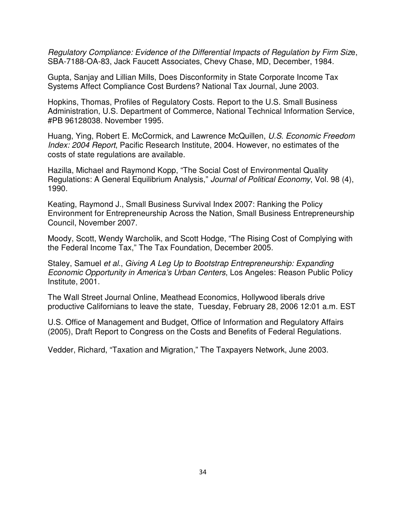Regulatory Compliance: Evidence of the Differential Impacts of Regulation by Firm Size, SBA-7188-OA-83, Jack Faucett Associates, Chevy Chase, MD, December, 1984.

Gupta, Sanjay and Lillian Mills, Does Disconformity in State Corporate Income Tax Systems Affect Compliance Cost Burdens? National Tax Journal, June 2003.

Hopkins, Thomas, Profiles of Regulatory Costs. Report to the U.S. Small Business Administration, U.S. Department of Commerce, National Technical Information Service, #PB 96128038. November 1995.

Huang, Ying, Robert E. McCormick, and Lawrence McQuillen, U.S. Economic Freedom Index: 2004 Report, Pacific Research Institute, 2004. However, no estimates of the costs of state regulations are available.

Hazilla, Michael and Raymond Kopp, "The Social Cost of Environmental Quality Regulations: A General Equilibrium Analysis," Journal of Political Economy, Vol. 98 (4), 1990.

Keating, Raymond J., Small Business Survival Index 2007: Ranking the Policy Environment for Entrepreneurship Across the Nation, Small Business Entrepreneurship Council, November 2007.

Moody, Scott, Wendy Warcholik, and Scott Hodge, "The Rising Cost of Complying with the Federal Income Tax," The Tax Foundation, December 2005.

Staley, Samuel et al., Giving A Leg Up to Bootstrap Entrepreneurship: Expanding Economic Opportunity in America's Urban Centers, Los Angeles: Reason Public Policy Institute, 2001.

The Wall Street Journal Online, Meathead Economics, Hollywood liberals drive productive Californians to leave the state, Tuesday, February 28, 2006 12:01 a.m. EST

U.S. Office of Management and Budget, Office of Information and Regulatory Affairs (2005), Draft Report to Congress on the Costs and Benefits of Federal Regulations.

Vedder, Richard, "Taxation and Migration," The Taxpayers Network, June 2003.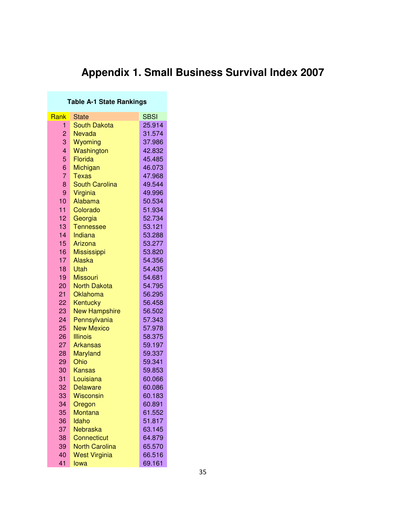# **Appendix 1. Small Business Survival Index 2007**

### **Table A-1 State Rankings**

| Rank           | State                 | <b>SBSI</b> |
|----------------|-----------------------|-------------|
| 1              | <b>South Dakota</b>   | 25.914      |
| $\overline{2}$ | <b>Nevada</b>         | 31.574      |
| 3              | Wyoming               | 37.986      |
| 4              | Washington            | 42.832      |
| 5              | Florida               | 45.485      |
| 6              | Michigan              | 46.073      |
| 7              | Texas                 | 47.968      |
| 8              | <b>South Carolina</b> | 49.544      |
| 9              | Virginia              | 49.996      |
| 10             | Alabama               | 50.534      |
| 11             | Colorado              | 51.934      |
| 12             | Georgia               | 52.734      |
| 13             | <b>Tennessee</b>      | 53.121      |
| 14             | Indiana               | 53.288      |
| 15             | Arizona               | 53.277      |
| 16             | <b>Mississippi</b>    | 53.820      |
| 17             | Alaska                | 54.356      |
| 18             | Utah                  | 54.435      |
| 19             | <b>Missouri</b>       | 54.681      |
| 20             | <b>North Dakota</b>   | 54.795      |
| 21             | Oklahoma              | 56.295      |
| 22             | Kentucky              | 56.458      |
| 23             | <b>New Hampshire</b>  | 56.502      |
| 24             | Pennsylvania          | 57.343      |
| 25             | <b>New Mexico</b>     | 57.978      |
| 26             | <b>Illinois</b>       | 58.375      |
| 27             | <b>Arkansas</b>       | 59.197      |
| 28             | <b>Maryland</b>       | 59.337      |
| 29             | Ohio                  | 59.341      |
| 30             | <b>Kansas</b>         | 59.853      |
| 31             | Louisiana             | 60.066      |
| 32             | <b>Delaware</b>       | 60.086      |
| 33             | <b>Wisconsin</b>      | 60.183      |
| 34             | Oregon                | 60.891      |
| 35             | <b>Montana</b>        | 61.552      |
| 36             | Idaho                 | 51.817      |
| 37             | Nebraska              | 63.145      |
| 38             | <b>Connecticut</b>    | 64.879      |
| 39             | <b>North Carolina</b> | 65.570      |
| 40             | <b>West Virginia</b>  | 66.516      |
| 41             | lowa                  | 69.161      |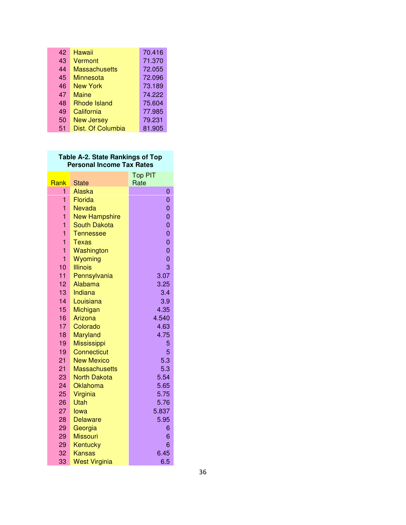| 42 | Hawaii               | 70.416 |
|----|----------------------|--------|
| 43 | Vermont              | 71.370 |
| 44 | <b>Massachusetts</b> | 72.055 |
| 45 | Minnesota            | 72.096 |
| 46 | New York             | 73.189 |
| 47 | Maine                | 74.222 |
| 48 | Rhode Island         | 75.604 |
| 49 | California           | 77.985 |
| 50 | <b>New Jersey</b>    | 79.231 |
| 51 | Dist. Of Columbia    | 81.905 |

### **Table A-2. State Rankings of Top Personal Income Tax Rates**

|                |                      | <b>Top PIT</b> |
|----------------|----------------------|----------------|
| Rank           | <b>State</b>         | Rate           |
| 1              | Alaska               | 0              |
| 1              | Florida              | $\overline{0}$ |
| 1              | Nevada               | $\overline{0}$ |
| 1              | <b>New Hampshire</b> | $\overline{0}$ |
| $\overline{1}$ | <b>South Dakota</b>  | 0              |
| 1              | <b>Tennessee</b>     | 0              |
| 1              | <b>Texas</b>         | $\overline{0}$ |
| 1              | Washington           | $\overline{0}$ |
| 1              | Wyoming              | $\overline{0}$ |
| 10             | <b>Illinois</b>      | 3              |
| 11             | Pennsylvania         | 3.07           |
| 12             | Alabama              | 3.25           |
| 13             | Indiana              | 3.4            |
| 14<br>15       | Louisiana            | 3.9<br>4.35    |
| 16             | Michigan<br>Arizona  | 4.540          |
| 17             | Colorado             | 4.63           |
| 18             | <b>Maryland</b>      | 4.75           |
| 19             | <b>Mississippi</b>   | 5              |
| 19             | <b>Connecticut</b>   | 5              |
| 21             | <b>New Mexico</b>    | 5.3            |
| 21             | <b>Massachusetts</b> | 5.3            |
| 23             | <b>North Dakota</b>  | 5.54           |
| 24             | Oklahoma             | 5.65           |
| 25             | Virginia             | 5.75           |
| 26             | Utah                 | 5.76           |
| 27             | lowa                 | 5.837          |
| 28             | <b>Delaware</b>      | 5.95           |
| 29             | Georgia              | 6              |
| 29             | <b>Missouri</b>      | 6              |
| 29             | Kentucky             | 6              |
| 32             | Kansas               | 6.45           |
| 33             | <b>West Virginia</b> | 6.5            |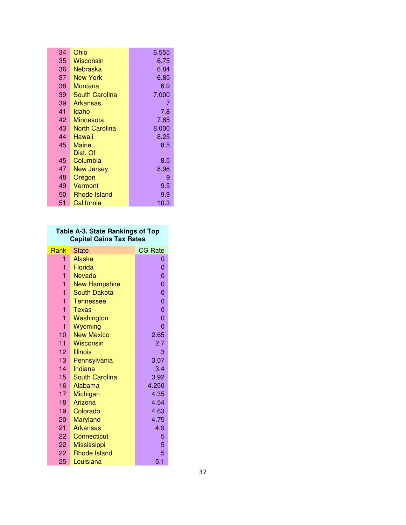| 34 | Ohio            | 6.555 |
|----|-----------------|-------|
| 35 | Wisconsin       | 6.75  |
| 36 | Nebraska        | 6.84  |
| 37 | New York        | 6.85  |
| 38 | Montana         | 6.9   |
| 39 | South Carolina  | 7.000 |
| 39 | <b>Arkansas</b> | 7     |
| 41 | Idaho           | 7.8   |
| 42 | Minnesota       | 7.85  |
| 43 | North Carolina  | 8.000 |
| 44 | Hawaii          | 8.25  |
| 45 | Maine           | 8.5   |
|    | Dist. Of        |       |
| 45 | Columbia        | 8.5   |
| 47 | New Jersey      | 8.96  |
| 48 | Oregon          | 9     |
| 49 | Vermont         | 9.5   |
| 50 | Rhode Island    | 9.9   |
| 51 | California      | 10.3  |

## **Table A-3. State Rankings of Top Capital Gains Tax Rates**

| Rank            | State                 | <b>CG Rate</b> |
|-----------------|-----------------------|----------------|
| 1               | Alaska                | 0              |
| 1               | Florida               | 0              |
| 1               | Nevada                | $\overline{0}$ |
| 1               | <b>New Hampshire</b>  | $\overline{0}$ |
| 1               | <b>South Dakota</b>   | $\overline{0}$ |
| 1               | <b>Tennessee</b>      | 0              |
| 1               | Texas                 | 0              |
| 1               | Washington            | $\overline{0}$ |
| 1               | Wyoming               | 0              |
| 10              | <b>New Mexico</b>     | 2.65           |
| 11              | <b>Wisconsin</b>      | 2.7            |
| 12              | <b>Illinois</b>       | 3              |
| 13 <sup>°</sup> | Pennsylvania          | 3.07           |
| 14              | Indiana               | 3.4            |
| 15              | <b>South Carolina</b> | 3.92           |
| 16              | Alabama               | 4.250          |
| 17              | Michigan              | 4.35           |
| 18              | Arizona               | 4.54           |
| 19              | Colorado              | 4.63           |
| 20              | <b>Maryland</b>       | 4.75           |
| 21              | <b>Arkansas</b>       | 4.9            |
| 22              | Connecticut           | 5              |
| 22              | <b>Mississippi</b>    | 5              |
| 22              | <b>Rhode Island</b>   | 5              |
| 25              | Louisiana             | 5.1            |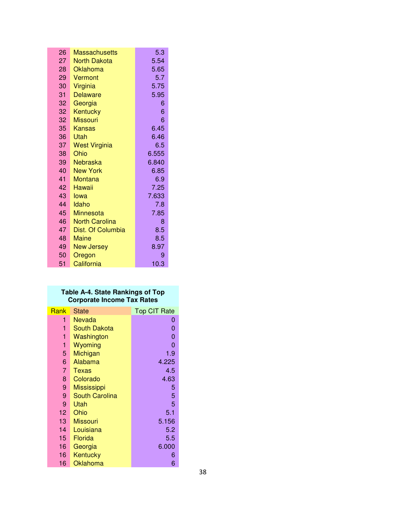| 26 | <b>Massachusetts</b>  | 5.3   |
|----|-----------------------|-------|
| 27 | <b>North Dakota</b>   | 5.54  |
| 28 | Oklahoma              | 5.65  |
| 29 | Vermont               | 5.7   |
| 30 | Virginia              | 5.75  |
| 31 | <b>Delaware</b>       | 5.95  |
| 32 | Georgia               | 6     |
| 32 | Kentucky              | 6     |
| 32 | <b>Missouri</b>       | 6     |
| 35 | Kansas                | 6.45  |
| 36 | Utah                  | 6.46  |
| 37 | <b>West Virginia</b>  | 6.5   |
| 38 | Ohio                  | 6.555 |
| 39 | <b>Nebraska</b>       | 6.840 |
| 40 | <b>New York</b>       | 6.85  |
| 41 | <b>Montana</b>        | 6.9   |
| 42 | Hawaii                | 7.25  |
| 43 | lowa                  | 7.633 |
| 44 | Idaho                 | 7.8   |
| 45 | <b>Minnesota</b>      | 7.85  |
| 46 | <b>North Carolina</b> | 8     |
| 47 | Dist. Of Columbia     | 8.5   |
| 48 | <b>Maine</b>          | 8.5   |
| 49 | <b>New Jersey</b>     | 8.97  |
| 50 | Oregon                | 9     |
| 51 | California            | 10.3  |

### **Table A-4. State Rankings of Top Corporate Income Tax Rates**

| Rank | State                 | <b>Top CIT Rate</b> |
|------|-----------------------|---------------------|
| 1    | Nevada                | 0                   |
| 1    | South Dakota          | 0                   |
| 1    | Washington            | 0                   |
| 1    | Wyoming               | 0                   |
| 5    | Michigan              | 1.9                 |
| 6    | Alabama               | 4.225               |
| 7    | Texas                 | 4.5                 |
| 8    | Colorado              | 4.63                |
| 9    | <b>Mississippi</b>    | 5                   |
| 9    | <b>South Carolina</b> | 5                   |
| 9    | Utah                  | 5                   |
| 12   | Ohio                  | 5.1                 |
| 13   | <b>Missouri</b>       | 5.156               |
| 14   | Louisiana             | 5.2                 |
| 15   | Florida               | 5.5                 |
| 16   | Georgia               | 6.000               |
| 16   | Kentucky              | 6                   |
| 16   | Oklahoma              | 6                   |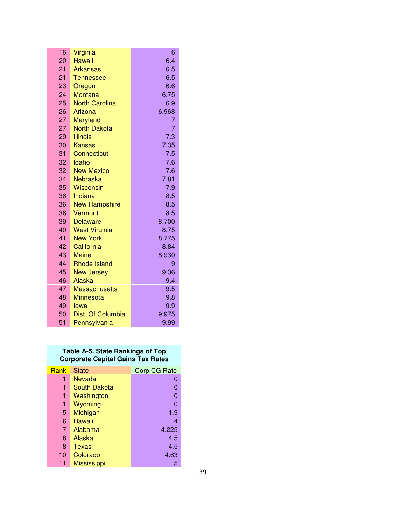| 16              | Virginia              | 6     |
|-----------------|-----------------------|-------|
| 20              | Hawaii                | 6.4   |
| 21              | <b>Arkansas</b>       | 6.5   |
| 21              | <b>Tennessee</b>      | 6.5   |
| 23              | Oregon                | 6.6   |
| 24              | <b>Montana</b>        | 6.75  |
| 25              | <b>North Carolina</b> | 6.9   |
| 26              | Arizona               | 6.968 |
| 27              | <b>Maryland</b>       | 7     |
| 27              | <b>North Dakota</b>   | 7     |
| 29              | <b>Illinois</b>       | 7.3   |
| 30              | Kansas                | 7.35  |
| 31              | Connecticut           | 7.5   |
| 32              | Idaho                 | 7.6   |
| 32              | <b>New Mexico</b>     | 7.6   |
| 34              | Nebraska              | 7.81  |
| 35 <sup>2</sup> | <b>Wisconsin</b>      | 7.9   |
| 36              | Indiana               | 8.5   |
| 36              | <b>New Hampshire</b>  | 8.5   |
| 36              | Vermont               | 8.5   |
| 39              | <b>Delaware</b>       | 8.700 |
| 40              | <b>West Virginia</b>  | 8.75  |
| 41              | <b>New York</b>       | 8.775 |
| 42              | California            | 8.84  |
| 43              | <b>Maine</b>          | 8.930 |
| 44              | <b>Rhode Island</b>   | 9     |
| 45              | <b>New Jersey</b>     | 9.36  |
| 46              | <b>Alaska</b>         | 9.4   |
| 47              | <b>Massachusetts</b>  | 9.5   |
| 48              | <b>Minnesota</b>      | 9.8   |
| 49              | lowa                  | 9.9   |
| 50              | Dist. Of Columbia     | 9.975 |
| 51              | Pennsylvania          | 9.99  |

### **Table A-5. State Rankings of Top Corporate Capital Gains Tax Rates**

| Rank | <b>State</b>       | <b>Corp CG Rate</b> |
|------|--------------------|---------------------|
| 1    | Nevada             | O                   |
| 1    | South Dakota       |                     |
| 1    | Washington         | 0                   |
| 1    | Wyoming            | 0                   |
| 5    | Michigan           | 1.9                 |
| 6    | Hawaii             | 4                   |
| 7    | Alabama            | 4.225               |
| 8    | Alaska             | 4.5                 |
| 8    | Texas              | 4.5                 |
| 10   | Colorado           | 4.63                |
| 11   | <b>Mississippi</b> | 5                   |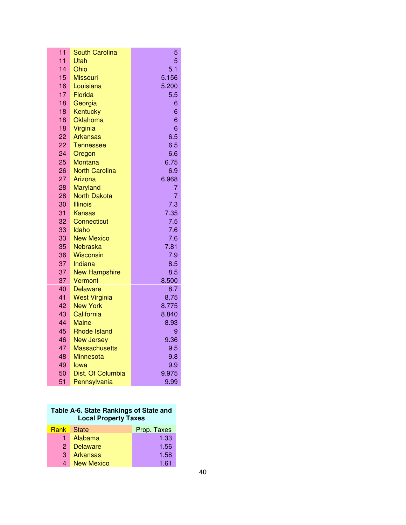| 11              | <b>South Carolina</b>        | 5          |
|-----------------|------------------------------|------------|
| $\overline{11}$ | Utah                         | 5          |
| 14              | Ohio                         | 5.1        |
| 15              | <b>Missouri</b>              | 5.156      |
| 16              | Louisiana                    | 5.200      |
| 17              | Florida                      | 5.5        |
| 18              | Georgia                      | 6          |
| 18              | Kentucky                     | 6          |
| 18              | Oklahoma                     | 6          |
| 18              | Virginia                     | 6          |
| 22              | Arkansas                     | 6.5        |
| 22              | Tennessee                    | 6.5        |
| 24              | Oregon                       | 6.6        |
| 25              | Montana                      | 6.75       |
| 26              | <b>North Carolina</b>        | 6.9        |
| 27              | Arizona                      | 6.968      |
| 28              | Maryland                     | 7          |
| 28              | <b>North Dakota</b>          | 7          |
| 30              | <b>Illinois</b>              | 7.3        |
| 31              | Kansas                       | 7.35       |
| 32              | <b>Connecticut</b>           | 7.5        |
| 33              | Idaho                        | 7.6        |
| 33              | <b>New Mexico</b>            | 7.6        |
| 35<br>36        | <b>Nebraska</b><br>Wisconsin | 7.81       |
| 37              | Indiana                      | 7.9<br>8.5 |
| 37              | <b>New Hampshire</b>         | 8.5        |
| 37              | Vermont                      | 8.500      |
| 40              | <b>Delaware</b>              | 8.7        |
| 41              | <b>West Virginia</b>         | 8.75       |
| 42              | <b>New York</b>              | 8.775      |
| 43              | California                   | 8.840      |
| 44              | Maine                        | 8.93       |
| 45              | <b>Rhode Island</b>          | 9          |
| 46              | <b>New Jersey</b>            | 9.36       |
| 47              | <b>Massachusetts</b>         | 9.5        |
| 48              | <b>Minnesota</b>             | 9.8        |
| 49              | lowa                         | 9.9        |
| 50              | Dist. Of Columbia            | 9.975      |
| 51              | Pennsylvania                 | 9.99       |

| Table A-6. State Rankings of State and |
|----------------------------------------|
| <b>Local Property Taxes</b>            |

| <b>Rank</b> State |                   | Prop. Taxes |
|-------------------|-------------------|-------------|
|                   | 1 Alabama         | 1.33        |
|                   | 2 Delaware        | 1.56        |
|                   | 3 Arkansas        | 1.58        |
| 4                 | <b>New Mexico</b> | 1.61        |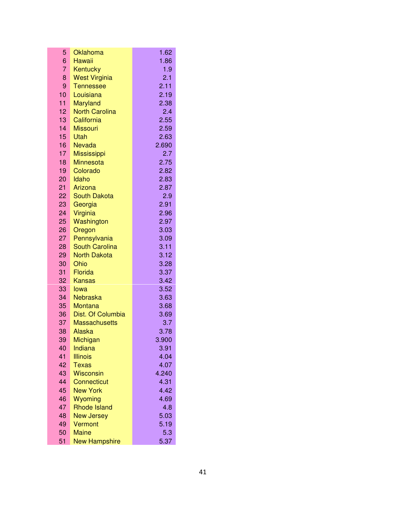| 5               | Oklahoma              | 1.62         |
|-----------------|-----------------------|--------------|
| 6               | Hawaii                | 1.86         |
| 7               | Kentucky              | 1.9          |
| 8               | <b>West Virginia</b>  | 2.1          |
| 9               | <b>Tennessee</b>      | 2.11         |
| 10              | Louisiana             | 2.19         |
| 11              | <b>Maryland</b>       | 2.38         |
| 12              | <b>North Carolina</b> | 2.4          |
| 13              | California            | 2.55         |
| 14              | <b>Missouri</b>       | 2.59         |
| 15              | Utah                  | 2.63         |
| 16              | <b>Nevada</b>         | 2.690        |
| 17              | <b>Mississippi</b>    | 2.7          |
| 18              | <b>Minnesota</b>      | 2.75         |
| 19              | Colorado              | 2.82         |
| 20              | Idaho                 | 2.83         |
| 21              | Arizona               | 2.87         |
| 22 <sub>2</sub> | <b>South Dakota</b>   | 2.9          |
| 23              | Georgia               | 2.91         |
| 24              | Virginia              | 2.96         |
| 25              | Washington            | 2.97         |
| 26              | Oregon                | 3.03         |
| 27              | Pennsylvania          | 3.09         |
| 28              | <b>South Carolina</b> | 3.11         |
| 29              | <b>North Dakota</b>   | 3.12         |
| 30              | Ohio                  | 3.28         |
| 31              | Florida               | 3.37         |
| 32<br>33        | <b>Kansas</b>         | 3.42         |
| 34              | lowa<br>Nebraska      | 3.52         |
| 35              | Montana               | 3.63<br>3.68 |
| 36              | Dist. Of Columbia     | 3.69         |
| 37              | <b>Massachusetts</b>  | 3.7          |
| 38              | Alaska                | 3.78         |
| 39              | Michigan              | 3.900        |
| 40              | Indiana               | 3.91         |
| 41              | <b>Illinois</b>       | 4.04         |
| 42              | <b>Texas</b>          | 4.07         |
| 43              | <b>Wisconsin</b>      | 4.240        |
| 44              | <b>Connecticut</b>    | 4.31         |
| 45              | <b>New York</b>       | 4.42         |
| 46              | Wyoming               | 4.69         |
| 47              | <b>Rhode Island</b>   | 4.8          |
| 48              | <b>New Jersey</b>     | 5.03         |
| 49              | Vermont               | 5.19         |
| 50              | <b>Maine</b>          | 5.3          |
| 51              | <b>New Hampshire</b>  | 5.37         |
|                 |                       |              |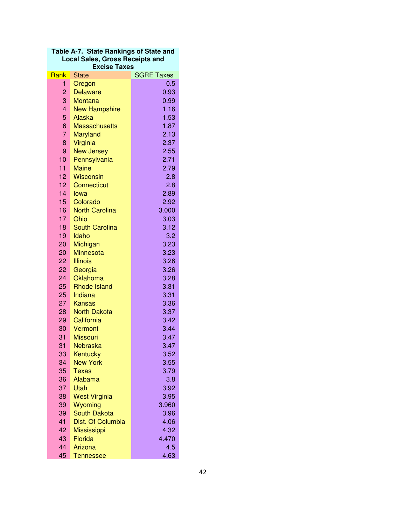| Table A-7. State Rankings of State and |
|----------------------------------------|
| <b>Local Sales, Gross Receipts and</b> |
| <b>Excise Taxes</b>                    |

| Rank                  | <b>State</b>             | <b>SGRE Taxes</b> |
|-----------------------|--------------------------|-------------------|
| 1                     | Oregon                   | 0.5               |
| 2                     | <b>Delaware</b>          | 0.93              |
| 3                     | <b>Montana</b>           | 0.99              |
| 4                     | <b>New Hampshire</b>     | 1.16              |
| 5                     | Alaska                   | 1.53              |
| 6                     | <b>Massachusetts</b>     | 1.87              |
| $\overline{7}$        | Maryland                 | 2.13              |
| 8                     | Virginia                 | 2.37              |
| 9                     | <b>New Jersey</b>        | 2.55              |
| 10                    | Pennsylvania             | 2.71              |
| 11                    | <b>Maine</b>             | 2.79              |
| 12                    | <b>Wisconsin</b>         | 2.8               |
| 12 <sup>2</sup>       | Connecticut              | 2.8               |
| 14                    | lowa                     | 2.89              |
| 15                    | Colorado                 | 2.92              |
| 16                    | <b>North Carolina</b>    | 3.000             |
| 17                    | Ohio                     | 3.03              |
| 18                    | <b>South Carolina</b>    | 3.12              |
| 19                    | Idaho                    | 3.2               |
| 20                    | Michigan                 | 3.23              |
| 20                    | <b>Minnesota</b>         | 3.23              |
| 22                    | <b>Illinois</b>          | 3.26              |
| 22                    | Georgia                  | 3.26              |
| 24                    | Oklahoma                 | 3.28              |
| 25                    | <b>Rhode Island</b>      | 3.31              |
| 25                    | Indiana                  | 3.31              |
| 27                    | Kansas                   | 3.36              |
| 28                    | <b>North Dakota</b>      | 3.37              |
| 29                    | California               | 3.42              |
| 30                    | Vermont                  | 3.44              |
| 31                    | <b>Missouri</b>          | 3.47              |
| $\overline{31}$<br>33 | Nebraska                 | 3.47<br>3.52      |
| 34                    | Kentucky                 | 3.55              |
| 35                    | <b>New York</b><br>Texas | 3.79              |
| 36                    | Alabama                  | 3.8               |
| 37                    | Utah                     | 3.92              |
| 38                    | <b>West Virginia</b>     | 3.95              |
| 39                    | Wyoming                  | 3.960             |
| 39                    | <b>South Dakota</b>      | 3.96              |
| 41                    | Dist. Of Columbia        | 4.06              |
| 42                    | <b>Mississippi</b>       | 4.32              |
| 43                    | Florida                  | 4.470             |
| 44                    | Arizona                  | 4.5               |
| 45                    | <b>Tennessee</b>         | 4.63              |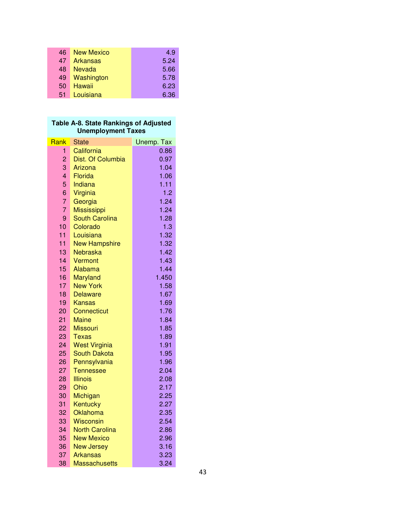| 46 | <b>New Mexico</b> | 4.9  |
|----|-------------------|------|
| 47 | Arkansas          | 5.24 |
| 48 | <b>Nevada</b>     | 5.66 |
| 49 | Washington        | 5.78 |
| 50 | Hawaii            | 6.23 |
| 51 | Louisiana         | 6.36 |

### **Table A-8. State Rankings of Adjusted Unemployment Taxes**

| Rank           | State                               | Unemp. Tax   |
|----------------|-------------------------------------|--------------|
| 1.             | California                          | 0.86         |
| 2              | Dist. Of Columbia                   | 0.97         |
| 3              | Arizona                             | 1.04         |
| $\overline{4}$ | Florida                             | 1.06         |
| 5              | Indiana                             | 1.11         |
| 6              | Virginia                            | 1.2          |
| $\overline{7}$ | Georgia                             | 1.24         |
| $\overline{7}$ | <b>Mississippi</b>                  | 1.24         |
| 9              | <b>South Carolina</b>               | 1.28         |
| 10             | Colorado                            | 1.3          |
| 11             | Louisiana                           | 1.32         |
| 11             | <b>New Hampshire</b>                | 1.32         |
| 13             | Nebraska                            | 1.42         |
| 14             | Vermont                             | 1.43         |
| 15             | Alabama                             | 1.44         |
| 16             | Maryland                            | 1.450        |
| 17             | <b>New York</b>                     | 1.58         |
| 18             | <b>Delaware</b>                     | 1.67         |
| 19             | <b>Kansas</b>                       | 1.69         |
| 20             | Connecticut                         | 1.76         |
| 21             | Maine                               | 1.84         |
| 22             | Missouri                            | 1.85         |
| 23<br>24       | Texas                               | 1.89<br>1.91 |
| 25             | <b>West Virginia</b>                | 1.95         |
| 26             | <b>South Dakota</b><br>Pennsylvania | 1.96         |
| 27             | <b>Tennessee</b>                    | 2.04         |
| 28             | Illinois                            | 2.08         |
| 29             | Ohio                                | 2.17         |
| 30             | Michigan                            | 2.25         |
| 31             | Kentucky                            | 2.27         |
| 32             | Oklahoma                            | 2.35         |
| 33             | Wisconsin                           | 2.54         |
| 34             | <b>North Carolina</b>               | 2.86         |
| 35             | <b>New Mexico</b>                   | 2.96         |
| 36             | <b>New Jersey</b>                   | 3.16         |
| 37             | <b>Arkansas</b>                     | 3.23         |
| 38             | Massachusetts                       | 3.24         |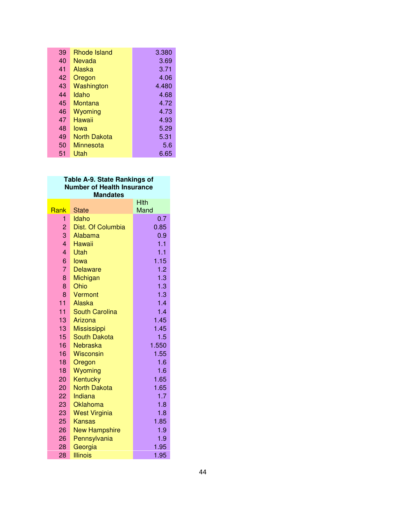| 39 | <b>Rhode Island</b> | 3.380 |
|----|---------------------|-------|
| 40 | Nevada              | 3.69  |
| 41 | Alaska              | 3.71  |
| 42 | Oregon              | 4.06  |
| 43 | Washington          | 4.480 |
| 44 | Idaho               | 4.68  |
| 45 | Montana             | 4.72  |
| 46 | Wyoming             | 4.73  |
| 47 | Hawaii              | 4.93  |
| 48 | lowa                | 5.29  |
| 49 | North Dakota        | 5.31  |
| 50 | Minnesota           | 5.6   |
| 51 | Utah                | 6.65  |

## **Table A-9. State Rankings of Number of Health Insurance**

| <b>Mandates</b> |                      |              |
|-----------------|----------------------|--------------|
| Rank            | <b>State</b>         | Hith<br>Mand |
| 1               | Idaho                | 0.7          |
| $\overline{c}$  | Dist. Of Columbia    | 0.85         |
| 3               | Alabama              | 0.9          |
| $\overline{4}$  | Hawaii               | 1.1          |
| $\overline{4}$  | Utah                 | 1.1          |
| 6               | lowa                 | 1.15         |
| $\overline{7}$  | <b>Delaware</b>      | 1.2          |
| 8               | Michigan             | 1.3          |
| 8               | Ohio                 | 1.3          |
| 8               | Vermont              | 1.3          |
| 11              | Alaska               | 1.4          |
| 11              | South Carolina       | 1.4          |
| 13              | Arizona              | 1.45         |
| 13              | <b>Mississippi</b>   | 1.45         |
| 15              | <b>South Dakota</b>  | 1.5          |
| 16              | Nebraska             | 1.550        |
| 16              | <b>Wisconsin</b>     | 1.55         |
| 18              | Oregon               | 1.6          |
| 18              | Wyoming              | 1.6          |
| 20              | Kentucky             | 1.65         |
| 20              | <b>North Dakota</b>  | 1.65         |
| 22              | Indiana              | 1.7          |
| 23              | Oklahoma             | 1.8          |
| 23              | <b>West Virginia</b> | 1.8          |
| 25              | <b>Kansas</b>        | 1.85         |
| 26              | <b>New Hampshire</b> | 1.9          |
| 26              | Pennsylvania         | 1.9          |
| 28              | Georgia              | 1.95         |
| 28              | <b>Illinois</b>      | 1.95         |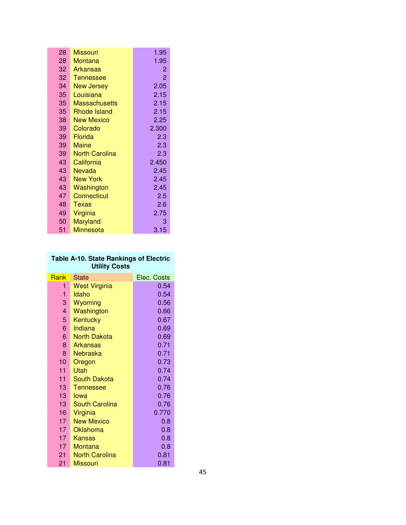| 28 | <b>Missouri</b>       | 1.95  |
|----|-----------------------|-------|
| 28 | Montana               | 1.95  |
| 32 | <b>Arkansas</b>       | 2     |
| 32 | <b>Tennessee</b>      | 2     |
| 34 | <b>New Jersey</b>     | 2.05  |
| 35 | Louisiana             | 2.15  |
| 35 | Massachusetts         | 2.15  |
| 35 | <b>Rhode Island</b>   | 2.15  |
| 38 | New Mexico            | 2.25  |
| 39 | Colorado              | 2.300 |
| 39 | Florida               | 2.3   |
| 39 | Maine                 | 2.3   |
| 39 | <b>North Carolina</b> | 2.3   |
| 43 | California            | 2.450 |
| 43 | Nevada                | 2.45  |
| 43 | <b>New York</b>       | 2.45  |
| 43 | Washington            | 2.45  |
| 47 | Connecticut           | 2.5   |
| 48 | Texas                 | 2.6   |
| 49 | Virginia              | 2.75  |
| 50 | <b>Maryland</b>       | 3     |
| 51 | <b>Minnesota</b>      | 3.15  |

## **Table A-10. State Rankings of Electric Utility Costs**

| <b>Rank</b>             | <b>State</b>          | Elec. Costs |
|-------------------------|-----------------------|-------------|
| 1                       | <b>West Virginia</b>  | 0.54        |
| 1                       | Idaho                 | 0.54        |
| 3                       | Wyoming               | 0.56        |
| $\overline{\mathbf{4}}$ | Washington            | 0.66        |
| 5                       | Kentucky              | 0.67        |
| 6                       | Indiana               | 0.69        |
| 6                       | North Dakota          | 0.69        |
| 8                       | Arkansas              | 0.71        |
| 8                       | Nebraska              | 0.71        |
| 10                      | Oregon                | 0.73        |
| 11                      | Utah                  | 0.74        |
| 11.                     | South Dakota          | 0.74        |
| 13 <sup>°</sup>         | Tennessee             | 0.76        |
| 13 <sup>2</sup>         | lowa                  | 0.76        |
| 13.                     | <b>South Carolina</b> | 0.76        |
| 16                      | Virginia              | 0.770       |
| 17                      | <b>New Mexico</b>     | 0.8         |
| 17                      | Oklahoma              | 0.8         |
| 17                      | Kansas                | 0.8         |
| 17                      | Montana               | 0.8         |
| 21                      | <b>North Carolina</b> | 0.81        |
| 21                      | <b>Missouri</b>       | 0.81        |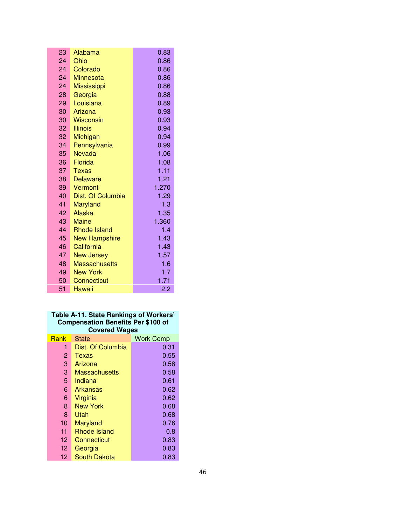| 23              | Alabama              | 0.83  |
|-----------------|----------------------|-------|
| 24              | Ohio                 | 0.86  |
| 24              | Colorado             | 0.86  |
| 24              | Minnesota            | 0.86  |
| 24              | <b>Mississippi</b>   | 0.86  |
| 28              | Georgia              | 0.88  |
| 29 <sup>°</sup> | Louisiana            | 0.89  |
| 30              | Arizona              | 0.93  |
| 30              | <b>Wisconsin</b>     | 0.93  |
| 32              | <b>Illinois</b>      | 0.94  |
| 32              | Michigan             | 0.94  |
| 34              | Pennsylvania         | 0.99  |
| 35              | Nevada               | 1.06  |
| 36              | Florida              | 1.08  |
| 37              | Texas                | 1.11  |
| 38              | <b>Delaware</b>      | 1.21  |
| 39              | Vermont              | 1.270 |
| 40              | Dist. Of Columbia    | 1.29  |
| 41              | <b>Maryland</b>      | 1.3   |
| 42              | Alaska               | 1.35  |
| 43              | <b>Maine</b>         | 1.360 |
| 44              | <b>Rhode Island</b>  | 1.4   |
| 45              | <b>New Hampshire</b> | 1.43  |
| 46              | California           | 1.43  |
| 47              | <b>New Jersey</b>    | 1.57  |
| 48              | <b>Massachusetts</b> | 1.6   |
| 49              | <b>New York</b>      | 1.7   |
| 50              | Connecticut          | 1.71  |
| 51              | Hawaii               | 2.2   |

## **Table A-11. State Rankings of Workers' Compensation Benefits Per \$100 of Covered Wages**

|      | ಲ                    |                  |
|------|----------------------|------------------|
| Rank | <b>State</b>         | <b>Work Comp</b> |
| 1    | Dist. Of Columbia    | 0.31             |
| 2    | Texas                | 0.55             |
| 3    | Arizona              | 0.58             |
| 3    | <b>Massachusetts</b> | 0.58             |
| 5    | Indiana              | 0.61             |
| 6    | Arkansas             | 0.62             |
| 6    | Virginia             | 0.62             |
| 8    | <b>New York</b>      | 0.68             |
| 8    | Utah                 | 0.68             |
| 10   | Maryland             | 0.76             |
| 11   | Rhode Island         | 0.8              |
| 12   | Connecticut          | 0.83             |
| 12   | Georgia              | 0.83             |
| 12   | <b>South Dakota</b>  | 0.83             |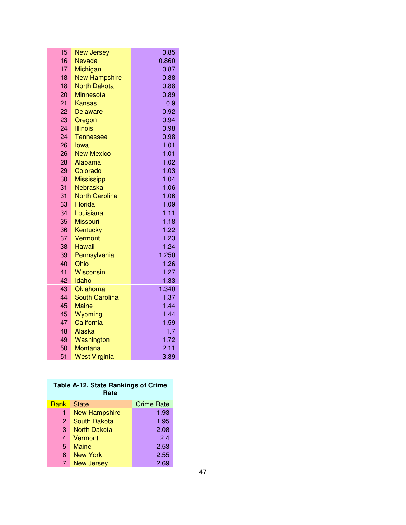| 15       | <b>New Jersey</b>     | 0.85          |
|----------|-----------------------|---------------|
| 16       | Nevada                | 0.860         |
| 17       | Michigan              | 0.87          |
| 18       | <b>New Hampshire</b>  | 0.88          |
| 18       | <b>North Dakota</b>   | 0.88          |
| 20       | <b>Minnesota</b>      | 0.89          |
| 21       | <b>Kansas</b>         | 0.9           |
| 22       | <b>Delaware</b>       | 0.92          |
| 23       | Oregon                | 0.94          |
| 24       | <b>Illinois</b>       | 0.98          |
| 24       | <b>Tennessee</b>      | 0.98          |
| 26       | lowa                  | 1.01          |
| 26       | <b>New Mexico</b>     | 1.01          |
| 28       | Alabama               | 1.02          |
| 29       | Colorado              | 1.03          |
| 30       | <b>Mississippi</b>    | 1.04          |
| 31       | Nebraska              | 1.06          |
| 31       | <b>North Carolina</b> | 1.06          |
| 33       | Florida               | 1.09          |
| 34       | Louisiana             | 1.11          |
| 35       | <b>Missouri</b>       | 1.18          |
| 36       | Kentucky              | 1.22          |
| 37       | Vermont               | 1.23          |
| 38       | Hawaii                | 1.24          |
| 39       | Pennsylvania          | 1.250         |
| 40       | Ohio                  | 1.26          |
| 41<br>42 | <b>Wisconsin</b>      | 1.27          |
| 43       | Idaho<br>Oklahoma     | 1.33<br>1.340 |
| 44       | <b>South Carolina</b> | 1.37          |
| 45       | <b>Maine</b>          | 1.44          |
| 45       | Wyoming               | 1.44          |
| 47       | California            | 1.59          |
| 48       | Alaska                | 1.7           |
| 49       | Washington            | 1.72          |
| 50       | Montana               | 2.11          |
| 51       | <b>West Virginia</b>  | 3.39          |
|          |                       |               |

| <b>Table A-12. State Rankings of Crime</b><br>Rate |                      |                   |
|----------------------------------------------------|----------------------|-------------------|
| <b>Rank</b>                                        | <b>State</b>         | <b>Crime Rate</b> |
| 1                                                  | <b>New Hampshire</b> | 1.93              |
| 2                                                  | <b>South Dakota</b>  | 1.95              |
| 3                                                  | North Dakota         | 2.08              |
| $\overline{4}$                                     | Vermont              | 24                |
| 5                                                  | Maine                | 2.53              |
| 6                                                  | New York             | 2.55              |
| 7                                                  | <b>New Jersey</b>    | 2.69              |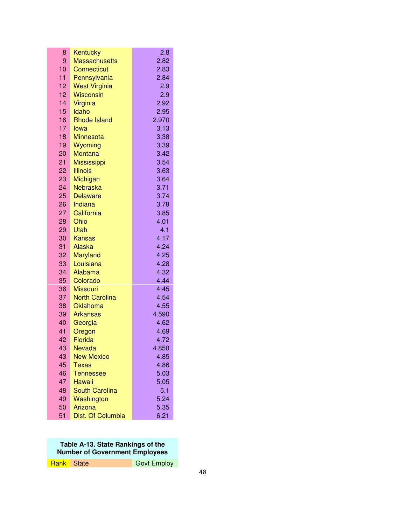| 8        | Kentucky                    | 2.8           |
|----------|-----------------------------|---------------|
| 9        | <b>Massachusetts</b>        | 2.82          |
| 10       | Connecticut                 | 2.83          |
| 11       | Pennsylvania                | 2.84          |
| 12       | <b>West Virginia</b>        | 2.9           |
| 12       | Wisconsin                   | 2.9           |
| 14       | Virginia                    | 2.92          |
| 15       | Idaho                       | 2.95          |
| 16       | <b>Rhode Island</b>         | 2.970         |
| 17       | lowa                        | 3.13          |
| 18       | <b>Minnesota</b>            | 3.38          |
| 19       | Wyoming                     | 3.39          |
| 20       | Montana                     | 3.42          |
| 21       | <b>Mississippi</b>          | 3.54          |
| 22       | <b>Illinois</b>             | 3.63          |
| 23       | Michigan                    | 3.64          |
| 24       | Nebraska                    | 3.71          |
| 25       | <b>Delaware</b>             | 3.74          |
| 26       | Indiana                     | 3.78          |
| 27       | California                  | 3.85          |
| 28       | Ohio                        | 4.01          |
| 29       | Utah                        | 4.1           |
| 30       | <b>Kansas</b>               | 4.17          |
| 31       | Alaska                      | 4.24          |
| 32       | <b>Maryland</b>             | 4.25          |
| 33       | Louisiana                   | 4.28          |
| 34       | Alabama                     | 4.32          |
| 35       | Colorado                    | 4.44          |
| 36       | <b>Missouri</b>             | 4.45          |
| 37       | <b>North Carolina</b>       | 4.54          |
| 38<br>39 | Oklahoma<br><b>Arkansas</b> | 4.55<br>4.590 |
| 40       | Georgia                     | 4.62          |
| 41       | Oregon                      | 4.69          |
| 42       | Florida                     | 4.72          |
| 43       | Nevada                      | 4.850         |
| 43       | <b>New Mexico</b>           | 4.85          |
| 45       | <b>Texas</b>                | 4.86          |
| 46       | <b>Tennessee</b>            | 5.03          |
| 47       | Hawaii                      | 5.05          |
| 48       | <b>South Carolina</b>       | 5.1           |
| 49       | Washington                  | 5.24          |
| 50       | Arizona                     | 5.35          |
| 51       | Dist. Of Columbia           | 6.21          |

### **Table A-13. State Rankings of the Number of Government Employees**

| <b>Rank</b> State<br><b>Govt Employ</b> |  |
|-----------------------------------------|--|
|-----------------------------------------|--|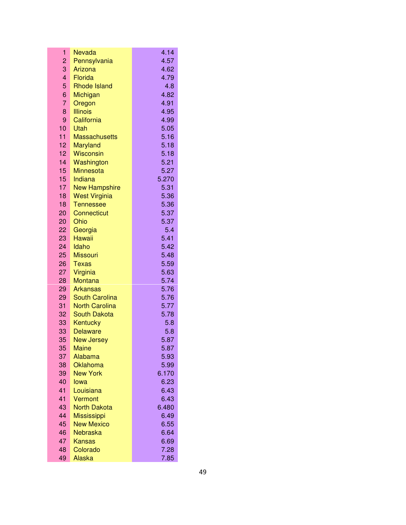| 1               | Nevada                    | 4.14         |
|-----------------|---------------------------|--------------|
| 2               | Pennsylvania              | 4.57         |
| 3               | Arizona                   | 4.62         |
| 4               | Florida                   | 4.79         |
| 5               | <b>Rhode Island</b>       | 4.8          |
| 6               | Michigan                  | 4.82         |
| 7               | Oregon                    | 4.91         |
| 8               | <b>Illinois</b>           | 4.95         |
| 9               | California                | 4.99         |
| 10              | Utah                      | 5.05         |
| 11              | <b>Massachusetts</b>      | 5.16         |
| 12 <sub>2</sub> | <b>Maryland</b>           | 5.18         |
| 12 <sup>2</sup> | <b>Wisconsin</b>          | 5.18         |
| 14              | Washington                | 5.21         |
| 15              | <b>Minnesota</b>          | 5.27         |
| 15              | Indiana                   | 5.270        |
| 17              | <b>New Hampshire</b>      | 5.31         |
| 18              | <b>West Virginia</b>      | 5.36         |
| 18              | <b>Tennessee</b>          | 5.36         |
| 20              | Connecticut               | 5.37         |
| 20              | Ohio                      | 5.37         |
| 22              | Georgia                   | 5.4          |
| 23              | <b>Hawaii</b>             | 5.41         |
| 24              | Idaho                     | 5.42         |
| 25              | <b>Missouri</b>           | 5.48         |
| 26              | <b>Texas</b>              | 5.59         |
| 27              | Virginia                  | 5.63         |
| 28              | <b>Montana</b>            | 5.74         |
| 29              | <b>Arkansas</b>           | 5.76         |
| 29              | <b>South Carolina</b>     | 5.76         |
| 31              | <b>North Carolina</b>     | 5.77         |
| 32              | <b>South Dakota</b>       | 5.78         |
| 33              | Kentucky                  | 5.8          |
| 33              | <b>Delaware</b>           | 5.8          |
| 35              | <b>New Jersey</b>         | 5.87         |
| 35              | Maine                     | 5.87         |
| 37              | Alabama                   | 5.93         |
| 38              | Oklahoma                  | 5.99         |
| 39              | <b>New York</b>           | 6.170        |
| 40              | lowa                      | 6.23         |
| 41              | Louisiana                 | 6.43         |
| 41              | Vermont                   | 6.43         |
| 43              | <b>North Dakota</b>       | 6.480        |
| 44              | Mississippi               | 6.49         |
| 45<br>46        | <b>New Mexico</b>         | 6.55         |
| 47              | Nebraska                  | 6.64         |
|                 | <b>Kansas</b><br>Colorado | 6.69<br>7.28 |
| 48<br>49        |                           |              |
|                 | <b>Alaska</b>             | 7.85         |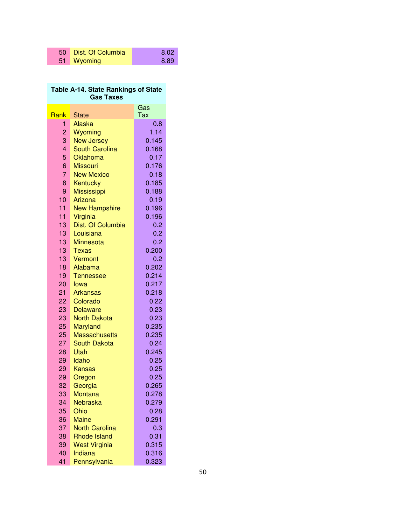| 50 Dist. Of Columbia | 8.02 |
|----------------------|------|
| 51 Wyoming           | 8.89 |

## **Table A-14. State Rankings of State Gas Taxes**  Rank State Gas Tax 1 Alaska 0.8 2 Wyoming 1.14 3 New Jersey 0.145 4 South Carolina 0.168 5 Oklahoma 0.17 6 Missouri 0.176 7 New Mexico 0.18 8 Kentucky 0.185 9 Mississippi 0.188 10 Arizona 0.19 11 New Hampshire 0.196 11 Virginia **0.196** 13 Dist. Of Columbia **0.2** 13 Louisiana 13 Minnesota 13 Texas 13 Vermont 18 Alabama 19 Tennessee

| 13 | Louisiana            | 0.2   |  |
|----|----------------------|-------|--|
| 13 | Minnesota            | 0.2   |  |
| 13 | Texas                | 0.200 |  |
| 13 | Vermont              | 0.2   |  |
| 18 | Alabama              | 0.202 |  |
| 19 | <b>Tennessee</b>     | 0.214 |  |
| 20 | lowa                 | 0.217 |  |
| 21 | <b>Arkansas</b>      | 0.218 |  |
| 22 | Colorado             | 0.22  |  |
| 23 | <b>Delaware</b>      | 0.23  |  |
| 23 | <b>North Dakota</b>  | 0.23  |  |
| 25 | Maryland             | 0.235 |  |
| 25 | <b>Massachusetts</b> | 0.235 |  |
| 27 | South Dakota         | 0.24  |  |
| 28 | Utah                 | 0.245 |  |
| 29 | Idaho                | 0.25  |  |
| 29 | <b>Kansas</b>        | 0.25  |  |
| 29 | Oregon               | 0.25  |  |
| 32 | Georgia              | 0.265 |  |
| 33 | Montana              | 0.278 |  |
| 34 | Nebraska             | 0.279 |  |
| 35 | Ohio                 | 0.28  |  |
|    |                      |       |  |

| 34 | <b>Nebraska</b>       | 0.279 |
|----|-----------------------|-------|
| 35 | Ohio                  | 0.28  |
| 36 | <b>Maine</b>          | 0.291 |
| 37 | <b>North Carolina</b> | 0.3   |
| 38 | <b>Rhode Island</b>   | 0.31  |
| 39 | <b>West Virginia</b>  | 0.315 |
| 40 | Indiana               | 0.316 |

41 Pennsylvania 0.323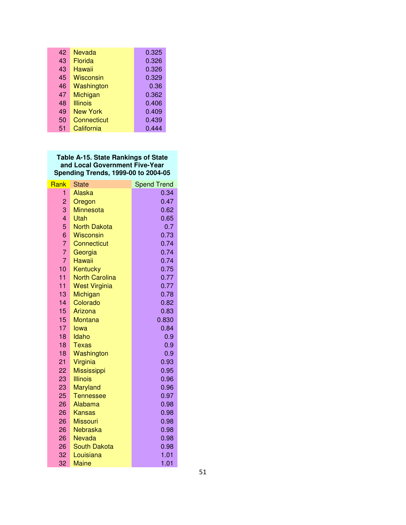| 42 | <b>Nevada</b>   | 0.325 |
|----|-----------------|-------|
| 43 | <b>Florida</b>  | 0.326 |
| 43 | Hawaii          | 0.326 |
| 45 | Wisconsin       | 0.329 |
| 46 | Washington      | 0.36  |
| 47 | Michigan        | 0.362 |
| 48 | Illinois        | 0.406 |
| 49 | <b>New York</b> | 0.409 |
| 50 | Connecticut     | 0.439 |
| 51 | California      | 0.444 |

## **Table A-15. State Rankings of State and Local Government Five-Year Spending Trends, 1999-00 to 2004-05**

| Rank            | <b>State</b>           | <b>Spend Trend</b> |
|-----------------|------------------------|--------------------|
| 1.              | Alaska                 | 0.34               |
| $\overline{2}$  | Oregon                 | 0.47               |
| 3               | <b>Minnesota</b>       | 0.62               |
| $\overline{4}$  | Utah                   | 0.65               |
| 5               | <b>North Dakota</b>    | 0.7                |
| 6               | <b>Wisconsin</b>       | 0.73               |
| $\overline{7}$  | Connecticut            | 0.74               |
| $\overline{7}$  | Georgia                | 0.74               |
| $\overline{7}$  | Hawaii                 | 0.74               |
| 10              | Kentucky               | 0.75               |
| 11              | <b>North Carolina</b>  | 0.77               |
| 11              | <b>West Virginia</b>   | 0.77               |
| 13              | Michigan               | 0.78               |
| 14              | Colorado               | 0.82               |
| 15              | Arizona                | 0.83               |
| 15              | <b>Montana</b>         | 0.830              |
| 17              | lowa                   | 0.84               |
| 18              | Idaho                  | 0.9                |
| 18<br>18        | Texas                  | 0.9                |
| 21              | Washington<br>Virginia | 0.9<br>0.93        |
| 22 <sub>2</sub> | <b>Mississippi</b>     | 0.95               |
| 23              | <b>Illinois</b>        | 0.96               |
| 23              | <b>Maryland</b>        | 0.96               |
| 25              | <b>Tennessee</b>       | 0.97               |
| 26              | Alabama                | 0.98               |
| 26              | Kansas                 | 0.98               |
| 26              | <b>Missouri</b>        | 0.98               |
| 26              | Nebraska               | 0.98               |
| 26              | <b>Nevada</b>          | 0.98               |
| 26              | <b>South Dakota</b>    | 0.98               |
| 32              | Louisiana              | 1.01               |
| 32              | <b>Maine</b>           | 1.01               |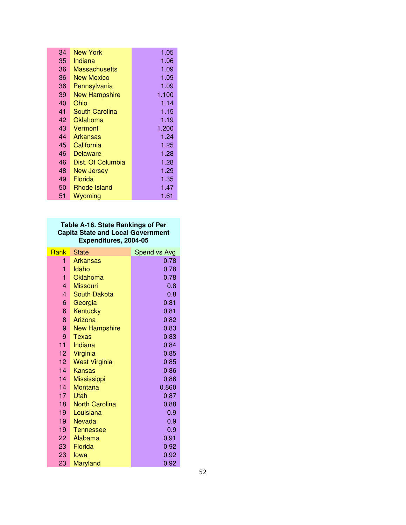| 34 | New York              | 1.05  |
|----|-----------------------|-------|
| 35 | Indiana               | 1.06  |
| 36 | <b>Massachusetts</b>  | 1.09  |
| 36 | New Mexico            | 1.09  |
| 36 | Pennsylvania          | 1.09  |
| 39 | <b>New Hampshire</b>  | 1.100 |
| 40 | Ohio                  | 1.14  |
| 41 | <b>South Carolina</b> | 1.15  |
| 42 | Oklahoma              | 1.19  |
| 43 | Vermont               | 1.200 |
| 44 | Arkansas              | 1.24  |
| 45 | California            | 1.25  |
| 46 | Delaware              | 1.28  |
| 46 | Dist. Of Columbia     | 1.28  |
| 48 | <b>New Jersey</b>     | 1.29  |
| 49 | Florida               | 1.35  |
| 50 | Rhode Island          | 1.47  |
| 51 | Wyoming               | 1.61  |

## **Table A-16. State Rankings of Per Capita State and Local Government Expenditures, 2004-05**

| Rank            | State                 | Spend vs Avg |
|-----------------|-----------------------|--------------|
| 1               | <b>Arkansas</b>       | 0.78         |
| 1               | Idaho                 | 0.78         |
| 1               | Oklahoma              | 0.78         |
| 4               | <b>Missouri</b>       | 0.8          |
| 4               | <b>South Dakota</b>   | 0.8          |
| 6               | Georgia               | 0.81         |
| 6               | Kentucky              | 0.81         |
| 8               | Arizona               | 0.82         |
| 9               | <b>New Hampshire</b>  | 0.83         |
| 9               | Texas                 | 0.83         |
| 11              | Indiana               | 0.84         |
| 12              | Virginia              | 0.85         |
| 12 <sup>2</sup> | <b>West Virginia</b>  | 0.85         |
| 14              | <b>Kansas</b>         | 0.86         |
| 14              | <b>Mississippi</b>    | 0.86         |
| 14              | <b>Montana</b>        | 0.860        |
| 17              | Utah                  | 0.87         |
| 18              | <b>North Carolina</b> | 0.88         |
| 19              | Louisiana             | 0.9          |
| 19              | Nevada                | 0.9          |
| 19              | <b>Tennessee</b>      | 0.9          |
| 22              | Alabama               | 0.91         |
| 23              | Florida               | 0.92         |
| 23              | lowa                  | 0.92         |
| 23              | Maryland              | 0.92         |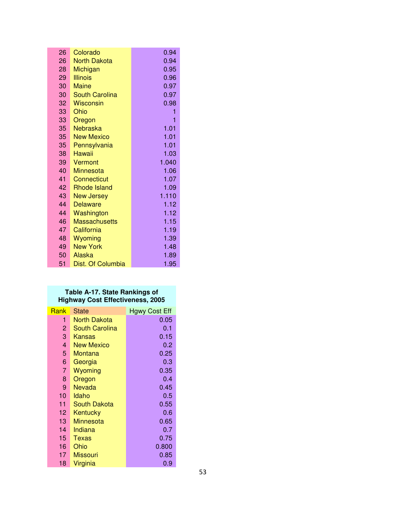| 26              | Colorado              | 0.94  |
|-----------------|-----------------------|-------|
| 26              | <b>North Dakota</b>   | 0.94  |
| 28              | Michigan              | 0.95  |
| 29              | <b>Illinois</b>       | 0.96  |
| 30              | <b>Maine</b>          | 0.97  |
| 30              | <b>South Carolina</b> | 0.97  |
| 32              | <b>Wisconsin</b>      | 0.98  |
| 33              | Ohio                  | 1     |
| 33              | Oregon                | 1     |
| 35 <sub>2</sub> | Nebraska              | 1.01  |
| 35 <sup>2</sup> | <b>New Mexico</b>     | 1.01  |
| 35 <sub>1</sub> | Pennsylvania          | 1.01  |
| 38              | Hawaii                | 1.03  |
| 39              | Vermont               | 1.040 |
| 40              | <b>Minnesota</b>      | 1.06  |
| 41              | Connecticut           | 1.07  |
| 42              | <b>Rhode Island</b>   | 1.09  |
| 43              | <b>New Jersey</b>     | 1.110 |
| 44              | <b>Delaware</b>       | 1.12  |
| 44              | Washington            | 1.12  |
| 46              | <b>Massachusetts</b>  | 1.15  |
| 47              | California            | 1.19  |
| 48              | Wyoming               | 1.39  |
| 49              | <b>New York</b>       | 1.48  |
| 50              | Alaska                | 1.89  |
| 51              | Dist. Of Columbia     | 1.95  |

### **Table A-17. State Rankings of Highway Cost Effectiveness, 2005**

| Rank | State                 | <b>Hgwy Cost Eff</b> |
|------|-----------------------|----------------------|
| 1    | North Dakota          | 0.05                 |
| 2    | <b>South Carolina</b> | 0.1                  |
| 3    | Kansas                | 0.15                 |
| 4    | New Mexico            | 0.2                  |
| 5    | Montana               | 0.25                 |
| 6    | Georgia               | 0.3                  |
| 7    | Wyoming               | 0.35                 |
| 8    | Oregon                | 0.4                  |
| 9    | Nevada                | 0.45                 |
| 10   | Idaho                 | 0.5                  |
| 11   | South Dakota          | 0.55                 |
| 12   | Kentucky              | 0.6                  |
| 13   | Minnesota             | 0.65                 |
| 14   | Indiana               | 0.7                  |
| 15   | Texas                 | 0.75                 |
| 16   | Ohio                  | 0.800                |
| 17   | Missouri              | 0.85                 |
| 18   | Virginia              | 0.9                  |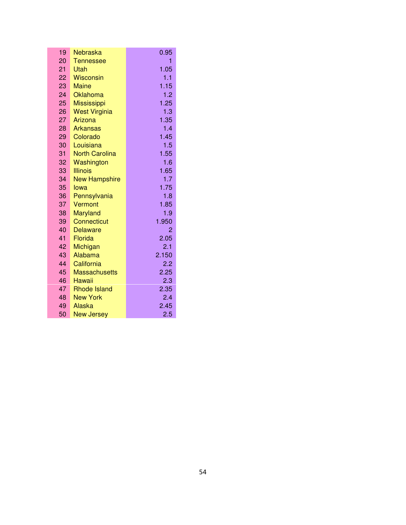| 19              | Nebraska              | 0.95  |
|-----------------|-----------------------|-------|
| 20              | <b>Tennessee</b>      | 1     |
| 21              | Utah                  | 1.05  |
| 22              | <b>Wisconsin</b>      | 1.1   |
| 23              | <b>Maine</b>          | 1.15  |
| 24              | Oklahoma              | 1.2   |
| 25 <sub>2</sub> | <b>Mississippi</b>    | 1.25  |
| 26              | <b>West Virginia</b>  | 1.3   |
| 27              | Arizona               | 1.35  |
| 28 <sup>2</sup> | <b>Arkansas</b>       | 1.4   |
| 29              | Colorado              | 1.45  |
| 30              | Louisiana             | 1.5   |
| 31              | <b>North Carolina</b> | 1.55  |
| 32              | Washington            | 1.6   |
| 33              | <b>Illinois</b>       | 1.65  |
| 34              | <b>New Hampshire</b>  | 1.7   |
| 35              | lowa                  | 1.75  |
| 36              | Pennsylvania          | 1.8   |
| 37              | Vermont               | 1.85  |
| 38              | <b>Maryland</b>       | 1.9   |
| 39              | <b>Connecticut</b>    | 1.950 |
| 40              | <b>Delaware</b>       | 2     |
| 41              | Florida               | 2.05  |
| 42              | Michigan              | 2.1   |
| 43              | Alabama               | 2.150 |
| 44              | California            | 2.2   |
| 45              | <b>Massachusetts</b>  | 2.25  |
| 46              | <b>Hawaii</b>         | 2.3   |
| 47              | <b>Rhode Island</b>   | 2.35  |
| 48              | <b>New York</b>       | 2.4   |
| 49              | Alaska                | 2.45  |
| 50              | <b>New Jersey</b>     | 2.5   |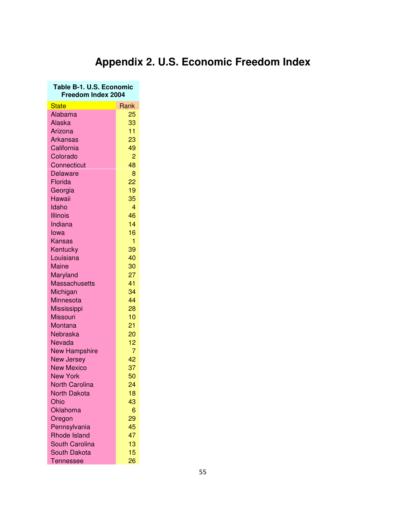# **Appendix 2. U.S. Economic Freedom Index**

| Table B-1. U.S. Economic<br>Freedom Index 2004 |                |  |  |  |  |
|------------------------------------------------|----------------|--|--|--|--|
| <b>State</b>                                   | Rank           |  |  |  |  |
| Alabama                                        | 25             |  |  |  |  |
| Alaska                                         | 33             |  |  |  |  |
| Arizona                                        | 11             |  |  |  |  |
| <b>Arkansas</b>                                | 23             |  |  |  |  |
| California                                     | 49             |  |  |  |  |
| Colorado                                       | $\overline{c}$ |  |  |  |  |
| Connecticut                                    | 48             |  |  |  |  |
| <b>Delaware</b>                                | 8              |  |  |  |  |
| Florida                                        | 22             |  |  |  |  |
| Georgia                                        | 19             |  |  |  |  |
| Hawaii                                         | 35             |  |  |  |  |
| Idaho                                          | $\overline{4}$ |  |  |  |  |
| <b>Illinois</b>                                | 46             |  |  |  |  |
| Indiana                                        | 14             |  |  |  |  |
| lowa                                           | 16             |  |  |  |  |
| Kansas                                         | 1              |  |  |  |  |
| Kentucky                                       | 39             |  |  |  |  |
| Louisiana                                      | 40             |  |  |  |  |
| Maine                                          | 30             |  |  |  |  |
| Maryland                                       | 27             |  |  |  |  |
| <b>Massachusetts</b>                           | 41             |  |  |  |  |
| Michigan                                       | 34             |  |  |  |  |
| Minnesota                                      | 44             |  |  |  |  |
| <b>Mississippi</b>                             | 28             |  |  |  |  |
| Missouri                                       | 10             |  |  |  |  |
| Montana                                        | 21             |  |  |  |  |
| Nebraska                                       | 20             |  |  |  |  |
| Nevada                                         | 12             |  |  |  |  |
| <b>New Hampshire</b>                           | 7              |  |  |  |  |
| New Jersey                                     | 42             |  |  |  |  |
| <b>New Mexico</b>                              | 37             |  |  |  |  |
| <b>New York</b>                                | 50             |  |  |  |  |
| <b>North Carolina</b>                          | 24             |  |  |  |  |
| <b>North Dakota</b>                            | 18             |  |  |  |  |
| Ohio                                           | 43             |  |  |  |  |
| Oklahoma                                       | 6              |  |  |  |  |
| Oregon                                         | 29             |  |  |  |  |
| Pennsylvania                                   | 45             |  |  |  |  |
| <b>Rhode Island</b>                            | 47             |  |  |  |  |
| <b>South Carolina</b>                          | 13             |  |  |  |  |
| <b>South Dakota</b>                            | 15             |  |  |  |  |
| Tennessee                                      | 26             |  |  |  |  |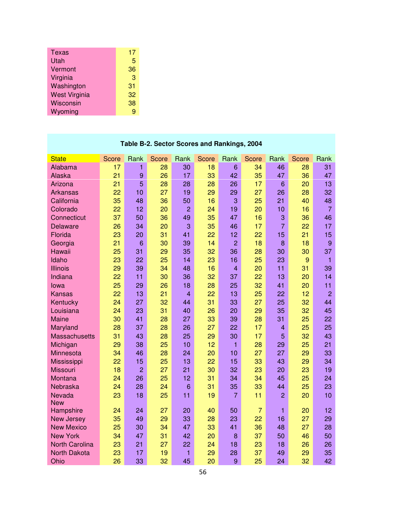| Texas                | 17 |
|----------------------|----|
| Utah                 | 5  |
| Vermont              | 36 |
| Virginia             | 3  |
| Washington           | 31 |
| <b>West Virginia</b> | 32 |
| Wisconsin            | 38 |
| Wyoming              | 9  |

| <b>State</b>                                 | <b>Score</b> | Rank           | <b>Score</b> | Rank           | Score    | Rank           | Score          | Rank           | Score    | Rank           |
|----------------------------------------------|--------------|----------------|--------------|----------------|----------|----------------|----------------|----------------|----------|----------------|
| Alabama                                      | 17           | 1              | 28           | 30             | 18       | 6              | 34             | 46             | 28       | 31             |
| Alaska                                       | 21           | 9              | 26           | 17             | 33       | 42             | 35             | 47             | 36       | 47             |
| Arizona                                      | 21           | 5              | 28           | 28             | 28       | 26             | 17             | 6              | 20       | 13             |
| <b>Arkansas</b>                              | 22           | 10             | 27           | 19             | 29       | 29             | 27             | 26             | 28       | 32             |
| California                                   | 35           | 48             | 36           | 50             | 16       | 3              | 25             | 21             | 40       | 48             |
| Colorado                                     | 22           | 12             | 20           | $\overline{2}$ | 24       | 19             | 20             | 10             | 16       | $\overline{7}$ |
| Connecticut                                  | 37           | 50             | 36           | 49             | 35       | 47             | 16             | 3              | 36       | 46             |
| <b>Delaware</b>                              | 26           | 34             | 20           | 3              | 35       | 46             | 17             | $\overline{7}$ | 22       | 17             |
| Florida                                      | 23           | 20             | 31           | 41             | 22       | 12             | 22             | 15             | 21       | 15             |
| Georgia                                      | 21           | 6              | 30           | 39             | 14       | $\overline{2}$ | 18             | 8              | 18       | 9              |
| Hawaii                                       | 25           | 31             | 29           | 35             | 32       | 36             | 28             | 30             | 30       | 37             |
| Idaho                                        | 23           | 22             | 25           | 14             | 23       | 16             | 25             | 23             | 9        | 1              |
| <b>Illinois</b>                              | 29           | 39             | 34           | 48             | 16       | $\overline{4}$ | 20             | 11             | 31       | 39             |
| Indiana                                      | 22           | 11             | 30           | 36             | 32       | 37             | 22             | 13             | 20       | 14             |
| lowa                                         | 25           | 29             | 26           | 18             | 28       | 25             | 32             | 41             | 20       | 11             |
| <b>Kansas</b>                                | 22           | 13             | 21           | $\overline{4}$ | 22       | 13             | 25             | 22             | 12       | $\overline{2}$ |
| Kentucky                                     | 24           | 27             | 32           | 44             | 31       | 33             | 27             | 25             | 32       | 44             |
| Louisiana                                    | 24           | 23             | 31           | 40             | 26       | 20             | 29             | 35             | 32       | 45             |
| Maine                                        | 30           | 41             | 28           | 27             | 33       | 39             | 28             | 31             | 25       | 22             |
| Maryland                                     | 28           | 37             | 28           | 26             | 27       | 22             | 17             | 4              | 25       | 25             |
| <b>Massachusetts</b>                         | 31           | 43             | 28           | 25             | 29       | 30             | 17             | 5              | 32       | 43             |
| Michigan                                     | 29           | 38             | 25           | 10             | 12       | 1              | 28             | 29             | 25       | 21             |
| Minnesota                                    | 34           | 46             | 28           | 24             | 20       | 10             | 27             | 27             | 29       | 33             |
| Mississippi                                  | 22           | 15             | 25           | 13             | 22       | 15             | 33             | 43             | 29       | 34             |
| <b>Missouri</b>                              | 18           | $\overline{2}$ | 27           | 21             | 30       | 32             | 23             | 20             | 23       | 19             |
| Montana                                      | 24           | 26             | 25           | 12             | 31       | 34             | 34             | 45             | 25       | 24             |
| Nebraska                                     | 24           | 28             | 24           | 6              | 31       | 35             | 33             | 44             | 25       | 23             |
| Nevada                                       | 23           | 18             | 25           | 11             | 19       | $\overline{7}$ | 11             | $\overline{2}$ | 20       | 10             |
| <b>New</b>                                   |              |                |              |                |          |                |                |                |          |                |
| Hampshire                                    | 24           | 24             | 27           | 20             | 40       | 50             | $\overline{7}$ | 1              | 20       | 12             |
| <b>New Jersey</b>                            | 35           | 49             | 29           | 33             | 28       | 23             | 22             | 16             | 27       | 29             |
| <b>New Mexico</b><br><b>New York</b>         | 25           | 30             | 34           | 47             | 33       | 41             | 36             | 48             | 27       | 28             |
|                                              | 34           | 47<br>21       | 31           | 42             | 20<br>24 | 8              | 37             | 50             | 46<br>26 | 50<br>26       |
| <b>North Carolina</b><br><b>North Dakota</b> | 23<br>23     | 17             | 27<br>19     | 22<br>1        | 29       | 18             | 23<br>37       | 18<br>49       | 29       | 35             |
|                                              | 26           | 33             | 32           | 45             | 20       | 28<br>9        | 25             | 24             | 32       | 42             |
| Ohio                                         |              |                |              |                |          |                |                |                |          |                |

## **Table B-2. Sector Scores and Rankings, 2004**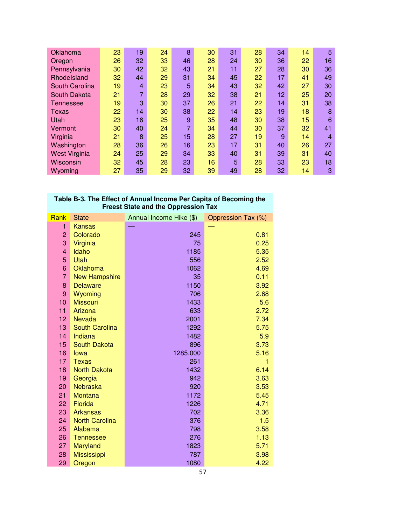| Oklahoma             | 23 | 19             | 24 | 8  | 30 | 31 | 28 | 34 | 14 | 5  |
|----------------------|----|----------------|----|----|----|----|----|----|----|----|
| Oregon               | 26 | 32             | 33 | 46 | 28 | 24 | 30 | 36 | 22 | 16 |
| Pennsylvania         | 30 | 42             | 32 | 43 | 21 | 11 | 27 | 28 | 30 | 36 |
| Rhodelsland          | 32 | 44             | 29 | 31 | 34 | 45 | 22 | 17 | 41 | 49 |
| South Carolina       | 19 | 4              | 23 | 5  | 34 | 43 | 32 | 42 | 27 | 30 |
| South Dakota         | 21 | $\overline{7}$ | 28 | 29 | 32 | 38 | 21 | 12 | 25 | 20 |
| Tennessee            | 19 | 3              | 30 | 37 | 26 | 21 | 22 | 14 | 31 | 38 |
| Texas                | 22 | 14             | 30 | 38 | 22 | 14 | 23 | 19 | 18 | 8  |
| Utah                 | 23 | 16             | 25 | 9  | 35 | 48 | 30 | 38 | 15 | 6  |
| Vermont              | 30 | 40             | 24 | 7  | 34 | 44 | 30 | 37 | 32 | 41 |
| Virginia             | 21 | 8              | 25 | 15 | 28 | 27 | 19 | 9  | 14 | 4  |
| Washington           | 28 | 36             | 26 | 16 | 23 | 17 | 31 | 40 | 26 | 27 |
| <b>West Virginia</b> | 24 | 25             | 29 | 34 | 33 | 40 | 31 | 39 | 31 | 40 |
| Wisconsin            | 32 | 45             | 28 | 23 | 16 | 5  | 28 | 33 | 23 | 18 |
| Wyoming              | 27 | 35             | 29 | 32 | 39 | 49 | 28 | 32 | 14 | 3  |

## **Table B-3. The Effect of Annual Income Per Capita of Becoming the Freest State and the Oppression Tax**

| Rank           | <b>State</b>          | Annual Income Hike (\$) | Oppression Tax (%) |
|----------------|-----------------------|-------------------------|--------------------|
| 1              | <b>Kansas</b>         |                         |                    |
| $\overline{c}$ | Colorado              | 245                     | 0.81               |
| 3              | Virginia              | 75                      | 0.25               |
| 4              | Idaho                 | 1185                    | 5.35               |
| 5              | <b>Utah</b>           | 556                     | 2.52               |
| 6              | <b>Oklahoma</b>       | 1062                    | 4.69               |
| $\overline{7}$ | <b>New Hampshire</b>  | 35                      | 0.11               |
| 8              | <b>Delaware</b>       | 1150                    | 3.92               |
| 9              | Wyoming               | 706                     | 2.68               |
| 10             | <b>Missouri</b>       | 1433                    | 5.6                |
| 11             | Arizona               | 633                     | 2.72               |
| 12             | <b>Nevada</b>         | 2001                    | 7.34               |
| 13             | <b>South Carolina</b> | 1292                    | 5.75               |
| 14             | Indiana               | 1482                    | 5.9                |
| 15             | <b>South Dakota</b>   | 896                     | 3.73               |
| 16             | lowa                  | 1285.000                | 5.16               |
| 17             | <b>Texas</b>          | 261                     | 1                  |
| 18             | <b>North Dakota</b>   | 1432                    | 6.14               |
| 19             | Georgia               | 942                     | 3.63               |
| 20             | <b>Nebraska</b>       | 920                     | 3.53               |
| 21             | Montana               | 1172                    | 5.45               |
| 22             | Florida               | 1226                    | 4.71               |
| 23             | <b>Arkansas</b>       | 702                     | 3.36               |
| 24             | <b>North Carolina</b> | 376                     | 1.5                |
| 25             | Alabama               | 798                     | 3.58               |
| 26             | <b>Tennessee</b>      | 276                     | 1.13               |
| 27             | Maryland              | 1823                    | 5.71               |
| 28             | <b>Mississippi</b>    | 787                     | 3.98               |
| 29             | Oregon                | 1080                    | 4.22               |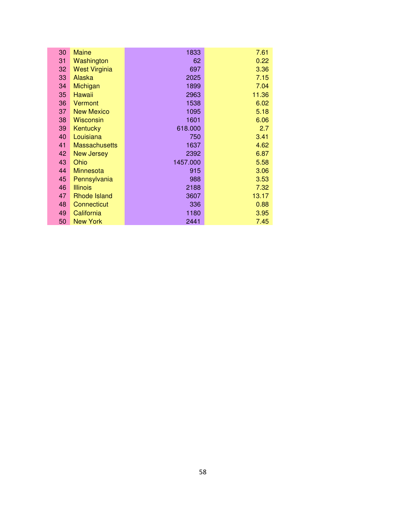| 30 | Maine                | 1833     | 7.61  |
|----|----------------------|----------|-------|
| 31 | Washington           | 62       | 0.22  |
| 32 | <b>West Virginia</b> | 697      | 3.36  |
| 33 | Alaska               | 2025     | 7.15  |
| 34 | Michigan             | 1899     | 7.04  |
| 35 | Hawaii               | 2963     | 11.36 |
| 36 | Vermont              | 1538     | 6.02  |
| 37 | <b>New Mexico</b>    | 1095     | 5.18  |
| 38 | Wisconsin            | 1601     | 6.06  |
| 39 | Kentucky             | 618.000  | 2.7   |
| 40 | Louisiana            | 750      | 3.41  |
| 41 | <b>Massachusetts</b> | 1637     | 4.62  |
| 42 | <b>New Jersey</b>    | 2392     | 6.87  |
| 43 | Ohio                 | 1457.000 | 5.58  |
| 44 | <b>Minnesota</b>     | 915      | 3.06  |
| 45 | Pennsylvania         | 988      | 3.53  |
| 46 | <b>Illinois</b>      | 2188     | 7.32  |
| 47 | Rhode Island         | 3607     | 13.17 |
| 48 | Connecticut          | 336      | 0.88  |
| 49 | California           | 1180     | 3.95  |
| 50 | <b>New York</b>      | 2441     | 7.45  |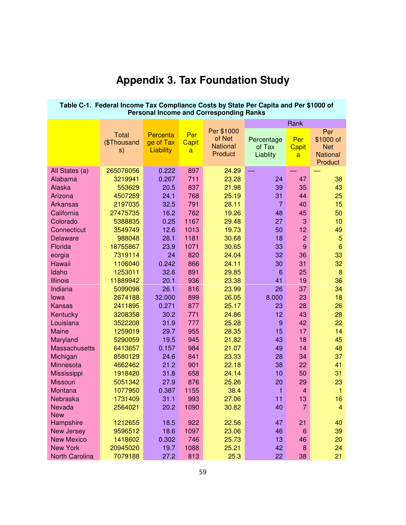| Table C-1. Federal Income Tax Compliance Costs by State Per Capita and Per \$1000 of<br><b>Personal Income and Corresponding Ranks</b> |                                   |                                    |                                       |                                                    |                                  |                          |                                                              |  |  |  |  |
|----------------------------------------------------------------------------------------------------------------------------------------|-----------------------------------|------------------------------------|---------------------------------------|----------------------------------------------------|----------------------------------|--------------------------|--------------------------------------------------------------|--|--|--|--|
|                                                                                                                                        |                                   |                                    |                                       |                                                    |                                  | Rank                     |                                                              |  |  |  |  |
|                                                                                                                                        | <b>Total</b><br>(\$Thousand<br>s) | Percenta<br>ge of Tax<br>Liability | Per<br><b>Capit</b><br>$\overline{a}$ | Per \$1000<br>of Net<br><b>National</b><br>Product | Percentage<br>of Tax<br>Liablity | Per<br><b>Capit</b><br>a | Per<br>\$1000 of<br><b>Net</b><br><b>National</b><br>Product |  |  |  |  |
| All States (a)                                                                                                                         | 265076056                         | 0.222                              | 897                                   | 24.29                                              |                                  |                          |                                                              |  |  |  |  |
| Alabama                                                                                                                                | 3219941                           | 0.267                              | 711                                   | 23.28                                              | 24                               | 47                       | 38                                                           |  |  |  |  |
| Alaska                                                                                                                                 | 553629                            | 20.5                               | 837                                   | 21.98                                              | 39                               | 35                       | 43                                                           |  |  |  |  |
| Arizona                                                                                                                                | 4507259                           | 24.1                               | 768                                   | 25.19                                              | 31                               | 44                       | 25                                                           |  |  |  |  |
| <b>Arkansas</b>                                                                                                                        | 2197035                           | 32.5                               | 791                                   | 28.11                                              | $\overline{7}$                   | 40                       | 15                                                           |  |  |  |  |
| California                                                                                                                             | 27475735                          | 16.2                               | 762                                   | 19.26                                              | 48                               | 45                       | 50                                                           |  |  |  |  |
| Colorado                                                                                                                               | 5388835                           | 0.25                               | 1167                                  | 29.48                                              | 27                               | 3                        | 10                                                           |  |  |  |  |
| Connecticut                                                                                                                            | 3549749                           | 12.6                               | 1013                                  | 19.73                                              | 50                               | 12                       | 49                                                           |  |  |  |  |
| Delaware                                                                                                                               | 988048                            | 28.1                               | 1181                                  | 30.68                                              | 18                               | $\overline{c}$           | $\overline{5}$                                               |  |  |  |  |
| Florida                                                                                                                                | 18755867                          | 23.9                               | 1071                                  | 30.65                                              | 33                               | $9$                      | $6\phantom{1}6$                                              |  |  |  |  |
| eorgia                                                                                                                                 | 7319114                           | 24                                 | 820                                   | 24.04                                              | 32                               | 36                       | 33                                                           |  |  |  |  |
| Hawaii                                                                                                                                 | 1106040                           | 0.242                              | 866                                   | 24.11                                              | 30                               | 31                       | 32                                                           |  |  |  |  |
| Idaho                                                                                                                                  | 1253011                           | 32.6                               | 891                                   | 29.85                                              | 6                                | 25                       | $\bf 8$                                                      |  |  |  |  |
| <b>Illinois</b>                                                                                                                        | 11889942                          | 20.1                               | 936                                   | 23.38                                              | 41                               | 19                       | 36                                                           |  |  |  |  |
| Indiana                                                                                                                                | 5099098                           | 26.1                               | 816                                   | 23.99                                              | 26                               | 37                       | 34                                                           |  |  |  |  |
| lowa                                                                                                                                   | 2674188                           | 32.000                             | 899                                   | 26.05                                              | 8.000                            | 23                       | 18                                                           |  |  |  |  |
| <b>Kansas</b>                                                                                                                          | 2411895                           | 0.271                              | 877                                   | 25.17                                              | 23                               | 28                       | 26                                                           |  |  |  |  |
| Kentucky                                                                                                                               | 3208358                           | 30.2                               | 771                                   | 24.86                                              | 12                               | 43                       | 28                                                           |  |  |  |  |
| Louisiana                                                                                                                              | 3522208                           | 31.9                               | 777                                   | 25.28                                              | $\overline{9}$                   | 42                       | 22                                                           |  |  |  |  |
| Maine                                                                                                                                  | 1259019                           | 29.7                               | 955                                   | 28.35                                              | 15                               | 17                       | 14                                                           |  |  |  |  |
| Maryland                                                                                                                               | 5290059                           | 19.5                               | 945                                   | 21.82                                              | 43                               | 18                       | 45                                                           |  |  |  |  |
| <b>Massachusetts</b>                                                                                                                   | 6413657                           | 0.157                              | 984                                   | 21.07                                              | 49                               | 14                       | 48                                                           |  |  |  |  |
| Michigan                                                                                                                               | 8580129                           | 24.6                               | 841                                   | 23.33                                              | 28                               | 34                       | 37                                                           |  |  |  |  |
| Minnesota                                                                                                                              | 4662462                           | 21.2                               | 901                                   | 22.18                                              | 38                               | 22                       | 41                                                           |  |  |  |  |
| Mississippi                                                                                                                            | 1918420                           | 31.8                               | 658                                   | 24.14                                              | 10                               | 50                       | 31                                                           |  |  |  |  |
| <b>Missouri</b>                                                                                                                        | 5051342                           | 27.9                               | 876                                   | 25.26                                              | 20                               | 29                       | 23                                                           |  |  |  |  |
| Montana                                                                                                                                | 1077950                           | 0.387                              | 1155                                  | 38.4                                               | 1                                | 4                        | $\mathbf{1}$                                                 |  |  |  |  |
| Nebraska                                                                                                                               | 1731409                           | 31.1                               | 993                                   | 27.06                                              | 11                               | 13                       | 16                                                           |  |  |  |  |
| Nevada                                                                                                                                 | 2564021                           | 20.2                               | 1090                                  | 30.82                                              | 40                               | 7                        | 4                                                            |  |  |  |  |
| <b>New</b>                                                                                                                             |                                   |                                    |                                       |                                                    |                                  |                          |                                                              |  |  |  |  |
| Hampshire                                                                                                                              | 1212655                           | 18.5                               | 922                                   | 22.56                                              | 47                               | 21                       | 40                                                           |  |  |  |  |
| <b>New Jersey</b>                                                                                                                      | 9596512                           | 18.6                               | 1097                                  | 23.06                                              | 46                               | 6                        | 39                                                           |  |  |  |  |
| <b>New Mexico</b>                                                                                                                      | 1418602                           | 0.302                              | 746                                   | 25.73                                              | 13                               | 46                       | 20                                                           |  |  |  |  |
| <b>New York</b>                                                                                                                        | 20945020                          | 19.7                               | 1088                                  | 25.21                                              | 42                               | 8                        | 24                                                           |  |  |  |  |
| <b>North Carolina</b>                                                                                                                  | 7079188                           | 27.2                               | 813                                   | 25.3                                               | 22                               | 38                       | 21                                                           |  |  |  |  |

# **Appendix 3. Tax Foundation Study**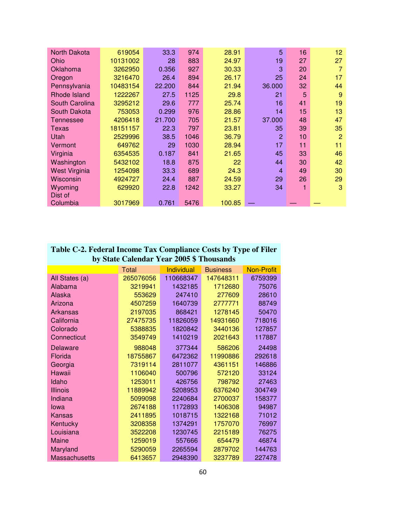| <b>North Dakota</b>  | 619054   | 33.3   | 974  | 28.91  | 5              | 16 | 12             |
|----------------------|----------|--------|------|--------|----------------|----|----------------|
| Ohio                 | 10131002 | 28     | 883  | 24.97  | 19             | 27 | 27             |
| Oklahoma             | 3262950  | 0.356  | 927  | 30.33  | 3              | 20 | 7              |
| Oregon               | 3216470  | 26.4   | 894  | 26.17  | 25             | 24 | 17             |
| Pennsylvania         | 10483154 | 22.200 | 844  | 21.94  | 36.000         | 32 | 44             |
| Rhode Island         | 1222267  | 27.5   | 1125 | 29.8   | 21             | 5  | 9              |
| South Carolina       | 3295212  | 29.6   | 777  | 25.74  | 16             | 41 | 19             |
| South Dakota         | 753053   | 0.299  | 976  | 28.86  | 14             | 15 | 13             |
| Tennessee            | 4206418  | 21.700 | 705  | 21.57  | 37.000         | 48 | 47             |
| Texas                | 18151157 | 22.3   | 797  | 23.81  | 35             | 39 | 35             |
| Utah                 | 2529996  | 38.5   | 1046 | 36.79  | $\overline{2}$ | 10 | $\overline{2}$ |
| Vermont              | 649762   | 29     | 1030 | 28.94  | 17             | 11 | 11             |
| Virginia             | 6354535  | 0.187  | 841  | 21.65  | 45             | 33 | 46             |
| Washington           | 5432102  | 18.8   | 875  | 22     | 44             | 30 | 42             |
| <b>West Virginia</b> | 1254098  | 33.3   | 689  | 24.3   | 4              | 49 | 30             |
| Wisconsin            | 4924727  | 24.4   | 887  | 24.59  | 29             | 26 | 29             |
| Wyoming              | 629920   | 22.8   | 1242 | 33.27  | 34             | 1  | 3              |
| Dist of              |          |        |      |        |                |    |                |
| Columbia             | 3017969  | 0.761  | 5476 | 100.85 |                |    |                |

## **Table C-2. Federal Income Tax Compliance Costs by Type of Filer by State Calendar Year 2005 \$ Thousands**

|                      | Total     | Individual | <b>Business</b> | <b>Non-Profit</b> |
|----------------------|-----------|------------|-----------------|-------------------|
| All States (a)       | 265076056 | 110668347  | 147648311       | 6759399           |
| Alabama              | 3219941   | 1432185    | 1712680         | 75076             |
| Alaska               | 553629    | 247410     | 277609          | 28610             |
| Arizona              | 4507259   | 1640739    | 2777771         | 88749             |
| <b>Arkansas</b>      | 2197035   | 868421     | 1278145         | 50470             |
| California           | 27475735  | 11826059   | 14931660        | 718016            |
| Colorado             | 5388835   | 1820842    | 3440136         | 127857            |
| Connecticut          | 3549749   | 1410219    | 2021643         | 117887            |
| <b>Delaware</b>      | 988048    | 377344     | 586206          | 24498             |
| Florida              | 18755867  | 6472362    | 11990886        | 292618            |
| Georgia              | 7319114   | 2811077    | 4361151         | 146886            |
| Hawaii               | 1106040   | 500796     | 572120          | 33124             |
| Idaho                | 1253011   | 426756     | 798792          | 27463             |
| <b>Illinois</b>      | 11889942  | 5208953    | 6376240         | 304749            |
| Indiana              | 5099098   | 2240684    | 2700037         | 158377            |
| lowa                 | 2674188   | 1172893    | 1406308         | 94987             |
| <b>Kansas</b>        | 2411895   | 1018715    | 1322168         | 71012             |
| Kentucky             | 3208358   | 1374291    | 1757070         | 76997             |
| Louisiana            | 3522208   | 1230745    | 2215189         | 76275             |
| Maine                | 1259019   | 557666     | 654479          | 46874             |
| Maryland             | 5290059   | 2265594    | 2879702         | 144763            |
| <b>Massachusetts</b> | 6413657   | 2948390    | 3237789         | 227478            |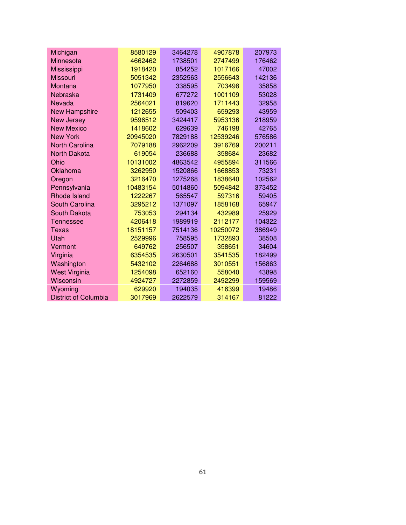| Michigan                    | 8580129  | 3464278 | 4907878  | 207973 |
|-----------------------------|----------|---------|----------|--------|
| Minnesota                   | 4662462  | 1738501 | 2747499  | 176462 |
| Mississippi                 | 1918420  | 854252  | 1017166  | 47002  |
| <b>Missouri</b>             | 5051342  | 2352563 | 2556643  | 142136 |
| Montana                     | 1077950  | 338595  | 703498   | 35858  |
| Nebraska                    | 1731409  | 677272  | 1001109  | 53028  |
| Nevada                      | 2564021  | 819620  | 1711443  | 32958  |
| <b>New Hampshire</b>        | 1212655  | 509403  | 659293   | 43959  |
| <b>New Jersey</b>           | 9596512  | 3424417 | 5953136  | 218959 |
| <b>New Mexico</b>           | 1418602  | 629639  | 746198   | 42765  |
| <b>New York</b>             | 20945020 | 7829188 | 12539246 | 576586 |
| <b>North Carolina</b>       | 7079188  | 2962209 | 3916769  | 200211 |
| <b>North Dakota</b>         | 619054   | 236688  | 358684   | 23682  |
| Ohio                        | 10131002 | 4863542 | 4955894  | 311566 |
| Oklahoma                    | 3262950  | 1520866 | 1668853  | 73231  |
| Oregon                      | 3216470  | 1275268 | 1838640  | 102562 |
| Pennsylvania                | 10483154 | 5014860 | 5094842  | 373452 |
| <b>Rhode Island</b>         | 1222267  | 565547  | 597316   | 59405  |
| <b>South Carolina</b>       | 3295212  | 1371097 | 1858168  | 65947  |
| South Dakota                | 753053   | 294134  | 432989   | 25929  |
| <b>Tennessee</b>            | 4206418  | 1989919 | 2112177  | 104322 |
| <b>Texas</b>                | 18151157 | 7514136 | 10250072 | 386949 |
| Utah                        | 2529996  | 758595  | 1732893  | 38508  |
| Vermont                     | 649762   | 256507  | 358651   | 34604  |
| Virginia                    | 6354535  | 2630501 | 3541535  | 182499 |
| Washington                  | 5432102  | 2264688 | 3010551  | 156863 |
| <b>West Virginia</b>        | 1254098  | 652160  | 558040   | 43898  |
| Wisconsin                   | 4924727  | 2272859 | 2492299  | 159569 |
| Wyoming                     | 629920   | 194035  | 416399   | 19486  |
| <b>District of Columbia</b> | 3017969  | 2622579 | 314167   | 81222  |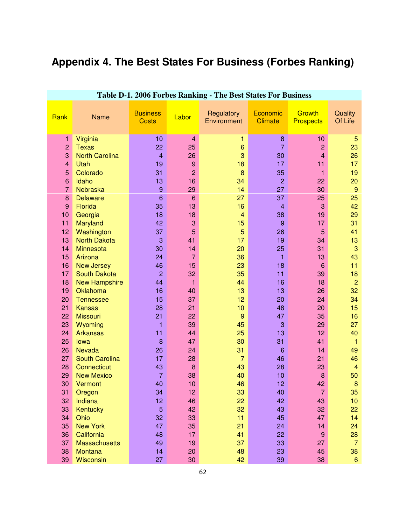# **Appendix 4. The Best States For Business (Forbes Ranking)**

| Ladie D-1. 2000 Foldes Ratiking - The Dest States Fol Dustitess |                       |                                 |                 |                           |                            |                            |                    |  |  |  |  |
|-----------------------------------------------------------------|-----------------------|---------------------------------|-----------------|---------------------------|----------------------------|----------------------------|--------------------|--|--|--|--|
| Rank                                                            | Name                  | <b>Business</b><br><b>Costs</b> | Labor           | Regulatory<br>Environment | Economic<br><b>Climate</b> | Growth<br><b>Prospects</b> | Quality<br>Of Life |  |  |  |  |
| 1                                                               | Virginia              | 10                              | $\overline{4}$  | 1                         | 8                          | 10                         | 5                  |  |  |  |  |
| $\overline{c}$                                                  | <b>Texas</b>          | 22                              | 25              | $6\phantom{1}6$           | $\overline{7}$             | $\overline{2}$             | 23                 |  |  |  |  |
| 3                                                               | <b>North Carolina</b> | $\overline{4}$                  | 26              | 3                         | 30                         | $\overline{4}$             | 26                 |  |  |  |  |
| $\overline{\mathbf{4}}$                                         | Utah                  | 19                              | 9               | 18                        | 17                         | 11                         | 17                 |  |  |  |  |
|                                                                 |                       |                                 |                 |                           |                            |                            |                    |  |  |  |  |
| 5                                                               | Colorado              | 31                              | $\overline{2}$  | 8                         | 35                         | $\mathbf{1}$               | 19                 |  |  |  |  |
| 6                                                               | Idaho                 | 13                              | 16              | 34                        | $\overline{c}$             | 22                         | 20                 |  |  |  |  |
| $\overline{7}$                                                  | Nebraska              | $\boldsymbol{9}$                | 29              | 14                        | 27                         | 30                         | $\overline{9}$     |  |  |  |  |
| 8                                                               | <b>Delaware</b>       | $6\phantom{1}6$                 | $6\phantom{1}6$ | 27                        | 37                         | 25                         | 25                 |  |  |  |  |
| 9                                                               | Florida               | 35                              | 13              | 16                        | $\overline{4}$             | 3                          | 42                 |  |  |  |  |
| 10                                                              | Georgia               | 18                              | 18              | $\overline{4}$            | 38                         | 19                         | 29                 |  |  |  |  |
| 11                                                              | Maryland              | 42                              | 3               | 15                        | $\overline{9}$             | 17                         | 31                 |  |  |  |  |
| 12                                                              | Washington            | 37                              | 5               | 5                         | 26                         | 5                          | 41                 |  |  |  |  |
| 13                                                              | <b>North Dakota</b>   | 3                               | 41              | 17                        | 19                         | 34                         | 13                 |  |  |  |  |
| 14                                                              | <b>Minnesota</b>      | 30                              | 14              | 20                        | 25                         | 31                         | 3                  |  |  |  |  |
| 15                                                              | Arizona               | 24                              | $\overline{7}$  | 36                        | 1                          | 13                         | 43                 |  |  |  |  |
| 16                                                              | <b>New Jersey</b>     | 46                              | 15              | 23                        | 18                         | $6\phantom{1}6$            | 11                 |  |  |  |  |
| 17                                                              | <b>South Dakota</b>   | $\overline{c}$                  | 32              | 35                        | 11                         | 39                         | 18                 |  |  |  |  |
| 18                                                              | <b>New Hampshire</b>  | 44                              | $\mathbf{1}$    | 44                        | 16                         | 18                         | $\overline{2}$     |  |  |  |  |
| 19                                                              | Oklahoma              | 16                              | 40              | 13                        | 13                         | 26                         | 32                 |  |  |  |  |
| 20                                                              | <b>Tennessee</b>      | 15                              | 37              | 12                        | 20                         | 24                         | 34                 |  |  |  |  |
| 21                                                              | <b>Kansas</b>         | 28                              | 21              | 10                        | 48                         | 20                         | 15                 |  |  |  |  |
| 22                                                              | <b>Missouri</b>       | 21                              | 22              | 9                         | 47                         | 35                         | 16                 |  |  |  |  |
| 23                                                              | Wyoming               | 1                               | 39              | 45                        | 3                          | 29                         | 27                 |  |  |  |  |
| 24                                                              | <b>Arkansas</b>       | 11                              | 44              | 25                        | 13                         | 12                         | 40                 |  |  |  |  |
| 25                                                              | lowa                  | 8                               | 47              | 30                        | 31                         | 41                         | $\mathbf{1}$       |  |  |  |  |
| 26                                                              | <b>Nevada</b>         | 26                              | 24              | 31                        | $6\phantom{1}6$            | 14                         | 49                 |  |  |  |  |
| 27                                                              | <b>South Carolina</b> | 17                              | 28              | $\overline{7}$            | 46                         | 21                         | 46                 |  |  |  |  |
| 28                                                              | Connecticut           | 43                              | 8               | 43                        | 28                         | 23                         | $\overline{4}$     |  |  |  |  |
| 29                                                              | <b>New Mexico</b>     | $\overline{7}$                  | 38              | 40                        | 10                         | 8                          | 50                 |  |  |  |  |
| 30                                                              | Vermont               | 40                              | 10              | 46                        | 12                         | 42                         | $\boldsymbol{8}$   |  |  |  |  |
| 31                                                              | Oregon                | 34                              | 12              | 33                        | 40                         | 7                          | 35                 |  |  |  |  |
| 32                                                              | Indiana               | 12                              | 46              | 22                        | 42                         | 43                         | 10                 |  |  |  |  |
| 33                                                              | Kentucky              | $\sqrt{5}$                      | 42              | 32                        | 43                         | 32                         | 22                 |  |  |  |  |
| 34                                                              | Ohio                  | 32                              | 33              | 11                        | 45                         | 47                         | 14                 |  |  |  |  |
| 35                                                              | <b>New York</b>       | 47                              | 35              | 21                        | 24                         | 14                         | 24                 |  |  |  |  |
| 36                                                              |                       | 48                              | 17              | 41                        | 22                         | $9$                        |                    |  |  |  |  |
|                                                                 | California            |                                 |                 |                           |                            |                            | 28                 |  |  |  |  |
| 37                                                              | <b>Massachusetts</b>  | 49                              | 19              | 37                        | 33                         | 27                         | $\overline{7}$     |  |  |  |  |
| 38                                                              | <b>Montana</b>        | 14                              | 20              | 48                        | 23                         | 45                         | 38                 |  |  |  |  |
| 39                                                              | <b>Wisconsin</b>      | 27                              | 30              | 42                        | 39                         | 38                         | $6\phantom{1}$     |  |  |  |  |

## **Table D-1. 2006 Forbes Ranking - The Best States For Business**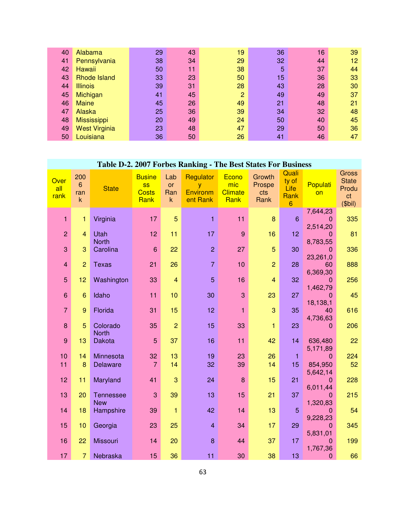| 40 | Alabama              | 29 | 43 | 19 | 36 | 16 | 39 |
|----|----------------------|----|----|----|----|----|----|
| 41 | Pennsylvania         | 38 | 34 | 29 | 32 | 44 | 12 |
| 42 | Hawaii               | 50 | 11 | 38 | 5  | 37 | 44 |
| 43 | Rhode Island         | 33 | 23 | 50 | 15 | 36 | 33 |
| 44 | <b>Illinois</b>      | 39 | 31 | 28 | 43 | 28 | 30 |
| 45 | Michigan             | 41 | 45 | 2  | 49 | 49 | 37 |
| 46 | <b>Maine</b>         | 45 | 26 | 49 | 21 | 48 | 21 |
| 47 | Alaska               | 25 | 36 | 39 | 34 | 32 | 48 |
| 48 | <b>Mississippi</b>   | 20 | 49 | 24 | 50 | 40 | 45 |
| 49 | <b>West Virginia</b> | 23 | 48 | 47 | 29 | 50 | 36 |
| 50 | Louisiana            | 36 | 50 | 26 | 41 | 46 | 47 |

| Table D-2. 2007 Forbes Ranking - The Best States For Business |                                      |                                |                                                    |                                  |                                               |                                        |                                 |                                                  |                                        |                                                          |  |
|---------------------------------------------------------------|--------------------------------------|--------------------------------|----------------------------------------------------|----------------------------------|-----------------------------------------------|----------------------------------------|---------------------------------|--------------------------------------------------|----------------------------------------|----------------------------------------------------------|--|
| Over<br>all<br>rank                                           | 200<br>$6^{\circ}$<br>ran<br>$\sf k$ | <b>State</b>                   | <b>Busine</b><br><b>SS</b><br><b>Costs</b><br>Rank | Lab<br>or<br>Ran<br>$\mathsf{k}$ | <b>Regulator</b><br>y<br>Environm<br>ent Rank | Econo<br>mic<br><b>Climate</b><br>Rank | Growth<br>Prospe<br>cts<br>Rank | Quali<br>ty of<br>Life<br>Rank<br>$6\phantom{a}$ | Populati<br>on                         | <b>Gross</b><br><b>State</b><br>Produ<br>ct<br>$(5$ bil) |  |
| $\mathbf{1}$                                                  | $\mathbf{1}$                         | Virginia                       | 17                                                 | $\overline{5}$                   | $\mathbf{1}$                                  | 11                                     | $\bf{8}$                        | $6\phantom{1}$                                   | 7,644,23<br>$\mathbf 0$<br>2,514,20    | 335                                                      |  |
| $\overline{2}$                                                | $\overline{4}$                       | Utah                           | 12                                                 | 11                               | 17                                            | $\overline{9}$                         | 16                              | 12 <sub>2</sub>                                  | $\mathbf 0$                            | 81                                                       |  |
| 3                                                             | 3                                    | <b>North</b><br>Carolina       | $6\phantom{1}6$                                    | 22                               | $\overline{2}$                                | 27                                     | 5                               | 30                                               | 8,783,55<br>$\mathbf 0$<br>23,261,0    | 336                                                      |  |
| $\overline{4}$                                                | $\overline{2}$                       | <b>Texas</b>                   | 21                                                 | 26                               | $\overline{7}$                                | 10                                     | $\overline{2}$                  | 28                                               | 60                                     | 888                                                      |  |
| $\overline{5}$                                                | 12                                   | Washington                     | 33                                                 | $\overline{\mathbf{4}}$          | 5                                             | 16                                     | $\overline{\mathbf{4}}$         | 32                                               | 6,369,30<br>$\overline{0}$<br>1,462,79 | 256                                                      |  |
| $6\phantom{1}$                                                | $6\phantom{1}6$                      | Idaho                          | 11                                                 | 10                               | 30                                            | 3                                      | 23                              | 27                                               | $\Omega$                               | 45                                                       |  |
| $\overline{7}$                                                | 9                                    | Florida                        | 31                                                 | 15                               | 12                                            | $\mathbf{1}$                           | 3                               | 35                                               | 18,138,1<br>40<br>4,736,63             | 616                                                      |  |
| 8                                                             | 5                                    | Colorado<br><b>North</b>       | 35                                                 | $\overline{2}$                   | 15                                            | 33                                     | 1                               | 23                                               | $\Omega$                               | 206                                                      |  |
| $\overline{9}$                                                | 13                                   | <b>Dakota</b>                  | 5                                                  | 37                               | 16                                            | 11                                     | 42                              | 14                                               | 636,480                                | 22                                                       |  |
| 10                                                            | 14                                   | Minnesota                      | 32                                                 | 13                               | 19                                            | 23                                     | 26                              | $\mathbf{1}$                                     | 5,171,89<br>$\mathbf{0}$               | 224                                                      |  |
| 11                                                            | 8                                    | Delaware                       | $\overline{7}$                                     | 14                               | 32                                            | 39                                     | 14                              | 15                                               | 854,950<br>5,642,14                    | 52                                                       |  |
| 12                                                            | 11                                   | Maryland                       | 41                                                 | 3                                | 24                                            | 8                                      | 15                              | 21                                               | $\mathbf{0}$                           | 228                                                      |  |
| 13                                                            | 20                                   | <b>Tennessee</b><br><b>New</b> | 3                                                  | 39                               | 13                                            | 15                                     | 21                              | 37                                               | 6,011,44<br>$\Omega$<br>1,320,83       | 215                                                      |  |
| 14                                                            | 18                                   | Hampshire                      | 39                                                 | 1                                | 42                                            | 14                                     | 13                              | 5                                                | $\Omega$                               | 54                                                       |  |
| 15                                                            | 10                                   | Georgia                        | 23                                                 | 25                               | $\overline{4}$                                | 34                                     | 17                              | 29                                               | 9,228,23<br>$\mathbf 0$<br>5,831,01    | 345                                                      |  |
| 16                                                            | 22                                   | Missouri                       | 14                                                 | 20                               | 8                                             | 44                                     | 37                              | 17                                               | $\mathbf{0}$                           | 199                                                      |  |
| 17                                                            | $\overline{7}$                       | Nebraska                       | 15                                                 | 36                               | 11                                            | 30                                     | 38                              | 13                                               | 1,767,36<br>$\mathbf{0}$               | 66                                                       |  |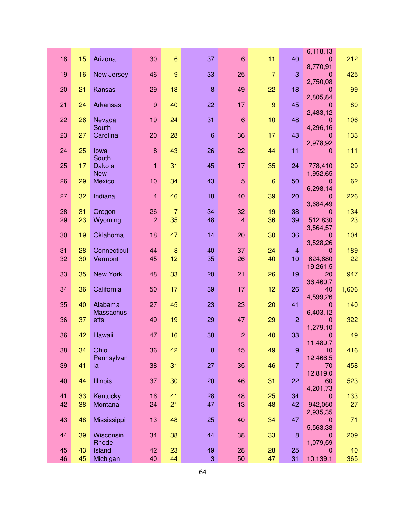|    |    |                        |                |                 |                |                 |                |                | 6,118,13                 |       |
|----|----|------------------------|----------------|-----------------|----------------|-----------------|----------------|----------------|--------------------------|-------|
| 18 | 15 | Arizona                | 30             | 6               | 37             | 6               | 11             | 40             | $\mathbf 0$              | 212   |
| 19 | 16 | New Jersey             | 46             | 9               | 33             | 25              | $\overline{7}$ | 3              | 8,770,91<br>0            | 425   |
|    |    |                        |                |                 |                |                 |                |                | 2,750,08                 |       |
| 20 | 21 | <b>Kansas</b>          | 29             | 18              | $\bf{8}$       | 49              | 22             | 18             | 0                        | 99    |
| 21 | 24 | Arkansas               | $\overline{9}$ | 40              | 22             | 17              | $\overline{9}$ | 45             | 2,805,84<br>0            | 80    |
|    |    |                        |                |                 |                |                 |                |                | 2,483,12                 |       |
| 22 | 26 | Nevada                 | 19             | 24              | 31             | $6\phantom{1}6$ | 10             | 48             | 0                        | 106   |
| 23 | 27 | South<br>Carolina      | 20             | 28              | $6\phantom{1}$ | 36              | 17             | 43             | 4,296,16<br>$\mathbf{0}$ | 133   |
|    |    |                        |                |                 |                |                 |                |                | 2,978,92                 |       |
| 24 | 25 | lowa                   | 8              | 43              | 26             | 22              | 44             | 11             | 0                        | 111   |
| 25 | 17 | South<br><b>Dakota</b> | 1              | 31              | 45             | 17              | 35             | 24             | 778,410                  | 29    |
|    |    | <b>New</b>             |                |                 |                |                 |                |                | 1,952,65                 |       |
| 26 | 29 | Mexico                 | 10             | 34              | 43             | $\overline{5}$  | 6              | 50             | 0                        | 62    |
| 27 | 32 | Indiana                | $\overline{4}$ | 46              | 18             | 40              | 39             | 20             | 6,298,14<br>0            | 226   |
|    |    |                        |                |                 |                |                 |                |                | 3,684,49                 |       |
| 28 | 31 | Oregon                 | 26             | $\overline{7}$  | 34             | 32              | 19             | 38             | 0                        | 134   |
| 29 | 23 | Wyoming                | $\overline{2}$ | 35              | 48             | $\overline{4}$  | 36             | 39             | 512,830                  | 23    |
| 30 | 19 | Oklahoma               | 18             | 47              | 14             | 20              | 30             | 36             | 3,564,57<br>0            | 104   |
|    |    |                        |                |                 |                |                 |                |                | 3,528,26                 |       |
| 31 | 28 | Connecticut            | 44             | $\bf{8}$        | 40             | 37              | 24             | $\overline{4}$ | 0                        | 189   |
| 32 | 30 | Vermont                | 45             | 12 <sub>2</sub> | 35             | 26              | 40             | 10             | 624,680                  | 22    |
| 33 | 35 | <b>New York</b>        | 48             | 33              | 20             | 21              | 26             | 19             | 19,261,5<br>20           | 947   |
|    |    |                        |                |                 |                |                 |                |                | 36,460,7                 |       |
| 34 | 36 | California             | 50             | 17              | 39             | 17              | 12             | 26             | 40                       | 1,606 |
| 35 | 40 | Alabama                | 27             | 45              | 23             | 23              | 20             | 41             | 4,599,26<br>$\mathbf{0}$ | 140   |
|    |    | <b>Massachus</b>       |                |                 |                |                 |                |                | 6,403,12                 |       |
| 36 | 37 | etts                   | 49             | 19              | 29             | 47              | 29             | $\overline{2}$ | 0                        | 322   |
| 36 | 42 | Hawaii                 | 47             | 16              | 38             | $\overline{c}$  | 40             | 33             | 1,279,10<br>0            | 49    |
|    |    |                        |                |                 |                |                 |                |                | 11,489,7                 |       |
| 38 | 34 | Ohio                   | 36             | 42              | 8              | 45              | 49             | 9              | 10                       | 416   |
| 39 | 41 | Pennsylvan<br>ia       | 38             | 31              | 27             | 35              | 46             | $\overline{7}$ | 12,466,5<br>70           | 458   |
|    |    |                        |                |                 |                |                 |                |                | 12,819,0                 |       |
| 40 | 44 | <b>Illinois</b>        | 37             | 30              | 20             | 46              | 31             | 22             | 60                       | 523   |
| 41 | 33 | Kentucky               | 16             | 41              | 28             | 48              | 25             | 34             | 4,201,73<br>$\mathbf 0$  | 133   |
| 42 | 38 | Montana                | 24             | 21              | 47             | 13              | 48             | 42             | 942,050                  | 27    |
|    |    |                        |                |                 |                |                 |                |                | 2,935,35                 |       |
| 43 | 48 | Mississippi            | 13             | 48              | 25             | 40              | 34             | 47             | $\overline{0}$           | 71    |
| 44 | 39 | Wisconsin              | 34             | 38              | 44             | 38              | 33             | 8              | 5,563,38<br>0            | 209   |
|    |    | Rhode                  |                |                 |                |                 |                |                | 1,079,59                 |       |
| 45 | 43 | Island                 | 42             | 23              | 49             | 28              | 28             | 25             | 0                        | 40    |
| 46 | 45 | Michigan               | 40             | 44              | 3              | 50              | 47             | 31             | 10,139,1                 | 365   |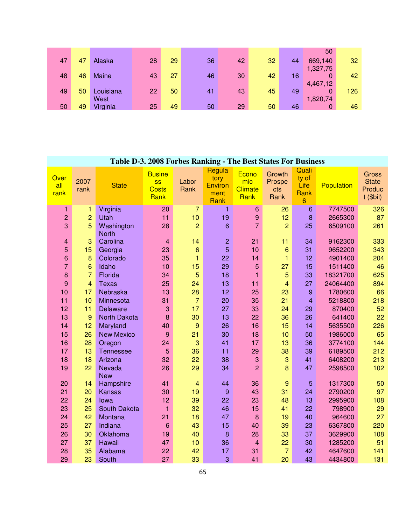|    |    |           |    |    |    |    |    |    | 50       |     |
|----|----|-----------|----|----|----|----|----|----|----------|-----|
| 47 | 47 | Alaska    | 28 | 29 | 36 | 42 | 32 | 44 | 669,140  | 32  |
|    |    |           |    |    |    |    |    |    | 1,327,75 |     |
| 48 | 46 | Maine     | 43 | 27 | 46 | 30 | 42 | 16 | 0        | 42  |
|    |    |           |    |    |    |    |    |    | 4,467,12 |     |
| 49 | 50 | Louisiana | 22 | 50 | 41 | 43 | 45 | 49 | 0        | 126 |
|    |    | West      |    |    |    |    |    |    | 1,820,74 |     |
| 50 | 49 | Virginia  | 25 | 49 | 50 | 29 | 50 | 46 | 0        | 46  |

## **Table D-3. 2008 Forbes Ranking - The Best States For Business**

| Over<br>all<br>rank | 2007<br>rank         | <b>State</b>             | <b>Busine</b><br><b>SS</b><br><b>Costs</b><br>Rank | Labor<br>Rank        | Regula<br>tory<br><b>Environ</b><br>ment<br>Rank | Econo<br>mic<br><b>Climate</b><br>Rank | Growth<br>Prospe<br>cts<br>Rank | Quali<br>ty of<br>Life<br>Rank<br>6 | Population          | <b>Gross</b><br><b>State</b><br>Produc<br>$t$ (\$bil) |
|---------------------|----------------------|--------------------------|----------------------------------------------------|----------------------|--------------------------------------------------|----------------------------------------|---------------------------------|-------------------------------------|---------------------|-------------------------------------------------------|
| 1                   | 1                    | Virginia                 | 20                                                 | $\overline{7}$       | 1                                                | 6                                      | 26                              | $\,6$                               | 7747500             | 326                                                   |
| 2                   | $\overline{c}$       | Utah                     | 11                                                 | 10                   | 19                                               | 9                                      | 12                              | 8                                   | 2665300             | 87                                                    |
| 3                   | 5                    | Washington               | 28                                                 | $\overline{2}$       | $\boldsymbol{6}$                                 | $\overline{7}$                         | $\overline{2}$                  | 25                                  | 6509100             | 261                                                   |
|                     |                      | <b>North</b>             |                                                    |                      |                                                  |                                        |                                 |                                     |                     |                                                       |
| 4                   | 3                    | Carolina                 | 4                                                  | 14                   | $\overline{c}$                                   | 21                                     | 11                              | 34                                  | 9162300             | 333                                                   |
| 5                   | 15                   | Georgia                  | 23                                                 | $6\phantom{1}$       | $\overline{5}$                                   | 10                                     | 6                               | 31                                  | 9652200             | 343                                                   |
| 6                   | $\boldsymbol{8}$     | Colorado                 | 35                                                 | 1                    | 22                                               | 14                                     | $\mathbf{1}$                    | 12                                  | 4901400             | 204                                                   |
| $\overline{7}$<br>8 | 6<br>$\overline{7}$  | Idaho<br>Florida         | 10<br>34                                           | 15<br>5              | 29<br>18                                         | 5                                      | 27<br>5                         | 15                                  | 1511400             | 46                                                    |
| 9                   |                      |                          | 25                                                 |                      | 13                                               | $\mathbf{1}$                           |                                 | 33                                  | 18321700            | 625                                                   |
|                     | $\overline{4}$<br>17 | <b>Texas</b><br>Nebraska | 13                                                 | 24                   | 12                                               | 11<br>25                               | $\overline{4}$                  | 27                                  | 24064400<br>1780600 | 894<br>66                                             |
| 10<br>11            | 10                   | Minnesota                | 31                                                 | 28<br>$\overline{7}$ | 20                                               | 35                                     | 23<br>21                        | 9<br>$\overline{\mathbf{4}}$        | 5218800             | 218                                                   |
| 12                  | 11                   | Delaware                 | 3                                                  | 17                   | 27                                               | 33                                     | 24                              | 29                                  | 870400              | 52                                                    |
| 13                  | 9                    | North Dakota             | 8                                                  | 30                   | 13                                               | 22                                     | 36                              | 26                                  | 641400              | 22                                                    |
| 14                  | 12                   | Maryland                 | 40                                                 | $\overline{9}$       | 26                                               | 16                                     | 15                              | 14                                  | 5635500             | 226                                                   |
| 15                  | 26                   | <b>New Mexico</b>        | 9                                                  | 21                   | 30                                               | 18                                     | 10                              | 50                                  | 1986000             | 65                                                    |
| 16                  | 28                   | Oregon                   | 24                                                 | 3                    | 41                                               | 17                                     | 13                              | 36                                  | 3774100             | 144                                                   |
| 17                  | 13                   | <b>Tennessee</b>         | 5                                                  | 36                   | 11                                               | 29                                     | 38                              | 39                                  | 6189500             | 212                                                   |
| 18                  | 18                   | Arizona                  | 32                                                 | 22                   | 38                                               | 3                                      | 3                               | 41                                  | 6408200             | 213                                                   |
| 19                  | 22                   | Nevada                   | 26                                                 | 29                   | 34                                               | $\overline{2}$                         | 8                               | 47                                  | 2598500             | 102                                                   |
|                     |                      | <b>New</b>               |                                                    |                      |                                                  |                                        |                                 |                                     |                     |                                                       |
| 20                  | 14                   | Hampshire                | 41                                                 | $\overline{4}$       | 44                                               | 36                                     | 9                               | $\overline{5}$                      | 1317300             | 50                                                    |
| 21                  | 20                   | <b>Kansas</b>            | 30                                                 | 19                   | $\boldsymbol{9}$                                 | 43                                     | 31                              | 24                                  | 2790200             | 97                                                    |
| 22                  | 24                   | lowa                     | 12                                                 | 39                   | 22                                               | 23                                     | 48                              | 13                                  | 2995900             | 108                                                   |
| 23                  | 25                   | South Dakota             | $\mathbf{1}$                                       | 32                   | 46                                               | 15                                     | 41                              | 22                                  | 798900              | 29                                                    |
| 24                  | 42                   | Montana                  | 21                                                 | 18                   | 47                                               | 8                                      | 19                              | 40                                  | 964600              | 27                                                    |
| 25                  | 27                   | Indiana                  | 6                                                  | 43                   | 15                                               | 40                                     | 39                              | 23                                  | 6367800             | 220                                                   |
| 26                  | 30                   | Oklahoma                 | 19                                                 | 40                   | 8                                                | 28                                     | 33                              | 37                                  | 3629900             | 108                                                   |
| 27                  | 37                   | Hawaii                   | 47                                                 | 10                   | 36                                               | $\overline{4}$                         | 22                              | 30                                  | 1285200             | 51                                                    |
| 28                  | 35                   | Alabama                  | 22                                                 | 42                   | 17                                               | 31                                     | $\overline{7}$                  | 42                                  | 4647600             | 141                                                   |
| 29                  | 23                   | South                    | 27                                                 | 33                   | 3                                                | 41                                     | 20                              | 43                                  | 4434800             | 131                                                   |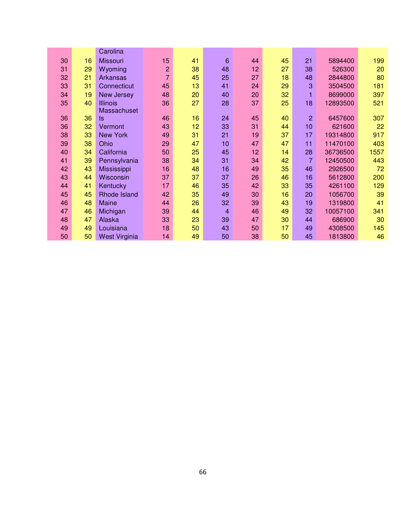|    |    | Carolina             |                |    |                 |    |    |                 |          |      |
|----|----|----------------------|----------------|----|-----------------|----|----|-----------------|----------|------|
| 30 | 16 | <b>Missouri</b>      | 15             | 41 | $6\phantom{1}6$ | 44 | 45 | 21              | 5894400  | 199  |
| 31 | 29 | Wyoming              | $\overline{c}$ | 38 | 48              | 12 | 27 | 38              | 526300   | 20   |
| 32 | 21 | Arkansas             | $\overline{7}$ | 45 | 25              | 27 | 18 | 48              | 2844800  | 80   |
| 33 | 31 | Connecticut          | 45             | 13 | 41              | 24 | 29 | 3               | 3504500  | 181  |
| 34 | 19 | New Jersey           | 48             | 20 | 40              | 20 | 32 | 1               | 8699000  | 397  |
| 35 | 40 | <b>Illinois</b>      | 36             | 27 | 28              | 37 | 25 | 18              | 12893500 | 521  |
|    |    | Massachuset          |                |    |                 |    |    |                 |          |      |
| 36 | 36 | ts                   | 46             | 16 | 24              | 45 | 40 | $\overline{2}$  | 6457600  | 307  |
| 36 | 32 | Vermont              | 43             | 12 | 33              | 31 | 44 | 10 <sub>1</sub> | 621600   | 22   |
| 38 | 33 | <b>New York</b>      | 49             | 31 | 21              | 19 | 37 | 17              | 19314800 | 917  |
| 39 | 38 | Ohio                 | 29             | 47 | 10              | 47 | 47 | 11              | 11470100 | 403  |
| 40 | 34 | California           | 50             | 25 | 45              | 12 | 14 | 28              | 36736500 | 1557 |
| 41 | 39 | Pennsylvania         | 38             | 34 | 31              | 34 | 42 | $\overline{7}$  | 12450500 | 443  |
| 42 | 43 | Mississippi          | 16             | 48 | 16              | 49 | 35 | 46              | 2926500  | 72   |
| 43 | 44 | Wisconsin            | 37             | 37 | 37              | 26 | 46 | 16              | 5612800  | 200  |
| 44 | 41 | Kentucky             | 17             | 46 | 35              | 42 | 33 | 35              | 4261100  | 129  |
| 45 | 45 | Rhode Island         | 42             | 35 | 49              | 30 | 16 | 20              | 1056700  | 39   |
| 46 | 48 | Maine                | 44             | 26 | 32              | 39 | 43 | 19              | 1319800  | 41   |
| 47 | 46 | Michigan             | 39             | 44 | $\overline{4}$  | 46 | 49 | 32              | 10057100 | 341  |
| 48 | 47 | Alaska               | 33             | 23 | 39              | 47 | 30 | 44              | 686900   | 30   |
| 49 | 49 | Louisiana            | 18             | 50 | 43              | 50 | 17 | 49              | 4308500  | 145  |
| 50 | 50 | <b>West Virginia</b> | 14             | 49 | 50              | 38 | 50 | 45              | 1813800  | 46   |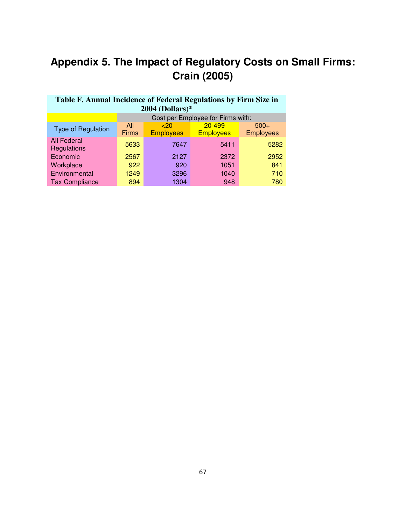# **Appendix 5. The Impact of Regulatory Costs on Small Firms: Crain (2005)**

| Table F. Annual Incidence of Federal Regulations by Firm Size in |              |                  |                                   |                  |  |  |  |  |  |  |  |
|------------------------------------------------------------------|--------------|------------------|-----------------------------------|------------------|--|--|--|--|--|--|--|
| $2004$ (Dollars)*                                                |              |                  |                                   |                  |  |  |  |  |  |  |  |
|                                                                  |              |                  | Cost per Employee for Firms with: |                  |  |  |  |  |  |  |  |
|                                                                  | All          | $~<$ 20          | 20-499                            | $500+$           |  |  |  |  |  |  |  |
| <b>Type of Regulation</b>                                        | <b>Firms</b> | <b>Employees</b> | <b>Employees</b>                  | <b>Employees</b> |  |  |  |  |  |  |  |
| <b>All Federal</b><br>Regulations                                | 5633         | 7647             | 5411                              | 5282             |  |  |  |  |  |  |  |
| Economic                                                         | 2567         | 2127             | 2372                              | 2952             |  |  |  |  |  |  |  |
| Workplace                                                        | 922          | 920              | 1051                              | 841              |  |  |  |  |  |  |  |
| Environmental                                                    | 1249         | 3296             | 1040                              | 710              |  |  |  |  |  |  |  |
| <b>Tax Compliance</b>                                            | 894          | 1304             | 948                               | 780              |  |  |  |  |  |  |  |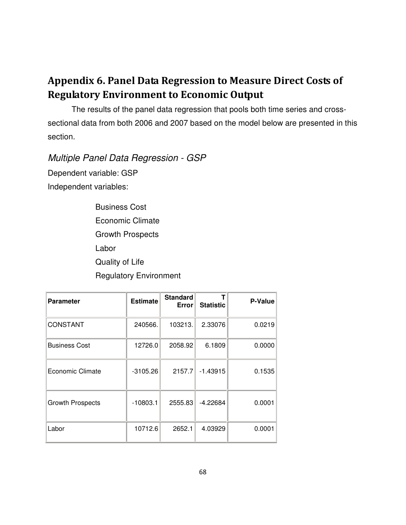## Appendix 6. Panel Data Regression to Measure Direct Costs of Regulatory Environment to Economic Output

The results of the panel data regression that pools both time series and crosssectional data from both 2006 and 2007 based on the model below are presented in this section.

Multiple Panel Data Regression - GSP

Dependent variable: GSP Independent variables:

> Business Cost Economic Climate Growth Prospects Labor Quality of Life Regulatory Environment

| <b>Parameter</b>        | <b>Estimate</b> | <b>Standard</b><br>Error | <b>Statistic</b> | P-Value |
|-------------------------|-----------------|--------------------------|------------------|---------|
| <b>CONSTANT</b>         | 240566.         | 103213.                  | 2.33076          | 0.0219  |
| <b>Business Cost</b>    | 12726.0         | 2058.92                  | 6.1809           | 0.0000  |
| Economic Climate        | $-3105.26$      | 2157.7                   | $-1.43915$       | 0.1535  |
| <b>Growth Prospects</b> | $-10803.1$      | 2555.83                  | $-4.22684$       | 0.0001  |
| Labor                   | 10712.6         | 2652.1                   | 4.03929          | 0.0001  |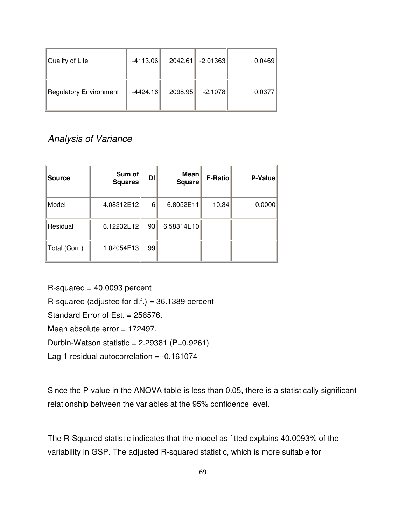| Quality of Life        | $-4113.06$ | 2042.61 | $-2.01363$ | 0.0469 |
|------------------------|------------|---------|------------|--------|
| Regulatory Environment | $-4424.16$ | 2098.95 | $-2.1078$  | 0.0377 |

## Analysis of Variance

| <b>Source</b> | Sum of<br><b>Squares</b> | Df | Mean<br><b>Square</b> | <b>F-Ratio</b> | P-Value |
|---------------|--------------------------|----|-----------------------|----------------|---------|
| Model         | 4.08312E12               | 6  | 6.8052E11             | 10.34          | 0.0000  |
| Residual      | 6.12232E12               | 93 | 6.58314E10            |                |         |
| Total (Corr.) | 1.02054E13               | 99 |                       |                |         |

 $R$ -squared = 40.0093 percent R-squared (adjusted for  $d.f.$ ) = 36.1389 percent Standard Error of Est. = 256576. Mean absolute error = 172497. Durbin-Watson statistic =  $2.29381$  (P=0.9261) Lag 1 residual autocorrelation =  $-0.161074$ 

Since the P-value in the ANOVA table is less than 0.05, there is a statistically significant relationship between the variables at the 95% confidence level.

The R-Squared statistic indicates that the model as fitted explains 40.0093% of the variability in GSP. The adjusted R-squared statistic, which is more suitable for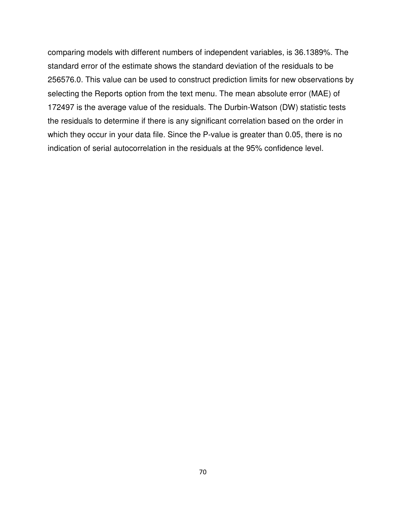comparing models with different numbers of independent variables, is 36.1389%. The standard error of the estimate shows the standard deviation of the residuals to be 256576.0. This value can be used to construct prediction limits for new observations by selecting the Reports option from the text menu. The mean absolute error (MAE) of 172497 is the average value of the residuals. The Durbin-Watson (DW) statistic tests the residuals to determine if there is any significant correlation based on the order in which they occur in your data file. Since the P-value is greater than 0.05, there is no indication of serial autocorrelation in the residuals at the 95% confidence level.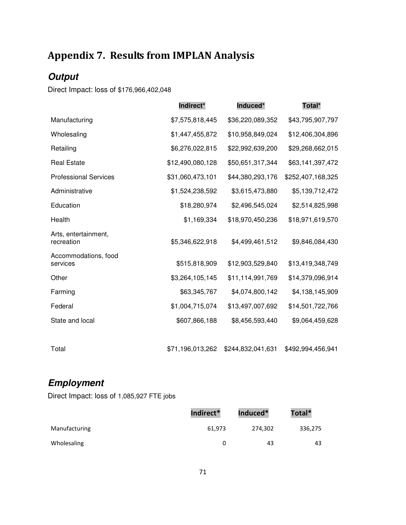## Appendix 7. Results from IMPLAN Analysis

## **Output**

Direct Impact: loss of \$176,966,402,048

|                                    | Indirect*        | Induced*          | Total*            |
|------------------------------------|------------------|-------------------|-------------------|
| Manufacturing                      | \$7,575,818,445  | \$36,220,089,352  | \$43,795,907,797  |
| Wholesaling                        | \$1,447,455,872  | \$10,958,849,024  | \$12,406,304,896  |
| Retailing                          | \$6,276,022,815  | \$22,992,639,200  | \$29,268,662,015  |
| <b>Real Estate</b>                 | \$12,490,080,128 | \$50,651,317,344  | \$63,141,397,472  |
| <b>Professional Services</b>       | \$31,060,473,101 | \$44,380,293,176  | \$252,407,168,325 |
| Administrative                     | \$1,524,238,592  | \$3,615,473,880   | \$5,139,712,472   |
| Education                          | \$18,280,974     | \$2,496,545,024   | \$2,514,825,998   |
| Health                             | \$1,169,334      | \$18,970,450,236  | \$18,971,619,570  |
| Arts, entertainment,<br>recreation | \$5,346,622,918  | \$4,499,461,512   | \$9,846,084,430   |
| Accommodations, food<br>services   | \$515,818,909    | \$12,903,529,840  | \$13,419,348,749  |
| Other                              | \$3,264,105,145  | \$11,114,991,769  | \$14,379,096,914  |
| Farming                            | \$63,345,767     | \$4,074,800,142   | \$4,138,145,909   |
| Federal                            | \$1,004,715,074  | \$13,497,007,692  | \$14,501,722,766  |
| State and local                    | \$607,866,188    | \$8,456,593,440   | \$9,064,459,628   |
|                                    |                  |                   |                   |
| Total                              | \$71,196,013,262 | \$244,832,041,631 | \$492,994,456,941 |

## **Employment**

Direct Impact: loss of 1,085,927 FTE jobs

|               | Indirect* | Induced* | Total*  |
|---------------|-----------|----------|---------|
| Manufacturing | 61,973    | 274,302  | 336,275 |
| Wholesaling   |           | 43       | 43      |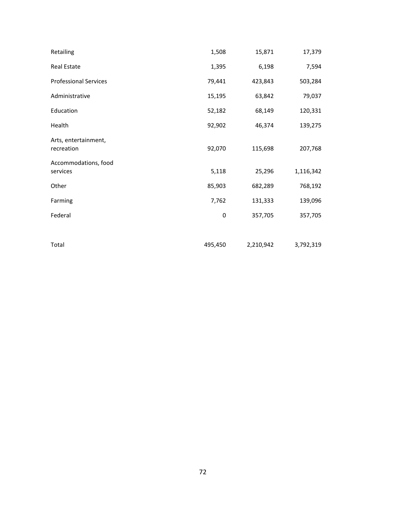| Retailing                          | 1,508     | 15,871    | 17,379    |
|------------------------------------|-----------|-----------|-----------|
| Real Estate                        | 1,395     | 6,198     | 7,594     |
| <b>Professional Services</b>       | 79,441    | 423,843   | 503,284   |
| Administrative                     | 15,195    | 63,842    | 79,037    |
| Education                          | 52,182    | 68,149    | 120,331   |
| Health                             | 92,902    | 46,374    | 139,275   |
| Arts, entertainment,<br>recreation | 92,070    | 115,698   | 207,768   |
| Accommodations, food<br>services   | 5,118     | 25,296    | 1,116,342 |
| Other                              | 85,903    | 682,289   | 768,192   |
| Farming                            | 7,762     | 131,333   | 139,096   |
| Federal                            | $\pmb{0}$ | 357,705   | 357,705   |
|                                    |           |           |           |
| Total                              | 495,450   | 2,210,942 | 3,792,319 |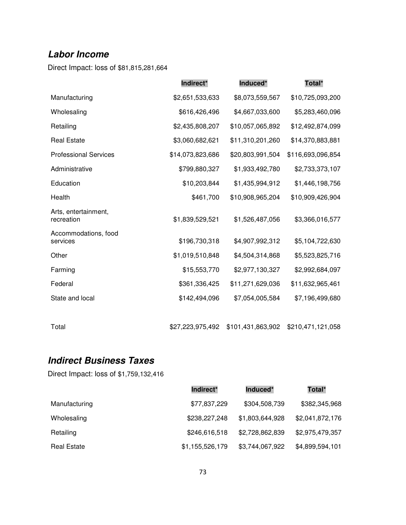#### **Labor Income**

Direct Impact: loss of \$81,815,281,664

|                                    | Indirect*        | Induced*         | Total*            |
|------------------------------------|------------------|------------------|-------------------|
| Manufacturing                      | \$2,651,533,633  | \$8,073,559,567  | \$10,725,093,200  |
| Wholesaling                        | \$616,426,496    | \$4,667,033,600  | \$5,283,460,096   |
| Retailing                          | \$2,435,808,207  | \$10,057,065,892 | \$12,492,874,099  |
| <b>Real Estate</b>                 | \$3,060,682,621  | \$11,310,201,260 | \$14,370,883,881  |
| <b>Professional Services</b>       | \$14,073,823,686 | \$20,803,991,504 | \$116,693,096,854 |
| Administrative                     | \$799,880,327    | \$1,933,492,780  | \$2,733,373,107   |
| Education                          | \$10,203,844     | \$1,435,994,912  | \$1,446,198,756   |
| Health                             | \$461,700        | \$10,908,965,204 | \$10,909,426,904  |
| Arts, entertainment,<br>recreation | \$1,839,529,521  | \$1,526,487,056  | \$3,366,016,577   |
| Accommodations, food<br>services   | \$196,730,318    | \$4,907,992,312  | \$5,104,722,630   |
| Other                              | \$1,019,510,848  | \$4,504,314,868  | \$5,523,825,716   |
| Farming                            | \$15,553,770     | \$2,977,130,327  | \$2,992,684,097   |
| Federal                            | \$361,336,425    | \$11,271,629,036 | \$11,632,965,461  |
| State and local                    | \$142,494,096    | \$7,054,005,584  | \$7,196,499,680   |
|                                    |                  |                  |                   |

Total \$27,223,975,492 \$101,431,863,902 \$210,471,121,058

#### **Indirect Business Taxes**

Direct Impact: loss of \$1,759,132,416

|                    | Indirect*       | Induced*        | Total*          |
|--------------------|-----------------|-----------------|-----------------|
| Manufacturing      | \$77,837,229    | \$304,508,739   | \$382,345,968   |
| Wholesaling        | \$238,227,248   | \$1,803,644,928 | \$2,041,872,176 |
| Retailing          | \$246,616,518   | \$2,728,862,839 | \$2,975,479,357 |
| <b>Real Estate</b> | \$1,155,526,179 | \$3,744,067,922 | \$4,899,594,101 |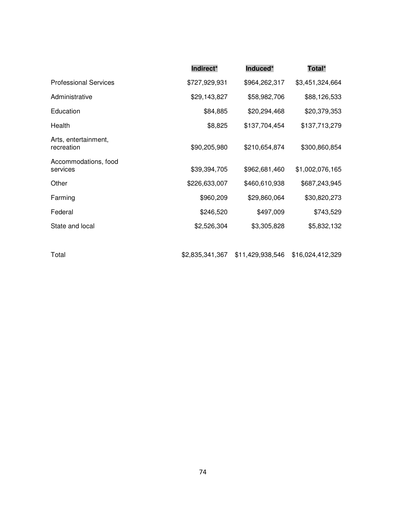|                                    | Indirect*       | Induced*         | Total*           |
|------------------------------------|-----------------|------------------|------------------|
| <b>Professional Services</b>       | \$727,929,931   | \$964,262,317    | \$3,451,324,664  |
| Administrative                     | \$29,143,827    | \$58,982,706     | \$88,126,533     |
| Education                          | \$84,885        | \$20,294,468     | \$20,379,353     |
| Health                             | \$8,825         | \$137,704,454    | \$137,713,279    |
| Arts, entertainment,<br>recreation | \$90,205,980    | \$210,654,874    | \$300,860,854    |
| Accommodations, food<br>services   | \$39,394,705    | \$962,681,460    | \$1,002,076,165  |
| Other                              | \$226,633,007   | \$460,610,938    | \$687,243,945    |
| Farming                            | \$960,209       | \$29,860,064     | \$30,820,273     |
| Federal                            | \$246,520       | \$497,009        | \$743,529        |
| State and local                    | \$2,526,304     | \$3,305,828      | \$5,832,132      |
|                                    |                 |                  |                  |
| Total                              | \$2,835,341,367 | \$11,429,938,546 | \$16,024,412,329 |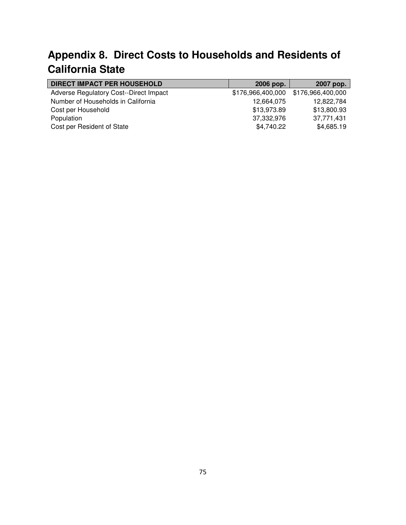## **Appendix 8. Direct Costs to Households and Residents of California State**

| <b>DIRECT IMPACT PER HOUSEHOLD</b>     | 2006 pop.         | 2007 pop.         |
|----------------------------------------|-------------------|-------------------|
| Adverse Regulatory Cost--Direct Impact | \$176,966,400,000 | \$176,966,400,000 |
| Number of Households in California     | 12,664,075        | 12,822,784        |
| Cost per Household                     | \$13,973.89       | \$13,800.93       |
| Population                             | 37,332,976        | 37,771,431        |
| Cost per Resident of State             | \$4,740.22        | \$4,685.19        |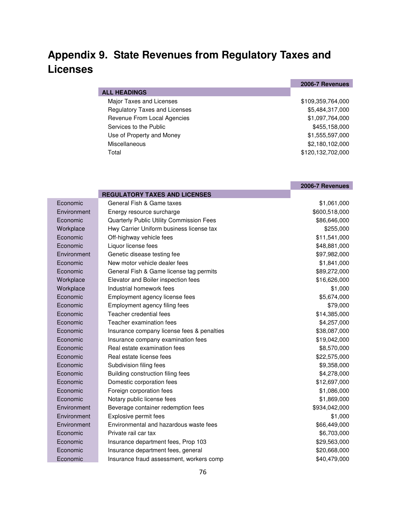### **Appendix 9. State Revenues from Regulatory Taxes and Licenses**

|                               | 2006-7 Revenues   |
|-------------------------------|-------------------|
| <b>ALL HEADINGS</b>           |                   |
| Major Taxes and Licenses      | \$109,359,764,000 |
| Regulatory Taxes and Licenses | \$5,484,317,000   |
| Revenue From Local Agencies   | \$1,097,764,000   |
| Services to the Public        | \$455,158,000     |
| Use of Property and Money     | \$1,555,597,000   |
| <b>Miscellaneous</b>          | \$2,180,102,000   |
| Total                         | \$120,132,702,000 |

|             |                                            | 2006-7 Revenues |
|-------------|--------------------------------------------|-----------------|
|             | <b>REGULATORY TAXES AND LICENSES</b>       |                 |
| Economic    | General Fish & Game taxes                  | \$1,061,000     |
| Environment | Energy resource surcharge                  | \$600,518,000   |
| Economic    | Quarterly Public Utility Commission Fees   | \$86,646,000    |
| Workplace   | Hwy Carrier Uniform business license tax   | \$255,000       |
| Economic    | Off-highway vehicle fees                   | \$11,541,000    |
| Economic    | Liquor license fees                        | \$48,881,000    |
| Environment | Genetic disease testing fee                | \$97,982,000    |
| Economic    | New motor vehicle dealer fees              | \$1,841,000     |
| Economic    | General Fish & Game license tag permits    | \$89,272,000    |
| Workplace   | Elevator and Boiler inspection fees        | \$16,626,000    |
| Workplace   | Industrial homework fees                   | \$1,000         |
| Economic    | Employment agency license fees             | \$5,674,000     |
| Economic    | Employment agency filing fees              | \$79,000        |
| Economic    | Teacher credential fees                    | \$14,385,000    |
| Economic    | Teacher examination fees                   | \$4,257,000     |
| Economic    | Insurance company license fees & penalties | \$38,087,000    |
| Economic    | Insurance company examination fees         | \$19,042,000    |
| Economic    | Real estate examination fees               | \$8,570,000     |
| Economic    | Real estate license fees                   | \$22,575,000    |
| Economic    | Subdivision filing fees                    | \$9,358,000     |
| Economic    | Building construction filing fees          | \$4,278,000     |
| Economic    | Domestic corporation fees                  | \$12,697,000    |
| Economic    | Foreign corporation fees                   | \$1,086,000     |
| Economic    | Notary public license fees                 | \$1,869,000     |
| Environment | Beverage container redemption fees         | \$934,042,000   |
| Environment | Explosive permit fees                      | \$1,000         |
| Environment | Environmental and hazardous waste fees     | \$66,449,000    |
| Economic    | Private rail car tax                       | \$6,703,000     |
| Economic    | Insurance department fees, Prop 103        | \$29,563,000    |
| Economic    | Insurance department fees, general         | \$20,668,000    |
| Economic    | Insurance fraud assessment, workers comp   | \$40,479,000    |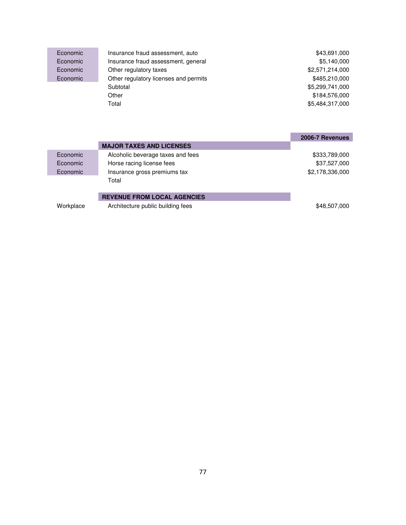| Economic | Insurance fraud assessment, auto      | \$43,691,000    |
|----------|---------------------------------------|-----------------|
| Economic | Insurance fraud assessment, general   | \$5,140,000     |
| Economic | Other regulatory taxes                | \$2,571,214,000 |
| Economic | Other regulatory licenses and permits | \$485,210,000   |
|          | Subtotal                              | \$5,299,741,000 |
|          | Other                                 | \$184,576,000   |
|          | Total                                 | \$5,484,317,000 |
|          |                                       |                 |
|          |                                       |                 |
|          |                                       |                 |
|          |                                       | 2006-7 Revenues |

|           | <b>MAJOR TAXES AND LICENSES</b>    |                 |
|-----------|------------------------------------|-----------------|
| Economic  | Alcoholic beverage taxes and fees  | \$333,789,000   |
| Economic  | Horse racing license fees          | \$37,527,000    |
| Economic  | Insurance gross premiums tax       | \$2,178,336,000 |
|           | Total                              |                 |
|           |                                    |                 |
|           | <b>REVENUE FROM LOCAL AGENCIES</b> |                 |
| Workplace | Architecture public building fees  | \$48,507,000    |
|           |                                    |                 |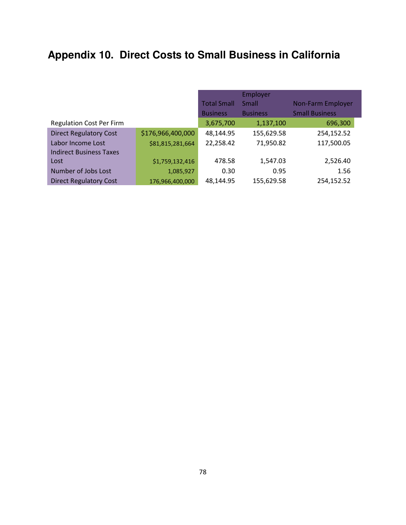# **Appendix 10. Direct Costs to Small Business in California**

|                                 |                   | Employer           |                 |                          |  |
|---------------------------------|-------------------|--------------------|-----------------|--------------------------|--|
|                                 |                   | <b>Total Small</b> | Small           | <b>Non-Farm Employer</b> |  |
|                                 |                   | <b>Business</b>    | <b>Business</b> | <b>Small Business</b>    |  |
| <b>Regulation Cost Per Firm</b> |                   | 3,675,700          | 1,137,100       | 696,300                  |  |
| <b>Direct Regulatory Cost</b>   | \$176,966,400,000 | 48,144.95          | 155,629.58      | 254,152.52               |  |
| Labor Income Lost               | \$81,815,281,664  | 22,258.42          | 71,950.82       | 117,500.05               |  |
| <b>Indirect Business Taxes</b>  |                   |                    |                 |                          |  |
| Lost                            | \$1,759,132,416   | 478.58             | 1,547.03        | 2,526.40                 |  |
| Number of Jobs Lost             | 1,085,927         | 0.30               | 0.95            | 1.56                     |  |
| <b>Direct Regulatory Cost</b>   | 176,966,400,000   | 48,144.95          | 155,629.58      | 254,152.52               |  |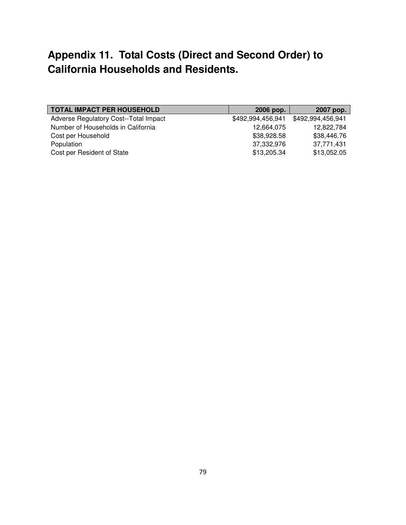#### **Appendix 11. Total Costs (Direct and Second Order) to California Households and Residents.**

| <b>TOTAL IMPACT PER HOUSEHOLD</b>     | 2006 pop.         | 2007 pop.         |
|---------------------------------------|-------------------|-------------------|
| Adverse Regulatory Cost--Total Impact | \$492,994,456,941 | \$492,994,456,941 |
| Number of Households in California    | 12,664,075        | 12,822,784        |
| Cost per Household                    | \$38,928.58       | \$38,446.76       |
| Population                            | 37,332,976        | 37,771,431        |
| Cost per Resident of State            | \$13,205.34       | \$13,052.05       |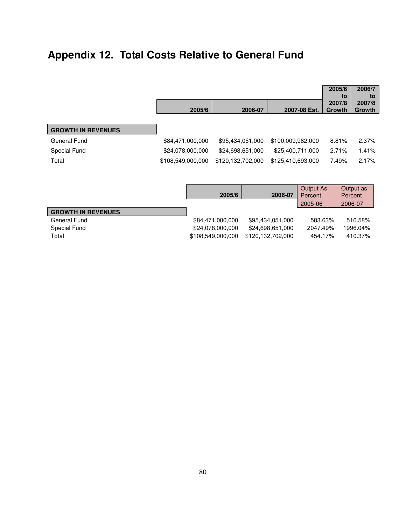# **Appendix 12. Total Costs Relative to General Fund**

|                           |                   |                   |         |                   |                  | 2005/6<br>to     | 2006/7<br>to     |
|---------------------------|-------------------|-------------------|---------|-------------------|------------------|------------------|------------------|
|                           | 2005/6            |                   | 2006-07 |                   | 2007-08 Est.     | 2007/8<br>Growth | 2007/8<br>Growth |
| <b>GROWTH IN REVENUES</b> |                   |                   |         |                   |                  |                  |                  |
| <b>General Fund</b>       | \$84,471,000,000  | \$95,434,051,000  |         | \$100,009,982,000 |                  | 8.81%            | 2.37%            |
| Special Fund              | \$24,078,000,000  | \$24,698,651,000  |         | \$25,400,711,000  |                  | 2.71%            | 1.41%            |
| Total                     | \$108,549,000,000 | \$120,132,702,000 |         | \$125,410,693,000 |                  | 7.49%            | 2.17%            |
|                           |                   |                   |         |                   | <b>Output As</b> |                  | Output as        |
|                           |                   | 2005/6            |         | 2006-07           | Percent          |                  | Percent          |
|                           |                   |                   |         |                   | 2005-06          |                  | 2006-07          |

| <b>GROWTH IN REVENUES</b> |                  |                                     |          |          |
|---------------------------|------------------|-------------------------------------|----------|----------|
| General Fund              | \$84.471.000.000 | \$95.434.051.000                    | 583.63%  | 516.58%  |
| Special Fund              | \$24.078.000.000 | \$24.698.651.000                    | 2047.49% | 1996.04% |
| Total                     |                  | \$108.549.000.000 \$120.132.702.000 | 454.17%  | 410.37%  |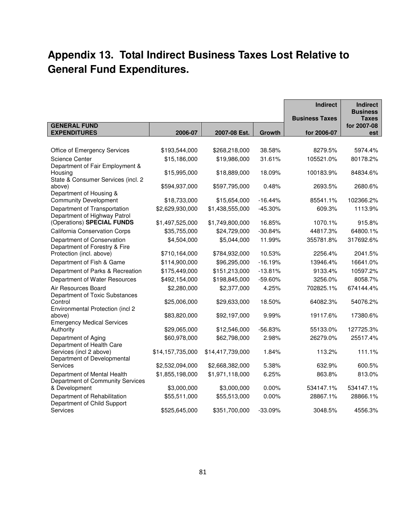## **Appendix 13. Total Indirect Business Taxes Lost Relative to General Fund Expenditures.**

|                                                                                  |                  |                  |           | <b>Indirect</b>                      | <b>Indirect</b><br><b>Business</b> |
|----------------------------------------------------------------------------------|------------------|------------------|-----------|--------------------------------------|------------------------------------|
| <b>GENERAL FUND</b><br><b>EXPENDITURES</b>                                       | 2006-07          | 2007-08 Est.     | Growth    | <b>Business Taxes</b><br>for 2006-07 | <b>Taxes</b><br>for 2007-08        |
|                                                                                  |                  |                  |           |                                      | est                                |
| Office of Emergency Services                                                     | \$193,544,000    | \$268,218,000    | 38.58%    | 8279.5%                              | 5974.4%                            |
| Science Center                                                                   | \$15,186,000     | \$19,986,000     | 31.61%    | 105521.0%                            | 80178.2%                           |
| Department of Fair Employment &<br>Housing<br>State & Consumer Services (incl. 2 | \$15,995,000     | \$18,889,000     | 18.09%    | 100183.9%                            | 84834.6%                           |
| above)<br>Department of Housing &                                                | \$594,937,000    | \$597,795,000    | 0.48%     | 2693.5%                              | 2680.6%                            |
| <b>Community Development</b>                                                     | \$18,733,000     | \$15,654,000     | $-16.44%$ | 85541.1%                             | 102366.2%                          |
| Department of Transportation<br>Department of Highway Patrol                     | \$2,629,930,000  | \$1,438,555,000  | $-45.30%$ | 609.3%                               | 1113.9%                            |
| (Operations) SPECIAL FUNDS                                                       | \$1,497,525,000  | \$1,749,800,000  | 16.85%    | 1070.1%                              | 915.8%                             |
| <b>California Conservation Corps</b>                                             | \$35,755,000     | \$24,729,000     | $-30.84%$ | 44817.3%                             | 64800.1%                           |
| Department of Conservation<br>Department of Forestry & Fire                      | \$4,504,000      | \$5,044,000      | 11.99%    | 355781.8%                            | 317692.6%                          |
| Protection (incl. above)                                                         | \$710,164,000    | \$784,932,000    | 10.53%    | 2256.4%                              | 2041.5%                            |
| Department of Fish & Game                                                        | \$114,900,000    | \$96,295,000     | $-16.19%$ | 13946.4%                             | 16641.0%                           |
| Department of Parks & Recreation                                                 | \$175,449,000    | \$151,213,000    | $-13.81%$ | 9133.4%                              | 10597.2%                           |
| Department of Water Resources                                                    | \$492,154,000    | \$198,845,000    | $-59.60%$ | 3256.0%                              | 8058.7%                            |
| Air Resources Board<br>Department of Toxic Substances                            | \$2,280,000      | \$2,377,000      | 4.25%     | 702825.1%                            | 674144.4%                          |
| Control<br>Environmental Protection (incl 2                                      | \$25,006,000     | \$29,633,000     | 18.50%    | 64082.3%                             | 54076.2%                           |
| above)<br><b>Emergency Medical Services</b>                                      | \$83,820,000     | \$92,197,000     | 9.99%     | 19117.6%                             | 17380.6%                           |
| Authority                                                                        | \$29,065,000     | \$12,546,000     | $-56.83%$ | 55133.0%                             | 127725.3%                          |
| Department of Aging<br>Department of Health Care                                 | \$60,978,000     | \$62,798,000     | 2.98%     | 26279.0%                             | 25517.4%                           |
| Services (incl 2 above)<br>Department of Developmental                           | \$14,157,735,000 | \$14,417,739,000 | 1.84%     | 113.2%                               | 111.1%                             |
| <b>Services</b>                                                                  | \$2,532,094,000  | \$2,668,382,000  | 5.38%     | 632.9%                               | 600.5%                             |
| Department of Mental Health<br>Department of Community Services                  | \$1,855,198,000  | \$1,971,118,000  | 6.25%     | 863.8%                               | 813.0%                             |
| & Development                                                                    | \$3,000,000      | \$3,000,000      | $0.00\%$  | 534147.1%                            | 534147.1%                          |
| Department of Rehabilitation<br>Department of Child Support                      | \$55,511,000     | \$55,513,000     | 0.00%     | 28867.1%                             | 28866.1%                           |
| Services                                                                         | \$525,645,000    | \$351,700,000    | $-33.09%$ | 3048.5%                              | 4556.3%                            |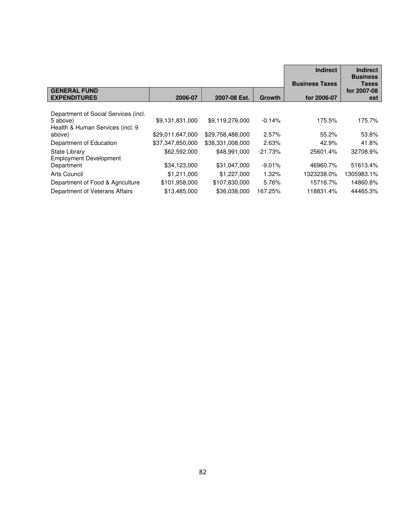|                                      |                  |                  |           | <b>Indirect</b>       | <b>Indirect</b>          |
|--------------------------------------|------------------|------------------|-----------|-----------------------|--------------------------|
|                                      |                  |                  |           | <b>Business Taxes</b> | <b>Business</b><br>Taxes |
| <b>GENERAL FUND</b>                  |                  |                  |           |                       | for 2007-08              |
| <b>EXPENDITURES</b>                  | 2006-07          | 2007-08 Est.     | Growth    | for 2006-07           | est                      |
|                                      |                  |                  |           |                       |                          |
| Department of Social Services (incl. |                  |                  |           |                       |                          |
| 5 above)                             | \$9,131,831,000  | \$9,119,279,000  | $-0.14%$  | 175.5%                | 175.7%                   |
| Health & Human Services (incl. 9     |                  |                  |           |                       |                          |
| above)                               | \$29,011,647,000 | \$29,758,488,000 | 2.57%     | 55.2%                 | 53.8%                    |
| Department of Education              | \$37,347,850,000 | \$38,331,008,000 | 2.63%     | 42.9%                 | 41.8%                    |
| State Library                        | \$62,592,000     | \$48,991,000     | $-21.73%$ | 25601.4%              | 32708.9%                 |
| <b>Employment Development</b>        |                  |                  |           |                       |                          |
| Department                           | \$34,123,000     | \$31,047,000     | $-9.01%$  | 46960.7%              | 51613.4%                 |
| <b>Arts Council</b>                  | \$1,211,000      | \$1,227,000      | 1.32%     | 1323238.0%            | 1305983.1%               |
| Department of Food & Agriculture     | \$101,958,000    | \$107,830,000    | 5.76%     | 15716.7%              | 14860.8%                 |
| Department of Veterans Affairs       | \$13,485,000     | \$36,038,000     | 167.25%   | 118831.4%             | 44465.3%                 |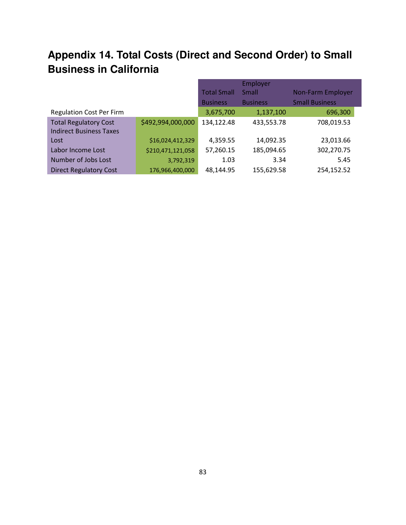### **Appendix 14. Total Costs (Direct and Second Order) to Small Business in California**

|                                 |                   | <b>Total Small</b> | Employer<br>Small | <b>Non-Farm Employer</b> |
|---------------------------------|-------------------|--------------------|-------------------|--------------------------|
|                                 |                   | <b>Business</b>    | <b>Business</b>   | <b>Small Business</b>    |
| <b>Regulation Cost Per Firm</b> |                   | 3,675,700          | 1,137,100         | 696,300                  |
| <b>Total Regulatory Cost</b>    | \$492,994,000,000 | 134,122.48         | 433,553.78        | 708,019.53               |
| <b>Indirect Business Taxes</b>  |                   |                    |                   |                          |
| Lost                            | \$16,024,412,329  | 4,359.55           | 14,092.35         | 23,013.66                |
| Labor Income Lost               | \$210,471,121,058 | 57,260.15          | 185,094.65        | 302,270.75               |
| Number of Jobs Lost             | 3,792,319         | 1.03               | 3.34              | 5.45                     |
| <b>Direct Regulatory Cost</b>   | 176,966,400,000   | 48,144.95          | 155,629.58        | 254,152.52               |